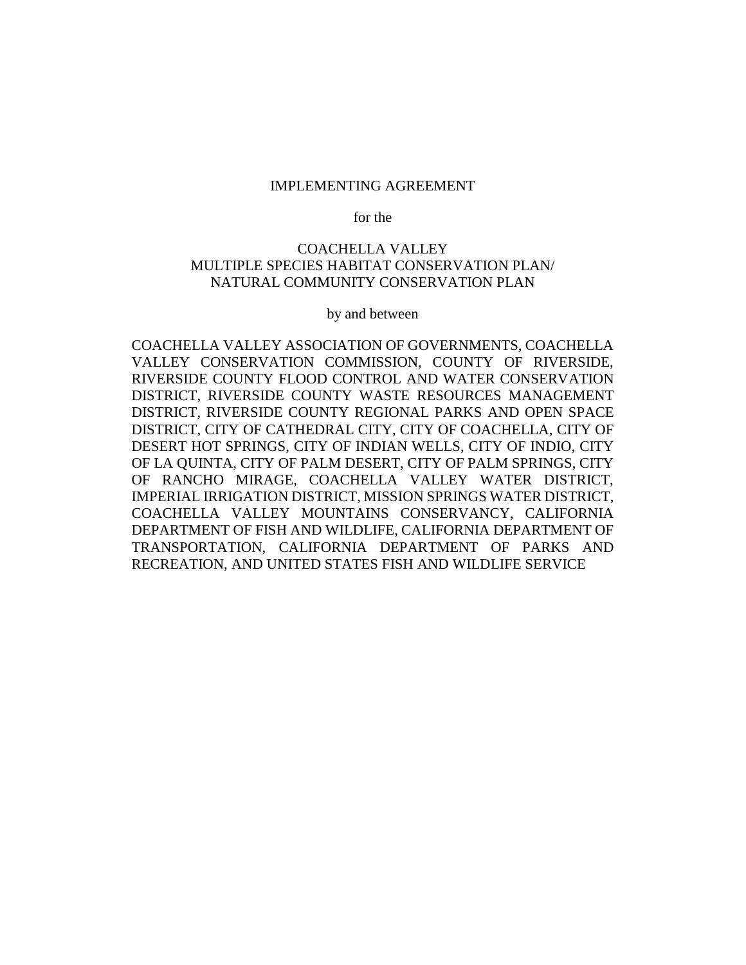#### IMPLEMENTING AGREEMENT

for the

### COACHELLA VALLEY MULTIPLE SPECIES HABITAT CONSERVATION PLAN/ NATURAL COMMUNITY CONSERVATION PLAN

by and between

COACHELLA VALLEY ASSOCIATION OF GOVERNMENTS, COACHELLA VALLEY CONSERVATION COMMISSION, COUNTY OF RIVERSIDE, RIVERSIDE COUNTY FLOOD CONTROL AND WATER CONSERVATION DISTRICT, RIVERSIDE COUNTY WASTE RESOURCES MANAGEMENT DISTRICT, RIVERSIDE COUNTY REGIONAL PARKS AND OPEN SPACE DISTRICT, CITY OF CATHEDRAL CITY, CITY OF COACHELLA, CITY OF DESERT HOT SPRINGS, CITY OF INDIAN WELLS, CITY OF INDIO, CITY OF LA QUINTA, CITY OF PALM DESERT, CITY OF PALM SPRINGS, CITY OF RANCHO MIRAGE, COACHELLA VALLEY WATER DISTRICT, IMPERIAL IRRIGATION DISTRICT, MISSION SPRINGS WATER DISTRICT, COACHELLA VALLEY MOUNTAINS CONSERVANCY, CALIFORNIA DEPARTMENT OF FISH AND WILDLIFE, CALIFORNIA DEPARTMENT OF TRANSPORTATION, CALIFORNIA DEPARTMENT OF PARKS AND RECREATION, AND UNITED STATES FISH AND WILDLIFE SERVICE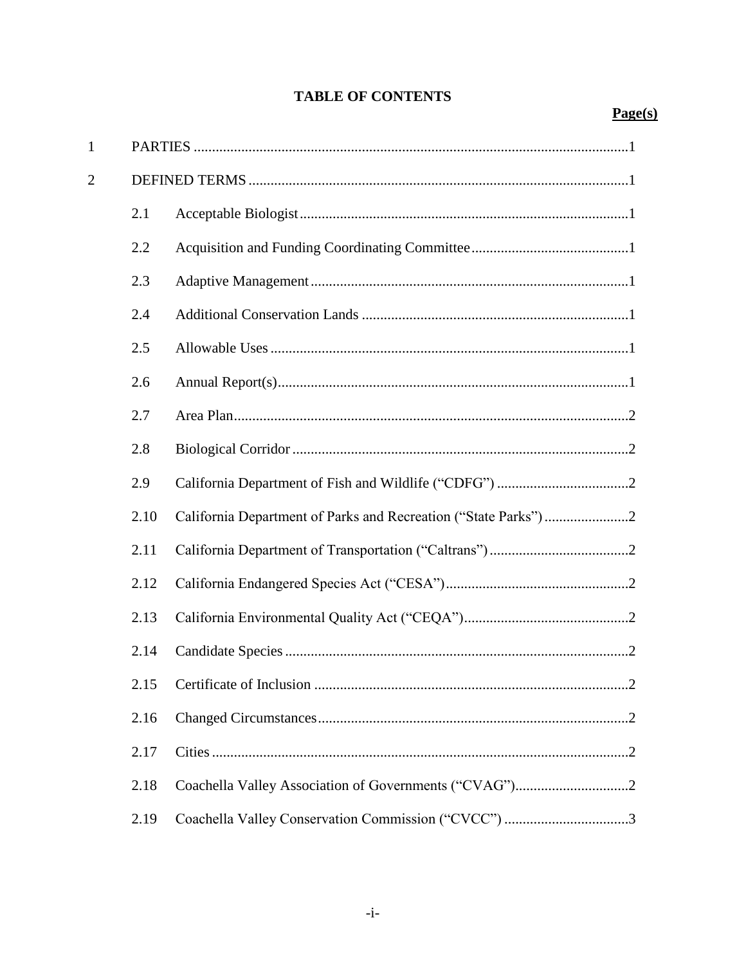# **TABLE OF CONTENTS**

# $Page(s)$

| $\mathbf{1}$   |      |                                                                |
|----------------|------|----------------------------------------------------------------|
| $\overline{2}$ |      |                                                                |
|                | 2.1  |                                                                |
|                | 2.2  |                                                                |
|                | 2.3  |                                                                |
|                | 2.4  |                                                                |
|                | 2.5  |                                                                |
|                | 2.6  |                                                                |
|                | 2.7  |                                                                |
|                | 2.8  |                                                                |
|                | 2.9  |                                                                |
|                | 2.10 | California Department of Parks and Recreation ("State Parks")2 |
|                | 2.11 |                                                                |
|                | 2.12 |                                                                |
|                | 2.13 |                                                                |
|                | 2.14 |                                                                |
|                |      |                                                                |
|                | 2.16 |                                                                |
|                | 2.17 |                                                                |
|                | 2.18 |                                                                |
|                | 2.19 | Coachella Valley Conservation Commission ("CVCC") 3            |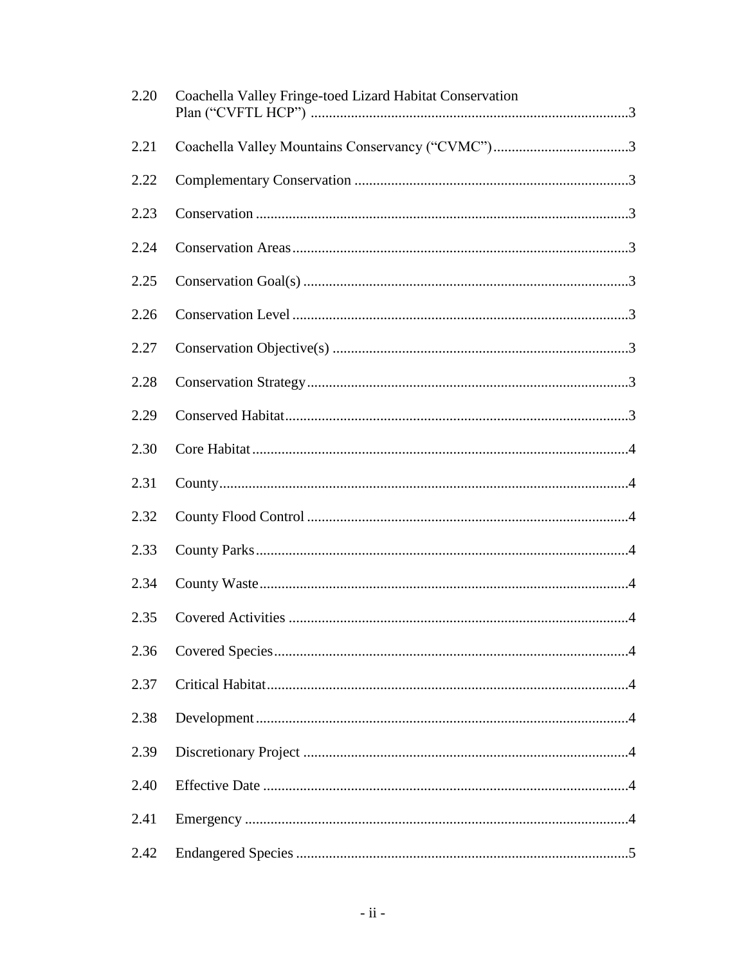| 2.20 | Coachella Valley Fringe-toed Lizard Habitat Conservation |
|------|----------------------------------------------------------|
| 2.21 |                                                          |
| 2.22 |                                                          |
| 2.23 |                                                          |
| 2.24 |                                                          |
| 2.25 |                                                          |
| 2.26 |                                                          |
| 2.27 |                                                          |
| 2.28 |                                                          |
| 2.29 |                                                          |
| 2.30 |                                                          |
| 2.31 |                                                          |
| 2.32 |                                                          |
| 2.33 |                                                          |
| 2.34 |                                                          |
| 2.35 |                                                          |
| 2.36 |                                                          |
| 2.37 |                                                          |
| 2.38 |                                                          |
| 2.39 |                                                          |
| 2.40 |                                                          |
| 2.41 |                                                          |
| 2.42 |                                                          |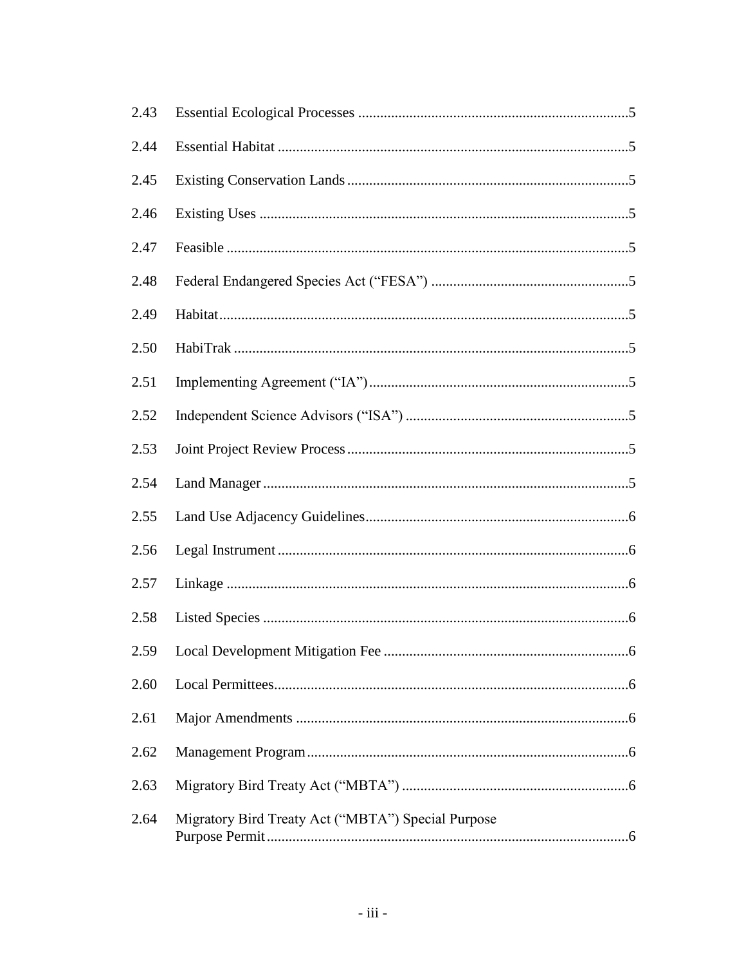| 2.43 |                                                    |
|------|----------------------------------------------------|
| 2.44 |                                                    |
| 2.45 |                                                    |
| 2.46 |                                                    |
| 2.47 |                                                    |
| 2.48 |                                                    |
| 2.49 |                                                    |
| 2.50 |                                                    |
| 2.51 |                                                    |
| 2.52 |                                                    |
| 2.53 |                                                    |
| 2.54 |                                                    |
| 2.55 |                                                    |
| 2.56 |                                                    |
| 2.57 |                                                    |
| 2.58 |                                                    |
|      |                                                    |
| 2.60 |                                                    |
| 2.61 |                                                    |
| 2.62 |                                                    |
| 2.63 |                                                    |
| 2.64 | Migratory Bird Treaty Act ("MBTA") Special Purpose |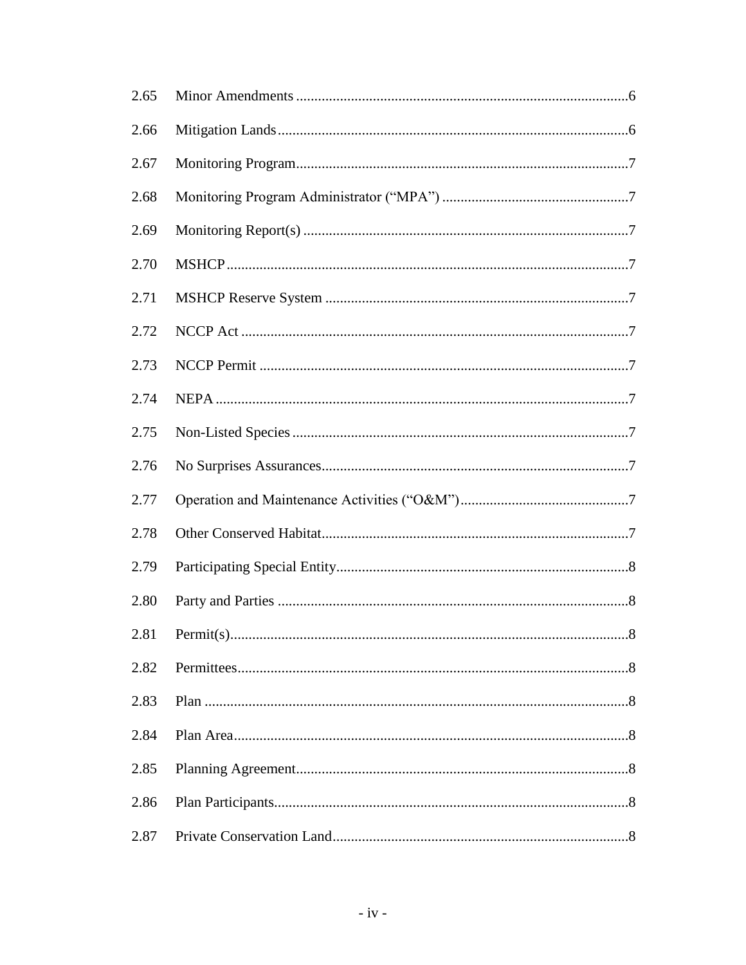| 2.65 |  |
|------|--|
| 2.66 |  |
| 2.67 |  |
| 2.68 |  |
| 2.69 |  |
| 2.70 |  |
| 2.71 |  |
| 2.72 |  |
| 2.73 |  |
| 2.74 |  |
| 2.75 |  |
| 2.76 |  |
| 2.77 |  |
| 2.78 |  |
| 2.79 |  |
| 2.80 |  |
|      |  |
| 2.82 |  |
| 2.83 |  |
| 2.84 |  |
| 2.85 |  |
| 2.86 |  |
| 2.87 |  |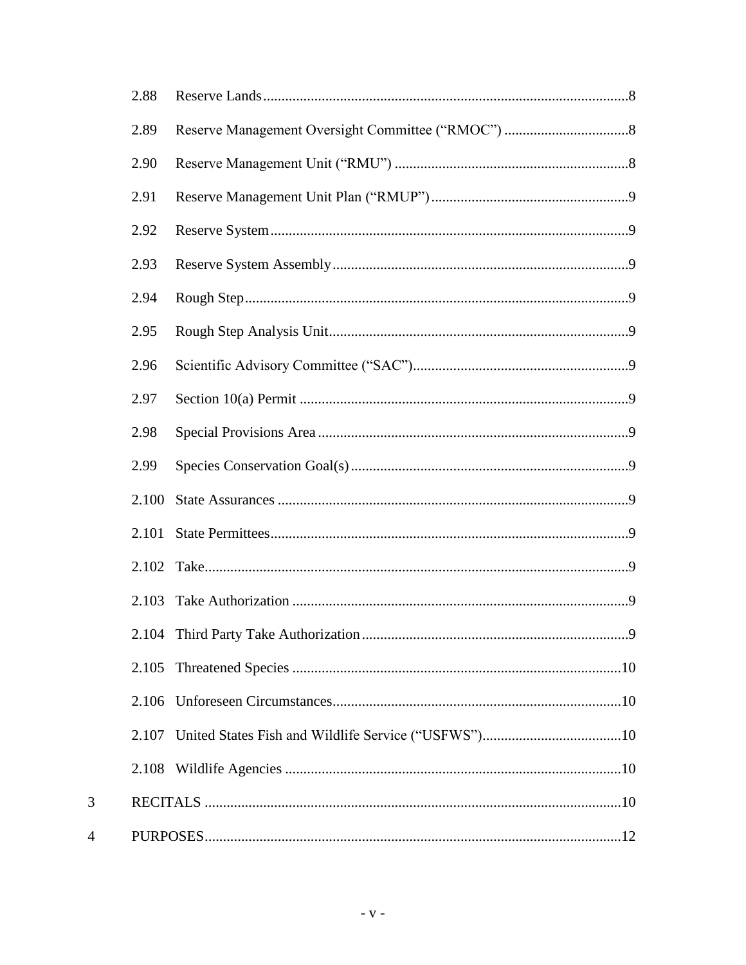| 2.88  |  |
|-------|--|
| 2.89  |  |
| 2.90  |  |
| 2.91  |  |
| 2.92  |  |
| 2.93  |  |
| 2.94  |  |
| 2.95  |  |
| 2.96  |  |
| 2.97  |  |
| 2.98  |  |
| 2.99  |  |
| 2.100 |  |
| 2.101 |  |
| 2.102 |  |
| 2.103 |  |
|       |  |
| 2.105 |  |
| 2.106 |  |
|       |  |
|       |  |
|       |  |
|       |  |

 $\overline{3}$ 

 $\overline{4}$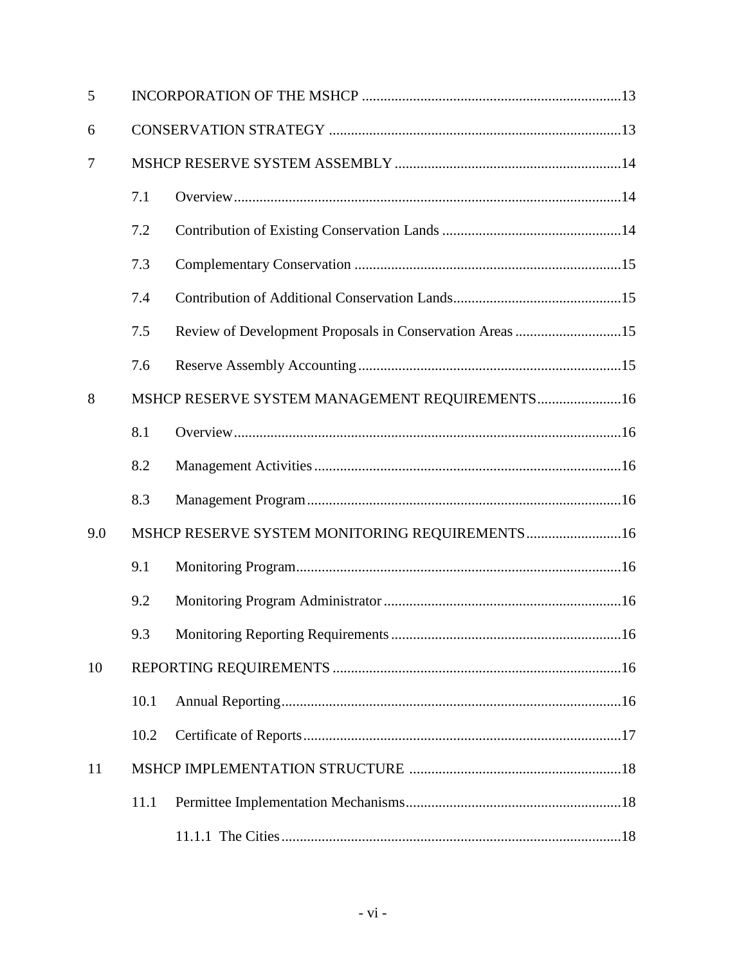| 5   |      |                                                          |  |
|-----|------|----------------------------------------------------------|--|
| 6   |      |                                                          |  |
| 7   |      |                                                          |  |
|     | 7.1  |                                                          |  |
|     | 7.2  |                                                          |  |
|     | 7.3  |                                                          |  |
|     | 7.4  |                                                          |  |
|     | 7.5  | Review of Development Proposals in Conservation Areas 15 |  |
|     | 7.6  |                                                          |  |
| 8   |      | MSHCP RESERVE SYSTEM MANAGEMENT REQUIREMENTS16           |  |
|     | 8.1  |                                                          |  |
|     | 8.2  |                                                          |  |
|     | 8.3  |                                                          |  |
| 9.0 |      | MSHCP RESERVE SYSTEM MONITORING REQUIREMENTS 16          |  |
|     | 9.1  |                                                          |  |
|     | 9.2  |                                                          |  |
|     |      |                                                          |  |
| 10  |      |                                                          |  |
|     | 10.1 |                                                          |  |
|     | 10.2 |                                                          |  |
| 11  |      |                                                          |  |
|     | 11.1 |                                                          |  |
|     |      |                                                          |  |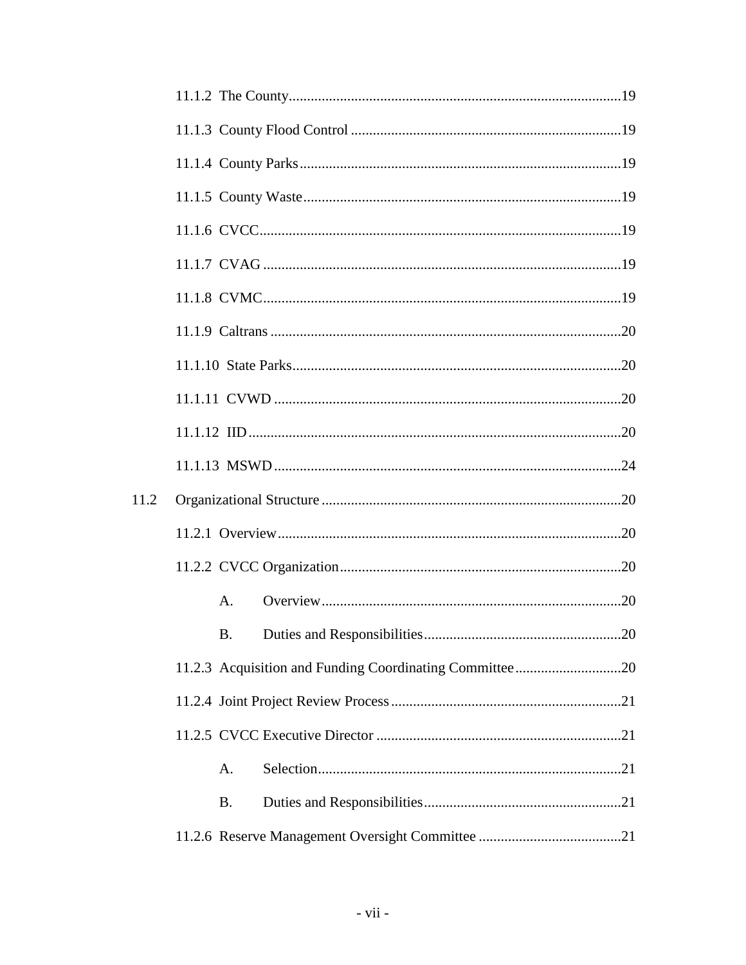| 11.2 |           |  |
|------|-----------|--|
|      |           |  |
|      |           |  |
|      | A.        |  |
|      |           |  |
|      |           |  |
|      |           |  |
|      |           |  |
|      | A.        |  |
|      | <b>B.</b> |  |
|      |           |  |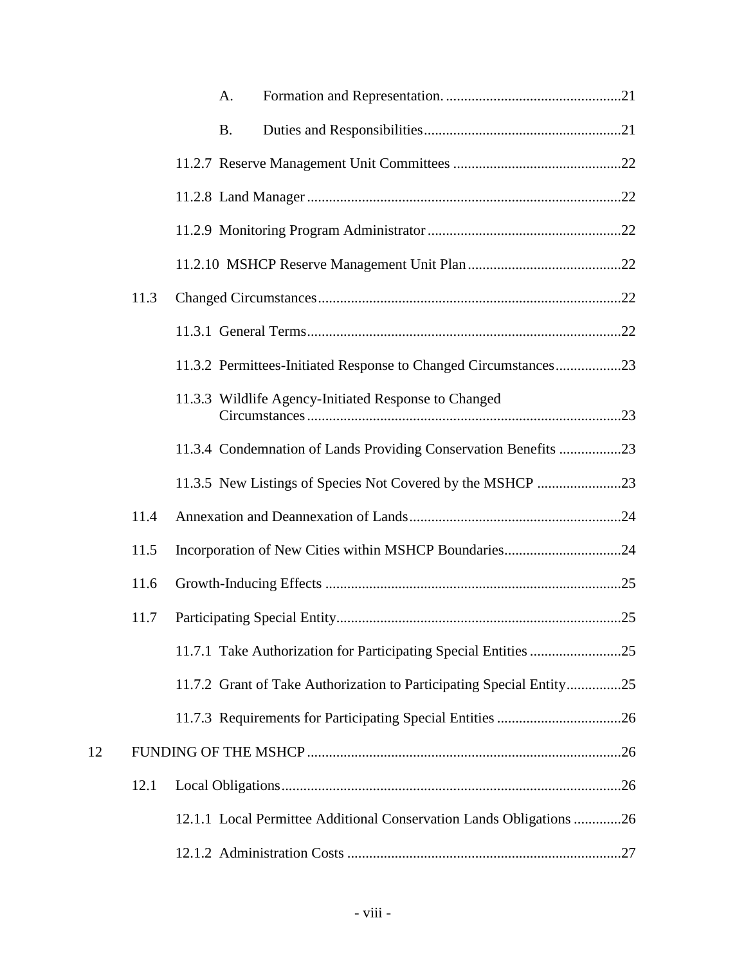|    |      | A.                                                                   |  |
|----|------|----------------------------------------------------------------------|--|
|    |      | <b>B.</b>                                                            |  |
|    |      |                                                                      |  |
|    |      |                                                                      |  |
|    |      |                                                                      |  |
|    |      |                                                                      |  |
|    | 11.3 |                                                                      |  |
|    |      |                                                                      |  |
|    |      | 11.3.2 Permittees-Initiated Response to Changed Circumstances23      |  |
|    |      | 11.3.3 Wildlife Agency-Initiated Response to Changed                 |  |
|    |      | 11.3.4 Condemnation of Lands Providing Conservation Benefits 23      |  |
|    |      | 11.3.5 New Listings of Species Not Covered by the MSHCP 23           |  |
|    | 11.4 |                                                                      |  |
|    | 11.5 | Incorporation of New Cities within MSHCP Boundaries24                |  |
|    | 11.6 |                                                                      |  |
|    | 11.7 |                                                                      |  |
|    |      |                                                                      |  |
|    |      | 11.7.2 Grant of Take Authorization to Participating Special Entity25 |  |
|    |      |                                                                      |  |
| 12 |      |                                                                      |  |
|    | 12.1 |                                                                      |  |
|    |      | 12.1.1 Local Permittee Additional Conservation Lands Obligations 26  |  |
|    |      |                                                                      |  |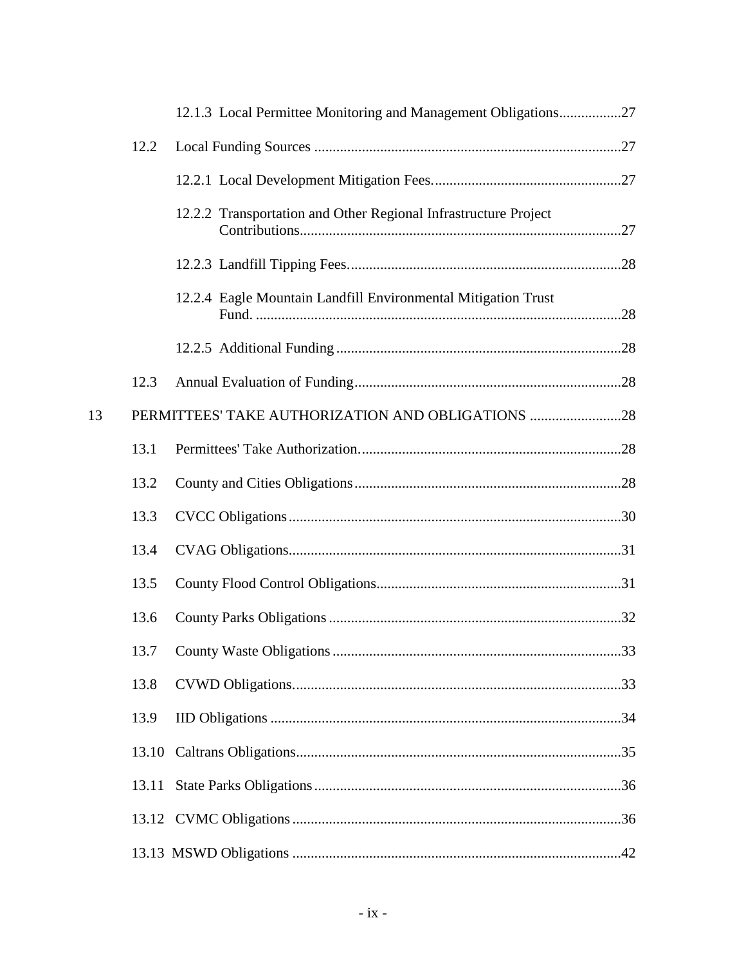|    |       | 12.1.3 Local Permittee Monitoring and Management Obligations27  |  |
|----|-------|-----------------------------------------------------------------|--|
|    | 12.2  |                                                                 |  |
|    |       |                                                                 |  |
|    |       | 12.2.2 Transportation and Other Regional Infrastructure Project |  |
|    |       |                                                                 |  |
|    |       | 12.2.4 Eagle Mountain Landfill Environmental Mitigation Trust   |  |
|    |       |                                                                 |  |
|    | 12.3  |                                                                 |  |
| 13 |       | PERMITTEES' TAKE AUTHORIZATION AND OBLIGATIONS 28               |  |
|    | 13.1  |                                                                 |  |
|    | 13.2  |                                                                 |  |
|    | 13.3  |                                                                 |  |
|    | 13.4  |                                                                 |  |
|    | 13.5  |                                                                 |  |
|    | 13.6  |                                                                 |  |
|    |       |                                                                 |  |
|    | 13.8  |                                                                 |  |
|    | 13.9  |                                                                 |  |
|    | 13.10 |                                                                 |  |
|    |       |                                                                 |  |
|    |       |                                                                 |  |
|    |       |                                                                 |  |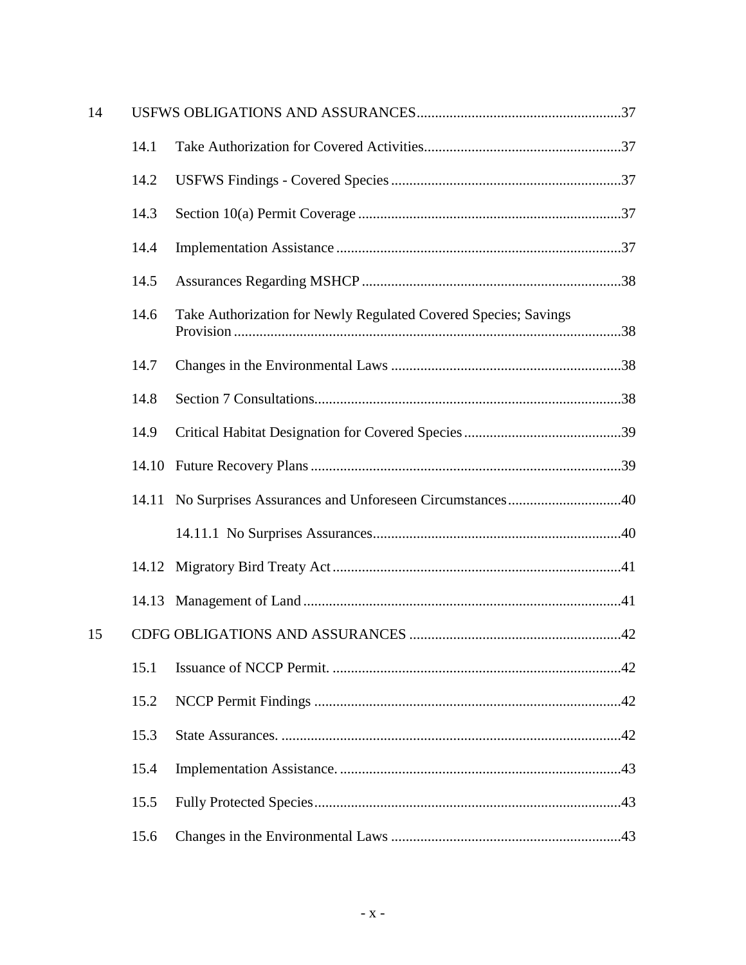| 14 |       |                                                                 |
|----|-------|-----------------------------------------------------------------|
|    | 14.1  |                                                                 |
|    | 14.2  |                                                                 |
|    | 14.3  |                                                                 |
|    | 14.4  |                                                                 |
|    | 14.5  |                                                                 |
|    | 14.6  | Take Authorization for Newly Regulated Covered Species; Savings |
|    | 14.7  |                                                                 |
|    | 14.8  |                                                                 |
|    | 14.9  |                                                                 |
|    | 14.10 |                                                                 |
|    |       | 14.11 No Surprises Assurances and Unforeseen Circumstances40    |
|    |       |                                                                 |
|    |       |                                                                 |
|    |       |                                                                 |
| 15 |       |                                                                 |
|    | 15.1  |                                                                 |
|    | 15.2  |                                                                 |
|    | 15.3  |                                                                 |
|    | 15.4  |                                                                 |
|    | 15.5  |                                                                 |
|    | 15.6  |                                                                 |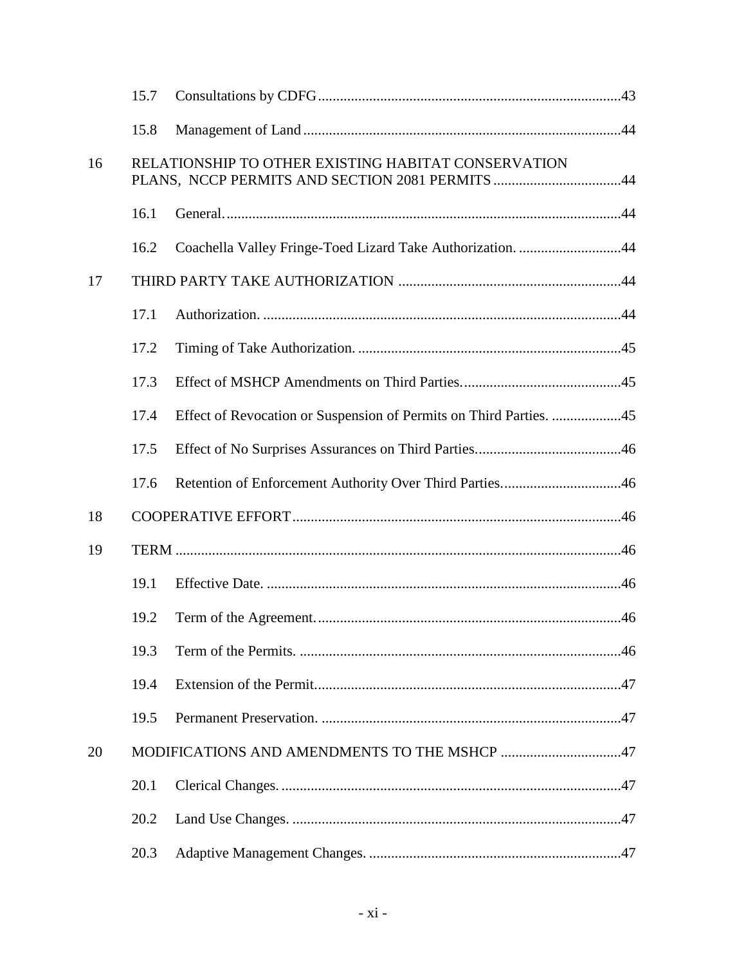|    | 15.7 |                                                                    |  |
|----|------|--------------------------------------------------------------------|--|
|    | 15.8 |                                                                    |  |
| 16 |      | RELATIONSHIP TO OTHER EXISTING HABITAT CONSERVATION                |  |
|    | 16.1 |                                                                    |  |
|    | 16.2 | Coachella Valley Fringe-Toed Lizard Take Authorization. 44         |  |
| 17 |      |                                                                    |  |
|    | 17.1 |                                                                    |  |
|    | 17.2 |                                                                    |  |
|    | 17.3 |                                                                    |  |
|    | 17.4 | Effect of Revocation or Suspension of Permits on Third Parties. 45 |  |
|    | 17.5 |                                                                    |  |
|    | 17.6 | Retention of Enforcement Authority Over Third Parties46            |  |
| 18 |      |                                                                    |  |
| 19 |      |                                                                    |  |
|    | 19.1 |                                                                    |  |
|    | 19.2 |                                                                    |  |
|    | 19.3 |                                                                    |  |
|    | 19.4 |                                                                    |  |
|    | 19.5 |                                                                    |  |
| 20 |      | MODIFICATIONS AND AMENDMENTS TO THE MSHCP 47                       |  |
|    | 20.1 |                                                                    |  |
|    | 20.2 |                                                                    |  |
|    | 20.3 |                                                                    |  |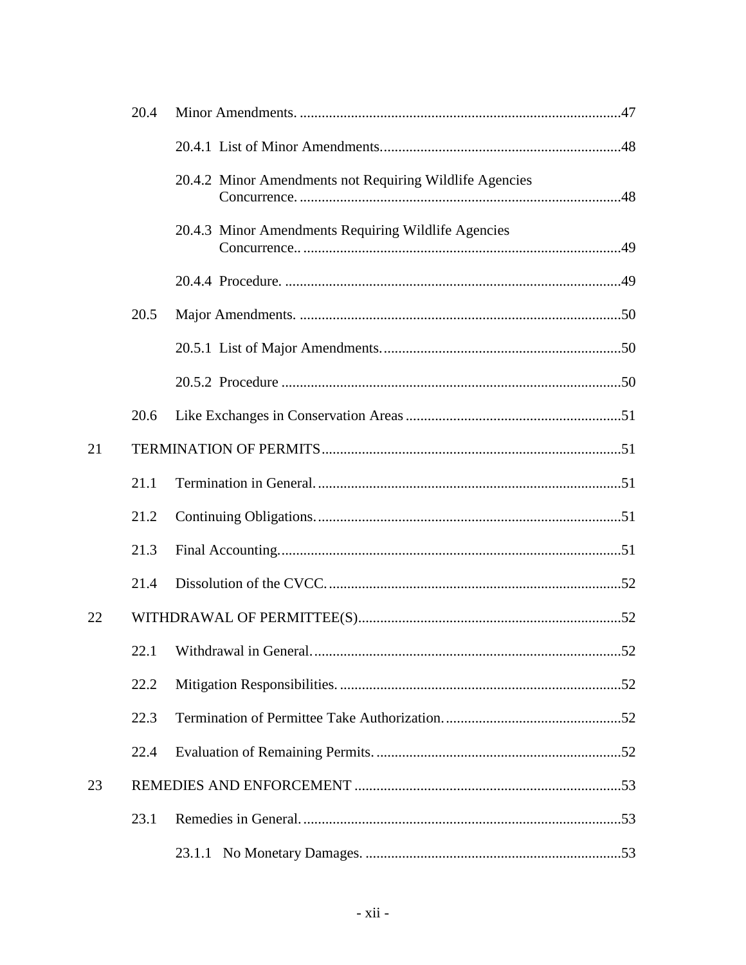|    | 20.4 |                                                         |  |
|----|------|---------------------------------------------------------|--|
|    |      |                                                         |  |
|    |      | 20.4.2 Minor Amendments not Requiring Wildlife Agencies |  |
|    |      | 20.4.3 Minor Amendments Requiring Wildlife Agencies     |  |
|    |      |                                                         |  |
|    | 20.5 |                                                         |  |
|    |      |                                                         |  |
|    |      |                                                         |  |
|    | 20.6 |                                                         |  |
| 21 |      |                                                         |  |
|    | 21.1 |                                                         |  |
|    | 21.2 |                                                         |  |
|    | 21.3 |                                                         |  |
|    | 21.4 |                                                         |  |
| 22 |      |                                                         |  |
|    |      |                                                         |  |
|    | 22.2 |                                                         |  |
|    | 22.3 |                                                         |  |
|    | 22.4 |                                                         |  |
| 23 |      |                                                         |  |
|    | 23.1 |                                                         |  |
|    |      |                                                         |  |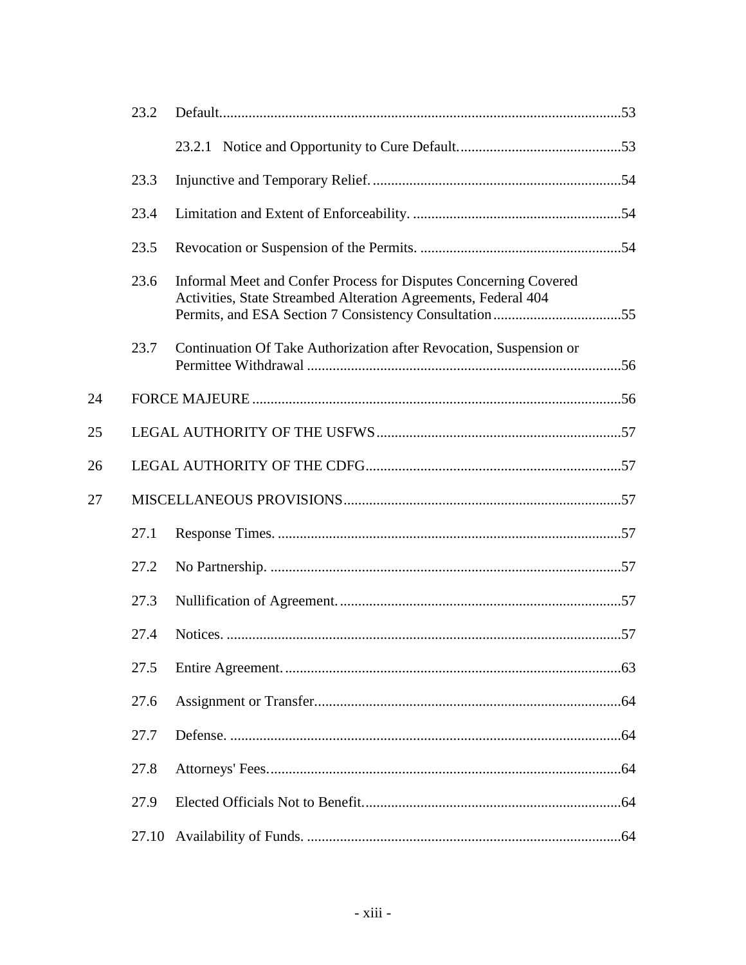|    | 23.2  |                                                                                                                                    |  |
|----|-------|------------------------------------------------------------------------------------------------------------------------------------|--|
|    |       |                                                                                                                                    |  |
|    | 23.3  |                                                                                                                                    |  |
|    | 23.4  |                                                                                                                                    |  |
|    | 23.5  |                                                                                                                                    |  |
|    | 23.6  | Informal Meet and Confer Process for Disputes Concerning Covered<br>Activities, State Streambed Alteration Agreements, Federal 404 |  |
|    | 23.7  | Continuation Of Take Authorization after Revocation, Suspension or                                                                 |  |
| 24 |       |                                                                                                                                    |  |
| 25 |       |                                                                                                                                    |  |
| 26 |       |                                                                                                                                    |  |
| 27 |       |                                                                                                                                    |  |
|    | 27.1  |                                                                                                                                    |  |
|    | 27.2  |                                                                                                                                    |  |
|    | 27.3  |                                                                                                                                    |  |
|    | 27.4  |                                                                                                                                    |  |
|    | 27.5  |                                                                                                                                    |  |
|    | 27.6  |                                                                                                                                    |  |
|    | 27.7  |                                                                                                                                    |  |
|    | 27.8  |                                                                                                                                    |  |
|    | 27.9  |                                                                                                                                    |  |
|    | 27.10 |                                                                                                                                    |  |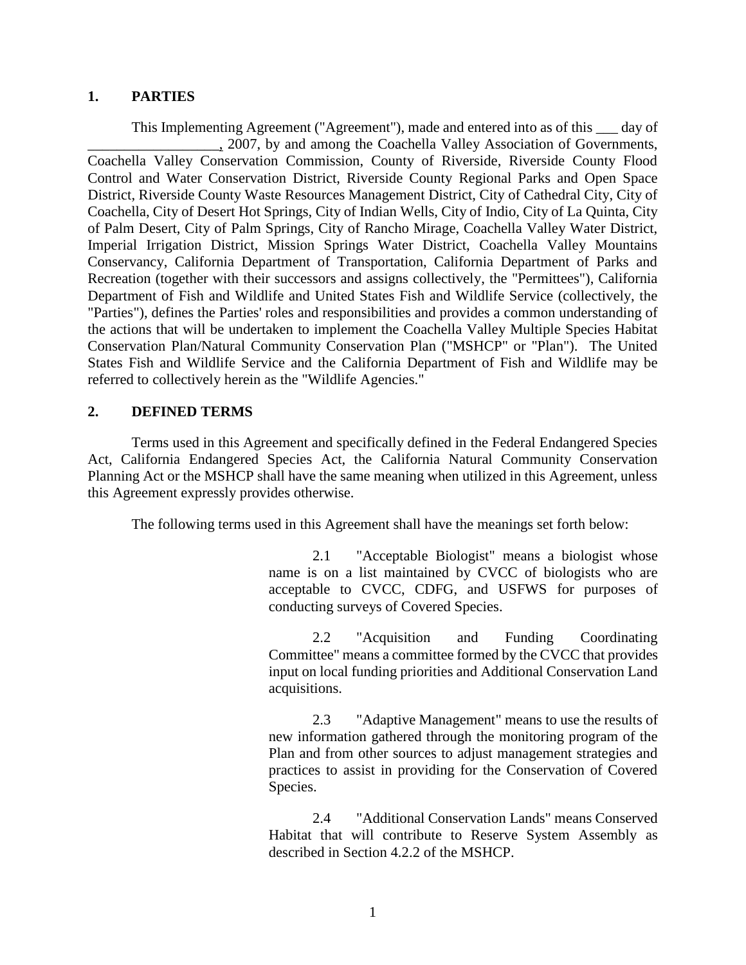#### **1. PARTIES**

This Implementing Agreement ("Agreement"), made and entered into as of this \_\_\_ day of \_\_\_\_\_\_\_\_\_\_\_\_\_\_\_\_\_\_, 2007, by and among the Coachella Valley Association of Governments, Coachella Valley Conservation Commission, County of Riverside, Riverside County Flood Control and Water Conservation District, Riverside County Regional Parks and Open Space District, Riverside County Waste Resources Management District, City of Cathedral City, City of Coachella, City of Desert Hot Springs, City of Indian Wells, City of Indio, City of La Quinta, City of Palm Desert, City of Palm Springs, City of Rancho Mirage, Coachella Valley Water District, Imperial Irrigation District, Mission Springs Water District, Coachella Valley Mountains Conservancy, California Department of Transportation, California Department of Parks and Recreation (together with their successors and assigns collectively, the "Permittees"), California Department of Fish and Wildlife and United States Fish and Wildlife Service (collectively, the "Parties"), defines the Parties' roles and responsibilities and provides a common understanding of the actions that will be undertaken to implement the Coachella Valley Multiple Species Habitat Conservation Plan/Natural Community Conservation Plan ("MSHCP" or "Plan"). The United States Fish and Wildlife Service and the California Department of Fish and Wildlife may be referred to collectively herein as the "Wildlife Agencies."

### **2. DEFINED TERMS**

Terms used in this Agreement and specifically defined in the Federal Endangered Species Act, California Endangered Species Act, the California Natural Community Conservation Planning Act or the MSHCP shall have the same meaning when utilized in this Agreement, unless this Agreement expressly provides otherwise.

The following terms used in this Agreement shall have the meanings set forth below:

2.1 "Acceptable Biologist" means a biologist whose name is on a list maintained by CVCC of biologists who are acceptable to CVCC, CDFG, and USFWS for purposes of conducting surveys of Covered Species.

2.2 "Acquisition and Funding Coordinating Committee" means a committee formed by the CVCC that provides input on local funding priorities and Additional Conservation Land acquisitions.

2.3 "Adaptive Management" means to use the results of new information gathered through the monitoring program of the Plan and from other sources to adjust management strategies and practices to assist in providing for the Conservation of Covered Species.

2.4 "Additional Conservation Lands" means Conserved Habitat that will contribute to Reserve System Assembly as described in Section 4.2.2 of the MSHCP.

1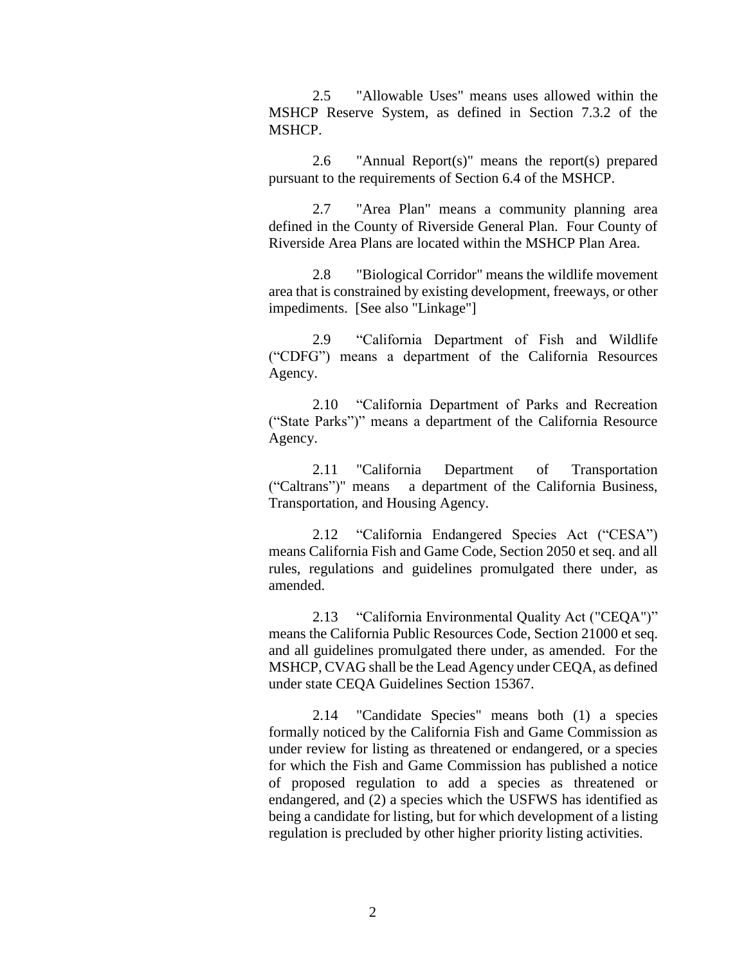2.5 "Allowable Uses" means uses allowed within the MSHCP Reserve System, as defined in Section 7.3.2 of the MSHCP.

2.6 "Annual Report(s)" means the report(s) prepared pursuant to the requirements of Section 6.4 of the MSHCP.

2.7 "Area Plan" means a community planning area defined in the County of Riverside General Plan. Four County of Riverside Area Plans are located within the MSHCP Plan Area.

2.8 "Biological Corridor" means the wildlife movement area that is constrained by existing development, freeways, or other impediments. [See also "Linkage"]

2.9 "California Department of Fish and Wildlife ("CDFG") means a department of the California Resources Agency.

2.10 "California Department of Parks and Recreation ("State Parks")" means a department of the California Resource Agency.

2.11 "California Department of Transportation ("Caltrans")" means a department of the California Business, Transportation, and Housing Agency.

2.12 "California Endangered Species Act ("CESA") means California Fish and Game Code, Section 2050 et seq. and all rules, regulations and guidelines promulgated there under, as amended.

2.13 "California Environmental Quality Act ("CEQA")" means the California Public Resources Code, Section 21000 et seq. and all guidelines promulgated there under, as amended. For the MSHCP, CVAG shall be the Lead Agency under CEQA, as defined under state CEQA Guidelines Section 15367.

2.14 "Candidate Species" means both (1) a species formally noticed by the California Fish and Game Commission as under review for listing as threatened or endangered, or a species for which the Fish and Game Commission has published a notice of proposed regulation to add a species as threatened or endangered, and (2) a species which the USFWS has identified as being a candidate for listing, but for which development of a listing regulation is precluded by other higher priority listing activities.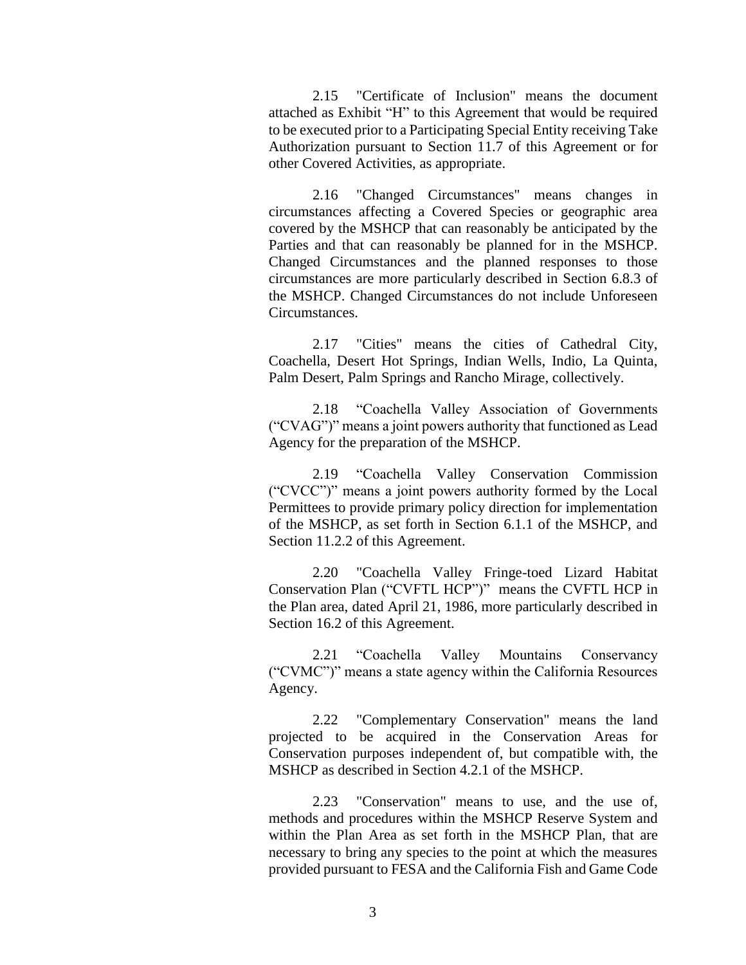2.15 "Certificate of Inclusion" means the document attached as Exhibit "H" to this Agreement that would be required to be executed prior to a Participating Special Entity receiving Take Authorization pursuant to Section 11.7 of this Agreement or for other Covered Activities, as appropriate.

2.16 "Changed Circumstances" means changes in circumstances affecting a Covered Species or geographic area covered by the MSHCP that can reasonably be anticipated by the Parties and that can reasonably be planned for in the MSHCP. Changed Circumstances and the planned responses to those circumstances are more particularly described in Section 6.8.3 of the MSHCP. Changed Circumstances do not include Unforeseen Circumstances.

2.17 "Cities" means the cities of Cathedral City, Coachella, Desert Hot Springs, Indian Wells, Indio, La Quinta, Palm Desert, Palm Springs and Rancho Mirage, collectively.

2.18 "Coachella Valley Association of Governments ("CVAG")" means a joint powers authority that functioned as Lead Agency for the preparation of the MSHCP.

2.19 "Coachella Valley Conservation Commission ("CVCC")" means a joint powers authority formed by the Local Permittees to provide primary policy direction for implementation of the MSHCP, as set forth in Section 6.1.1 of the MSHCP, and Section 11.2.2 of this Agreement.

2.20 "Coachella Valley Fringe-toed Lizard Habitat Conservation Plan ("CVFTL HCP")" means the CVFTL HCP in the Plan area, dated April 21, 1986, more particularly described in Section 16.2 of this Agreement.

2.21 "Coachella Valley Mountains Conservancy ("CVMC")" means a state agency within the California Resources Agency.

2.22 "Complementary Conservation" means the land projected to be acquired in the Conservation Areas for Conservation purposes independent of, but compatible with, the MSHCP as described in Section 4.2.1 of the MSHCP.

2.23 "Conservation" means to use, and the use of, methods and procedures within the MSHCP Reserve System and within the Plan Area as set forth in the MSHCP Plan, that are necessary to bring any species to the point at which the measures provided pursuant to FESA and the California Fish and Game Code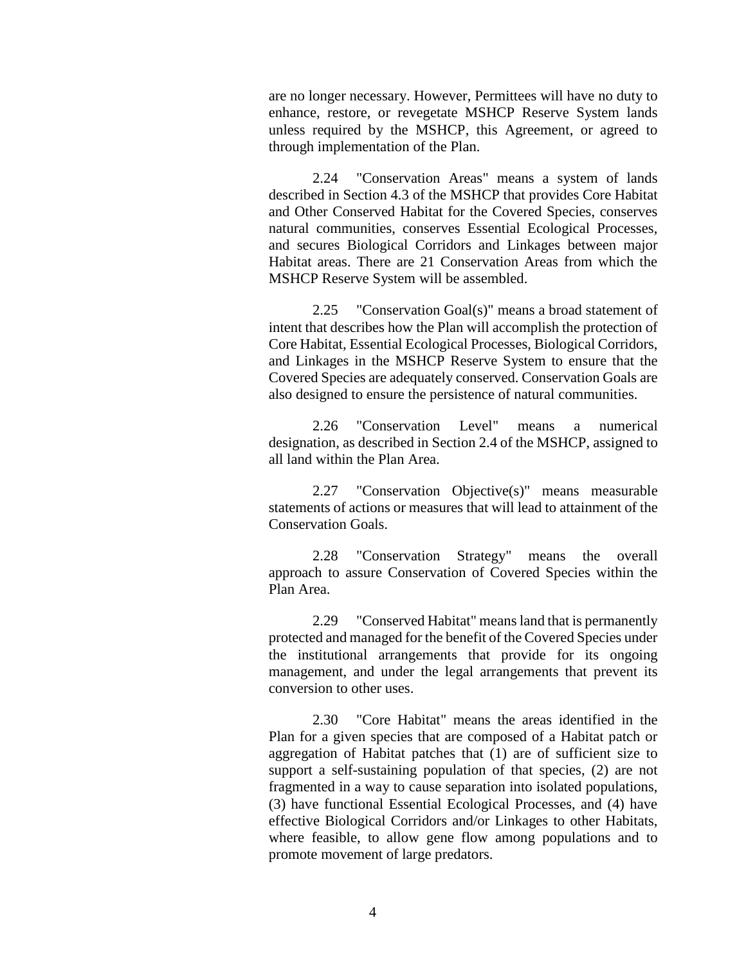are no longer necessary. However, Permittees will have no duty to enhance, restore, or revegetate MSHCP Reserve System lands unless required by the MSHCP, this Agreement, or agreed to through implementation of the Plan.

2.24 "Conservation Areas" means a system of lands described in Section 4.3 of the MSHCP that provides Core Habitat and Other Conserved Habitat for the Covered Species, conserves natural communities, conserves Essential Ecological Processes, and secures Biological Corridors and Linkages between major Habitat areas. There are 21 Conservation Areas from which the MSHCP Reserve System will be assembled.

2.25 "Conservation Goal(s)" means a broad statement of intent that describes how the Plan will accomplish the protection of Core Habitat, Essential Ecological Processes, Biological Corridors, and Linkages in the MSHCP Reserve System to ensure that the Covered Species are adequately conserved. Conservation Goals are also designed to ensure the persistence of natural communities.

2.26 "Conservation Level" means a numerical designation, as described in Section 2.4 of the MSHCP, assigned to all land within the Plan Area.

2.27 "Conservation Objective(s)" means measurable statements of actions or measures that will lead to attainment of the Conservation Goals.

2.28 "Conservation Strategy" means the overall approach to assure Conservation of Covered Species within the Plan Area.

2.29 "Conserved Habitat" means land that is permanently protected and managed for the benefit of the Covered Species under the institutional arrangements that provide for its ongoing management, and under the legal arrangements that prevent its conversion to other uses.

2.30 "Core Habitat" means the areas identified in the Plan for a given species that are composed of a Habitat patch or aggregation of Habitat patches that (1) are of sufficient size to support a self-sustaining population of that species, (2) are not fragmented in a way to cause separation into isolated populations, (3) have functional Essential Ecological Processes, and (4) have effective Biological Corridors and/or Linkages to other Habitats, where feasible, to allow gene flow among populations and to promote movement of large predators.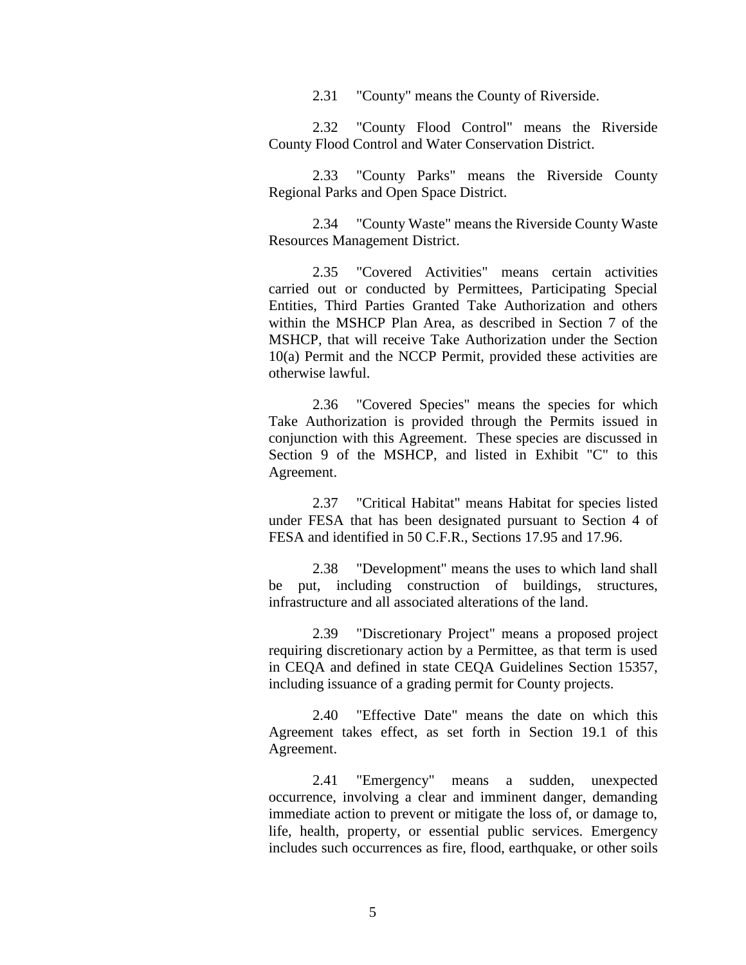2.31 "County" means the County of Riverside.

2.32 "County Flood Control" means the Riverside County Flood Control and Water Conservation District.

2.33 "County Parks" means the Riverside County Regional Parks and Open Space District.

2.34 "County Waste" means the Riverside County Waste Resources Management District.

2.35 "Covered Activities" means certain activities carried out or conducted by Permittees, Participating Special Entities, Third Parties Granted Take Authorization and others within the MSHCP Plan Area, as described in Section 7 of the MSHCP, that will receive Take Authorization under the Section 10(a) Permit and the NCCP Permit, provided these activities are otherwise lawful.

2.36 "Covered Species" means the species for which Take Authorization is provided through the Permits issued in conjunction with this Agreement. These species are discussed in Section 9 of the MSHCP, and listed in Exhibit "C" to this Agreement.

2.37 "Critical Habitat" means Habitat for species listed under FESA that has been designated pursuant to Section 4 of FESA and identified in 50 C.F.R., Sections 17.95 and 17.96.

2.38 "Development" means the uses to which land shall be put, including construction of buildings, structures, infrastructure and all associated alterations of the land.

2.39 "Discretionary Project" means a proposed project requiring discretionary action by a Permittee, as that term is used in CEQA and defined in state CEQA Guidelines Section 15357, including issuance of a grading permit for County projects.

2.40 "Effective Date" means the date on which this Agreement takes effect, as set forth in Section 19.1 of this Agreement.

2.41 "Emergency" means a sudden, unexpected occurrence, involving a clear and imminent danger, demanding immediate action to prevent or mitigate the loss of, or damage to, life, health, property, or essential public services. Emergency includes such occurrences as fire, flood, earthquake, or other soils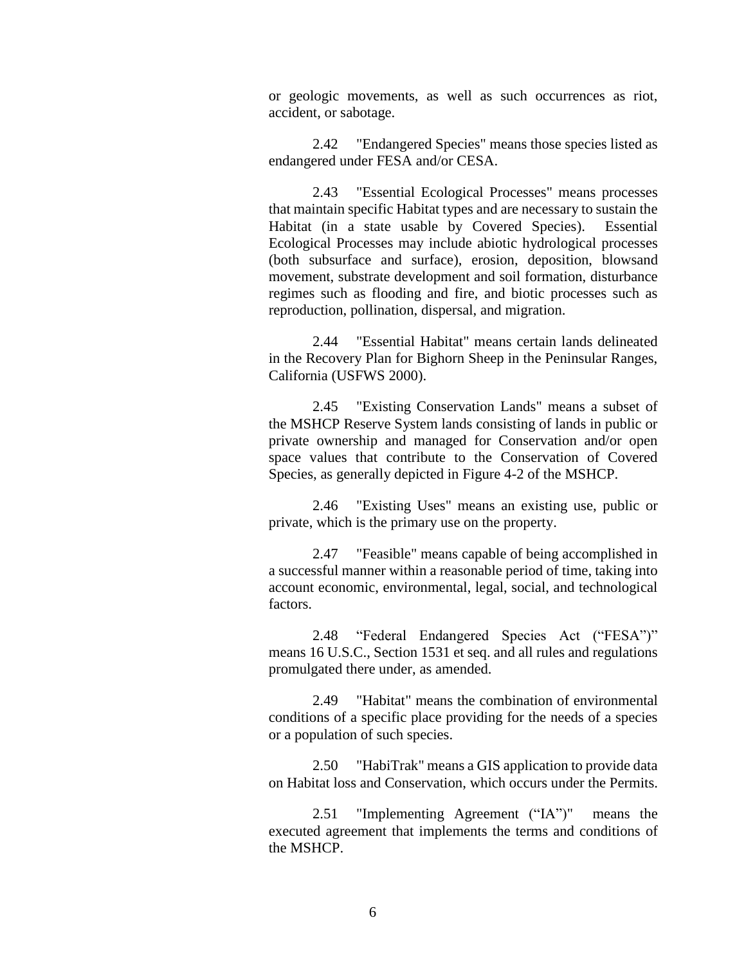or geologic movements, as well as such occurrences as riot, accident, or sabotage.

2.42 "Endangered Species" means those species listed as endangered under FESA and/or CESA.

2.43 "Essential Ecological Processes" means processes that maintain specific Habitat types and are necessary to sustain the Habitat (in a state usable by Covered Species). Essential Ecological Processes may include abiotic hydrological processes (both subsurface and surface), erosion, deposition, blowsand movement, substrate development and soil formation, disturbance regimes such as flooding and fire, and biotic processes such as reproduction, pollination, dispersal, and migration.

2.44 "Essential Habitat" means certain lands delineated in the Recovery Plan for Bighorn Sheep in the Peninsular Ranges, California (USFWS 2000).

2.45 "Existing Conservation Lands" means a subset of the MSHCP Reserve System lands consisting of lands in public or private ownership and managed for Conservation and/or open space values that contribute to the Conservation of Covered Species, as generally depicted in Figure 4-2 of the MSHCP.

2.46 "Existing Uses" means an existing use, public or private, which is the primary use on the property.

2.47 "Feasible" means capable of being accomplished in a successful manner within a reasonable period of time, taking into account economic, environmental, legal, social, and technological factors.

2.48 "Federal Endangered Species Act ("FESA")" means 16 U.S.C., Section 1531 et seq. and all rules and regulations promulgated there under, as amended.

2.49 "Habitat" means the combination of environmental conditions of a specific place providing for the needs of a species or a population of such species.

2.50 "HabiTrak" means a GIS application to provide data on Habitat loss and Conservation, which occurs under the Permits.

2.51 "Implementing Agreement ("IA")" means the executed agreement that implements the terms and conditions of the MSHCP.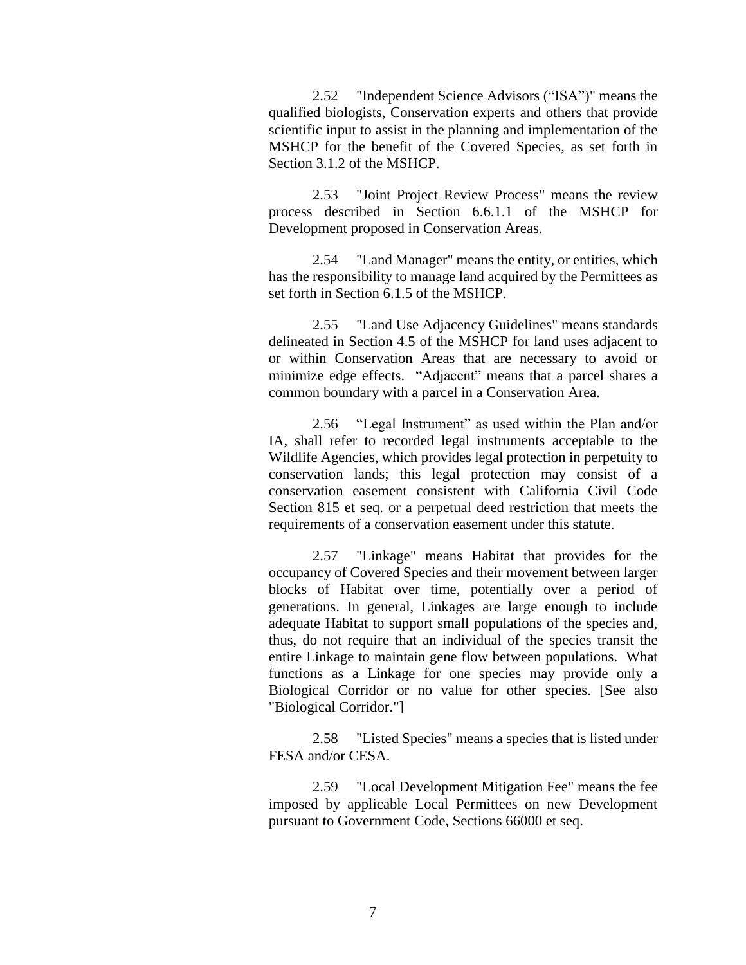2.52 "Independent Science Advisors ("ISA")" means the qualified biologists, Conservation experts and others that provide scientific input to assist in the planning and implementation of the MSHCP for the benefit of the Covered Species, as set forth in Section 3.1.2 of the MSHCP.

2.53 "Joint Project Review Process" means the review process described in Section 6.6.1.1 of the MSHCP for Development proposed in Conservation Areas.

2.54 "Land Manager" means the entity, or entities, which has the responsibility to manage land acquired by the Permittees as set forth in Section 6.1.5 of the MSHCP.

2.55 "Land Use Adjacency Guidelines" means standards delineated in Section 4.5 of the MSHCP for land uses adjacent to or within Conservation Areas that are necessary to avoid or minimize edge effects. "Adjacent" means that a parcel shares a common boundary with a parcel in a Conservation Area.

2.56 "Legal Instrument" as used within the Plan and/or IA, shall refer to recorded legal instruments acceptable to the Wildlife Agencies, which provides legal protection in perpetuity to conservation lands; this legal protection may consist of a conservation easement consistent with California Civil Code Section 815 et seq. or a perpetual deed restriction that meets the requirements of a conservation easement under this statute.

2.57 "Linkage" means Habitat that provides for the occupancy of Covered Species and their movement between larger blocks of Habitat over time, potentially over a period of generations. In general, Linkages are large enough to include adequate Habitat to support small populations of the species and, thus, do not require that an individual of the species transit the entire Linkage to maintain gene flow between populations. What functions as a Linkage for one species may provide only a Biological Corridor or no value for other species. [See also "Biological Corridor."]

2.58 "Listed Species" means a species that is listed under FESA and/or CESA.

2.59 "Local Development Mitigation Fee" means the fee imposed by applicable Local Permittees on new Development pursuant to Government Code, Sections 66000 et seq.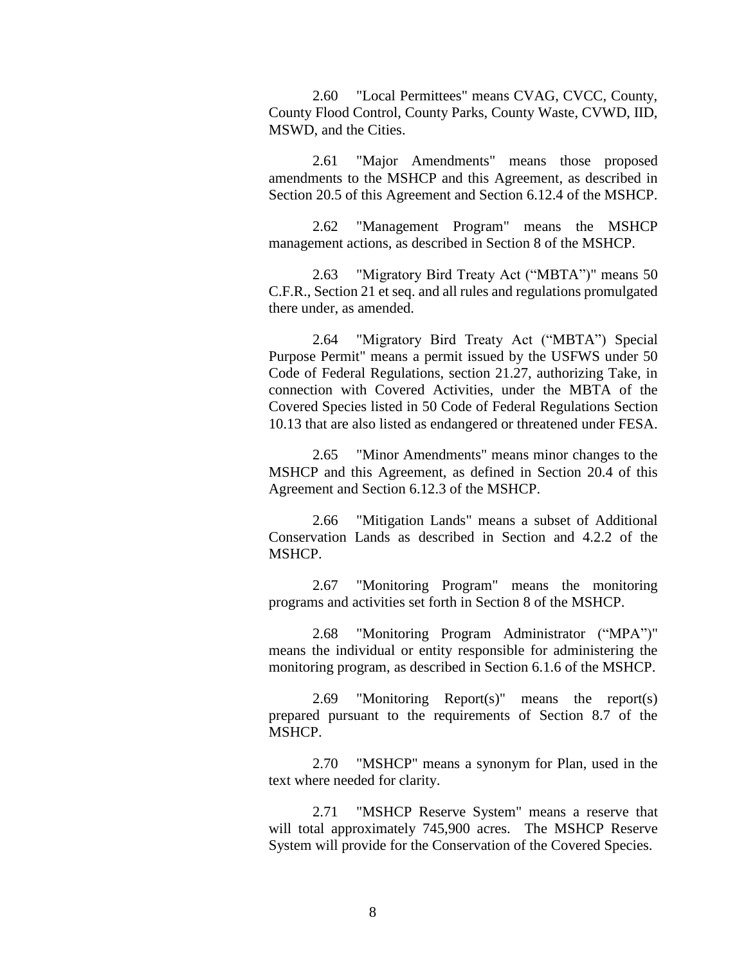2.60 "Local Permittees" means CVAG, CVCC, County, County Flood Control, County Parks, County Waste, CVWD, IID, MSWD, and the Cities.

2.61 "Major Amendments" means those proposed amendments to the MSHCP and this Agreement, as described in Section 20.5 of this Agreement and Section 6.12.4 of the MSHCP.

2.62 "Management Program" means the MSHCP management actions, as described in Section 8 of the MSHCP.

2.63 "Migratory Bird Treaty Act ("MBTA")" means 50 C.F.R., Section 21 et seq. and all rules and regulations promulgated there under, as amended.

2.64 "Migratory Bird Treaty Act ("MBTA") Special Purpose Permit" means a permit issued by the USFWS under 50 Code of Federal Regulations, section 21.27, authorizing Take, in connection with Covered Activities, under the MBTA of the Covered Species listed in 50 Code of Federal Regulations Section 10.13 that are also listed as endangered or threatened under FESA.

2.65 "Minor Amendments" means minor changes to the MSHCP and this Agreement, as defined in Section 20.4 of this Agreement and Section 6.12.3 of the MSHCP.

2.66 "Mitigation Lands" means a subset of Additional Conservation Lands as described in Section and 4.2.2 of the MSHCP.

2.67 "Monitoring Program" means the monitoring programs and activities set forth in Section 8 of the MSHCP.

2.68 "Monitoring Program Administrator ("MPA")" means the individual or entity responsible for administering the monitoring program, as described in Section 6.1.6 of the MSHCP.

2.69 "Monitoring Report(s)" means the report(s) prepared pursuant to the requirements of Section 8.7 of the MSHCP.

2.70 "MSHCP" means a synonym for Plan, used in the text where needed for clarity.

2.71 "MSHCP Reserve System" means a reserve that will total approximately 745,900 acres. The MSHCP Reserve System will provide for the Conservation of the Covered Species.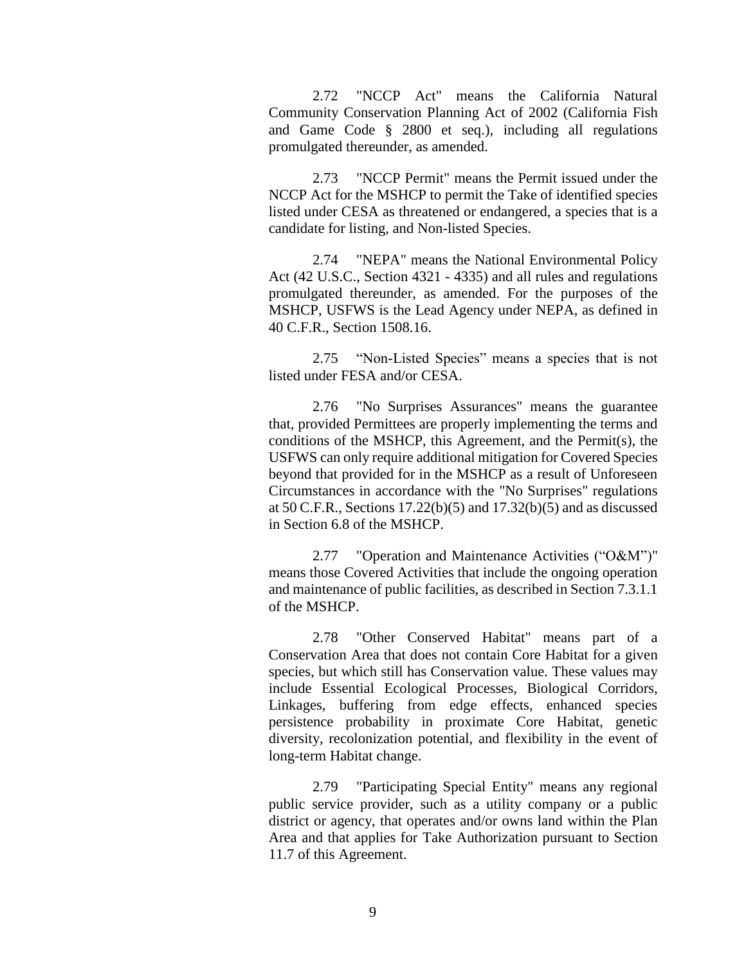2.72 "NCCP Act" means the California Natural Community Conservation Planning Act of 2002 (California Fish and Game Code § 2800 et seq.), including all regulations promulgated thereunder, as amended.

2.73 "NCCP Permit" means the Permit issued under the NCCP Act for the MSHCP to permit the Take of identified species listed under CESA as threatened or endangered, a species that is a candidate for listing, and Non-listed Species.

2.74 "NEPA" means the National Environmental Policy Act (42 U.S.C., Section 4321 - 4335) and all rules and regulations promulgated thereunder, as amended. For the purposes of the MSHCP, USFWS is the Lead Agency under NEPA, as defined in 40 C.F.R., Section 1508.16.

2.75 "Non-Listed Species" means a species that is not listed under FESA and/or CESA.

2.76 "No Surprises Assurances" means the guarantee that, provided Permittees are properly implementing the terms and conditions of the MSHCP, this Agreement, and the Permit(s), the USFWS can only require additional mitigation for Covered Species beyond that provided for in the MSHCP as a result of Unforeseen Circumstances in accordance with the "No Surprises" regulations at 50 C.F.R., Sections 17.22(b)(5) and 17.32(b)(5) and as discussed in Section 6.8 of the MSHCP.

2.77 "Operation and Maintenance Activities ("O&M")" means those Covered Activities that include the ongoing operation and maintenance of public facilities, as described in Section 7.3.1.1 of the MSHCP.

2.78 "Other Conserved Habitat" means part of a Conservation Area that does not contain Core Habitat for a given species, but which still has Conservation value. These values may include Essential Ecological Processes, Biological Corridors, Linkages, buffering from edge effects, enhanced species persistence probability in proximate Core Habitat, genetic diversity, recolonization potential, and flexibility in the event of long-term Habitat change.

2.79 "Participating Special Entity" means any regional public service provider, such as a utility company or a public district or agency, that operates and/or owns land within the Plan Area and that applies for Take Authorization pursuant to Section 11.7 of this Agreement.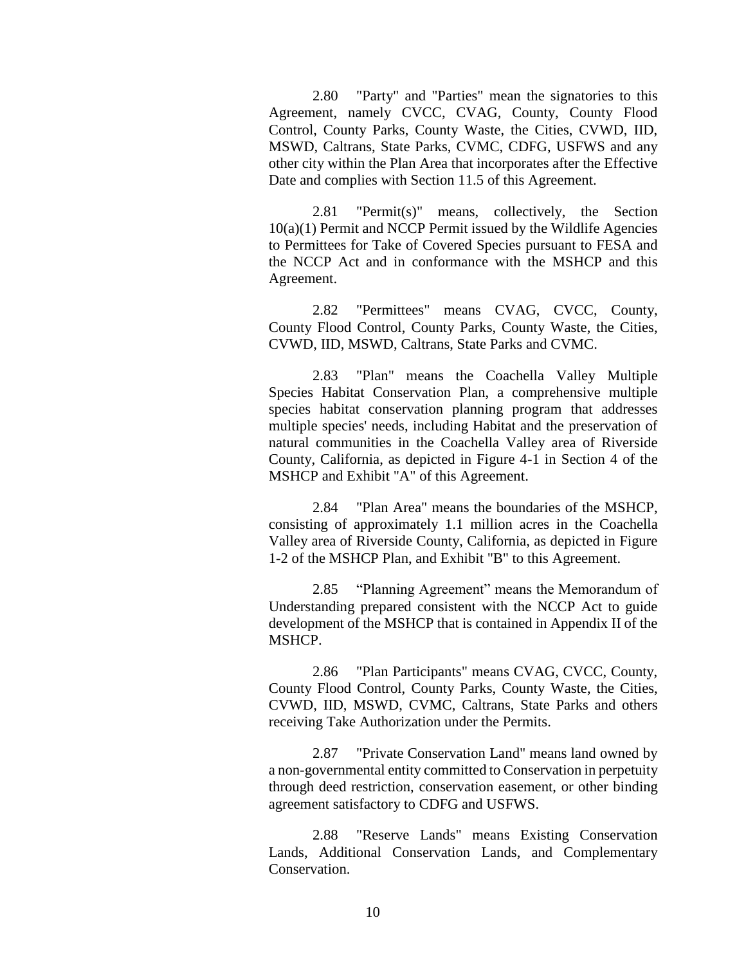2.80 "Party" and "Parties" mean the signatories to this Agreement, namely CVCC, CVAG, County, County Flood Control, County Parks, County Waste, the Cities, CVWD, IID, MSWD, Caltrans, State Parks, CVMC, CDFG, USFWS and any other city within the Plan Area that incorporates after the Effective Date and complies with Section 11.5 of this Agreement.

2.81 "Permit(s)" means, collectively, the Section 10(a)(1) Permit and NCCP Permit issued by the Wildlife Agencies to Permittees for Take of Covered Species pursuant to FESA and the NCCP Act and in conformance with the MSHCP and this Agreement.

2.82 "Permittees" means CVAG, CVCC, County, County Flood Control, County Parks, County Waste, the Cities, CVWD, IID, MSWD, Caltrans, State Parks and CVMC.

2.83 "Plan" means the Coachella Valley Multiple Species Habitat Conservation Plan, a comprehensive multiple species habitat conservation planning program that addresses multiple species' needs, including Habitat and the preservation of natural communities in the Coachella Valley area of Riverside County, California, as depicted in Figure 4-1 in Section 4 of the MSHCP and Exhibit "A" of this Agreement.

2.84 "Plan Area" means the boundaries of the MSHCP, consisting of approximately 1.1 million acres in the Coachella Valley area of Riverside County, California, as depicted in Figure 1-2 of the MSHCP Plan, and Exhibit "B" to this Agreement.

2.85 "Planning Agreement" means the Memorandum of Understanding prepared consistent with the NCCP Act to guide development of the MSHCP that is contained in Appendix II of the MSHCP.

2.86 "Plan Participants" means CVAG, CVCC, County, County Flood Control, County Parks, County Waste, the Cities, CVWD, IID, MSWD, CVMC, Caltrans, State Parks and others receiving Take Authorization under the Permits.

2.87 "Private Conservation Land" means land owned by a non-governmental entity committed to Conservation in perpetuity through deed restriction, conservation easement, or other binding agreement satisfactory to CDFG and USFWS.

2.88 "Reserve Lands" means Existing Conservation Lands, Additional Conservation Lands, and Complementary Conservation.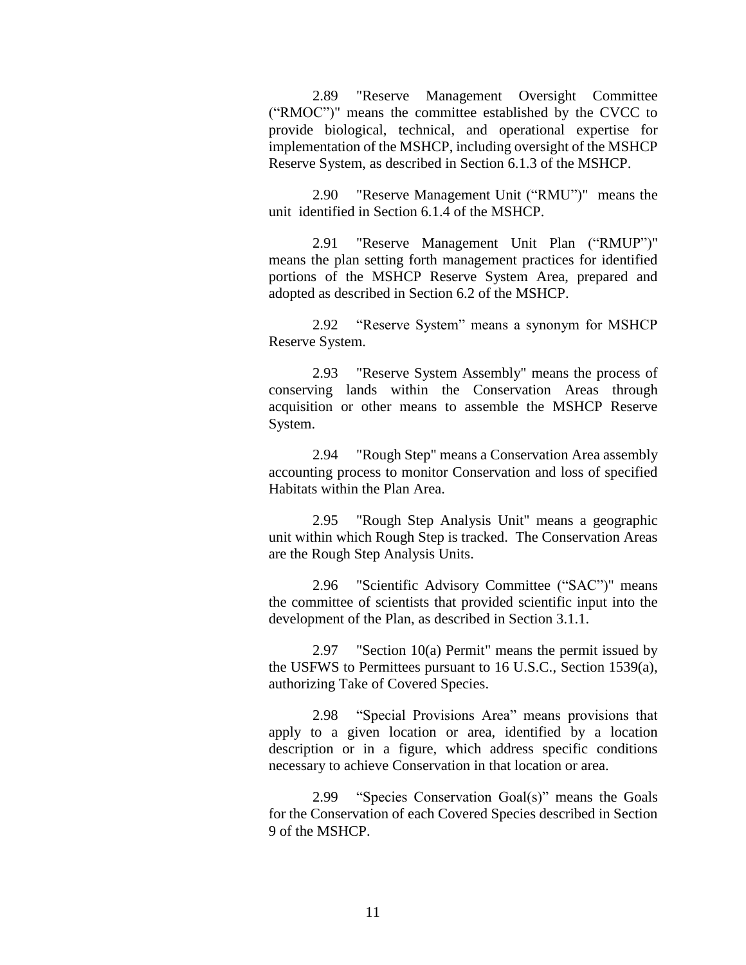2.89 "Reserve Management Oversight Committee ("RMOC")" means the committee established by the CVCC to provide biological, technical, and operational expertise for implementation of the MSHCP, including oversight of the MSHCP Reserve System, as described in Section 6.1.3 of the MSHCP.

2.90 "Reserve Management Unit ("RMU")" means the unit identified in Section 6.1.4 of the MSHCP.

2.91 "Reserve Management Unit Plan ("RMUP")" means the plan setting forth management practices for identified portions of the MSHCP Reserve System Area, prepared and adopted as described in Section 6.2 of the MSHCP.

2.92 "Reserve System" means a synonym for MSHCP Reserve System.

2.93 "Reserve System Assembly" means the process of conserving lands within the Conservation Areas through acquisition or other means to assemble the MSHCP Reserve System.

2.94 "Rough Step" means a Conservation Area assembly accounting process to monitor Conservation and loss of specified Habitats within the Plan Area.

2.95 "Rough Step Analysis Unit" means a geographic unit within which Rough Step is tracked. The Conservation Areas are the Rough Step Analysis Units.

2.96 "Scientific Advisory Committee ("SAC")" means the committee of scientists that provided scientific input into the development of the Plan, as described in Section 3.1.1.

2.97 "Section 10(a) Permit" means the permit issued by the USFWS to Permittees pursuant to 16 U.S.C., Section 1539(a), authorizing Take of Covered Species.

2.98 "Special Provisions Area" means provisions that apply to a given location or area, identified by a location description or in a figure, which address specific conditions necessary to achieve Conservation in that location or area.

2.99 "Species Conservation Goal(s)" means the Goals for the Conservation of each Covered Species described in Section 9 of the MSHCP.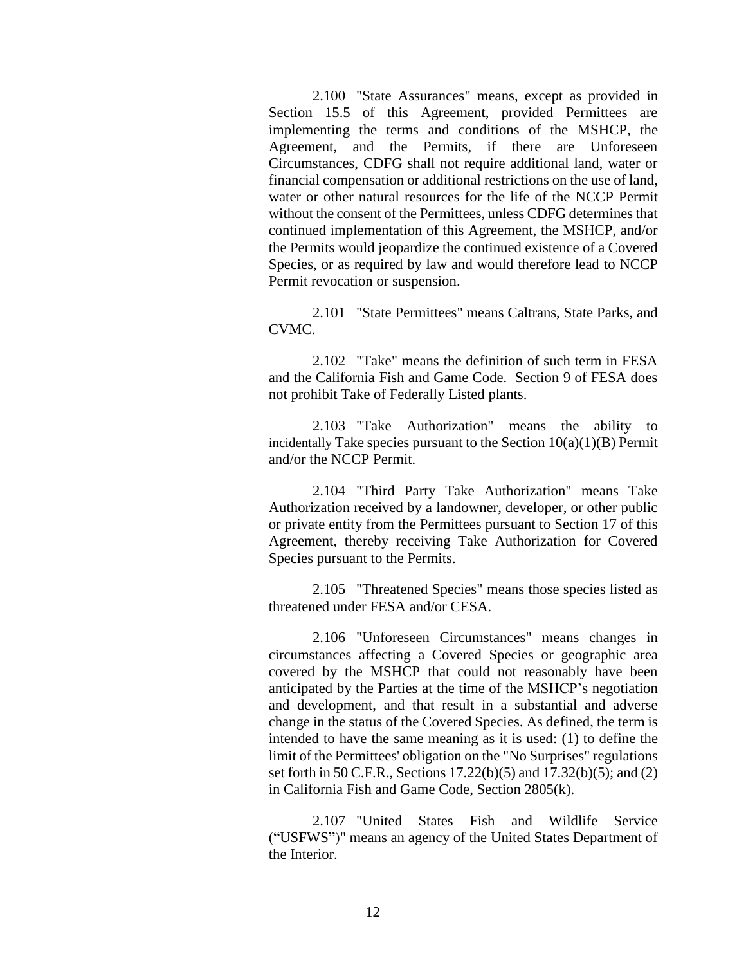2.100 "State Assurances" means, except as provided in Section 15.5 of this Agreement, provided Permittees are implementing the terms and conditions of the MSHCP, the Agreement, and the Permits, if there are Unforeseen Circumstances, CDFG shall not require additional land, water or financial compensation or additional restrictions on the use of land, water or other natural resources for the life of the NCCP Permit without the consent of the Permittees, unless CDFG determines that continued implementation of this Agreement, the MSHCP, and/or the Permits would jeopardize the continued existence of a Covered Species, or as required by law and would therefore lead to NCCP Permit revocation or suspension.

2.101 "State Permittees" means Caltrans, State Parks, and CVMC.

2.102 "Take" means the definition of such term in FESA and the California Fish and Game Code. Section 9 of FESA does not prohibit Take of Federally Listed plants.

2.103 "Take Authorization" means the ability to incidentally Take species pursuant to the Section  $10(a)(1)(B)$  Permit and/or the NCCP Permit.

2.104 "Third Party Take Authorization" means Take Authorization received by a landowner, developer, or other public or private entity from the Permittees pursuant to Section 17 of this Agreement, thereby receiving Take Authorization for Covered Species pursuant to the Permits.

2.105 "Threatened Species" means those species listed as threatened under FESA and/or CESA.

2.106 "Unforeseen Circumstances" means changes in circumstances affecting a Covered Species or geographic area covered by the MSHCP that could not reasonably have been anticipated by the Parties at the time of the MSHCP's negotiation and development, and that result in a substantial and adverse change in the status of the Covered Species. As defined, the term is intended to have the same meaning as it is used: (1) to define the limit of the Permittees' obligation on the "No Surprises" regulations set forth in 50 C.F.R., Sections 17.22(b)(5) and 17.32(b)(5); and (2) in California Fish and Game Code, Section 2805(k).

2.107 "United States Fish and Wildlife Service ("USFWS")" means an agency of the United States Department of the Interior.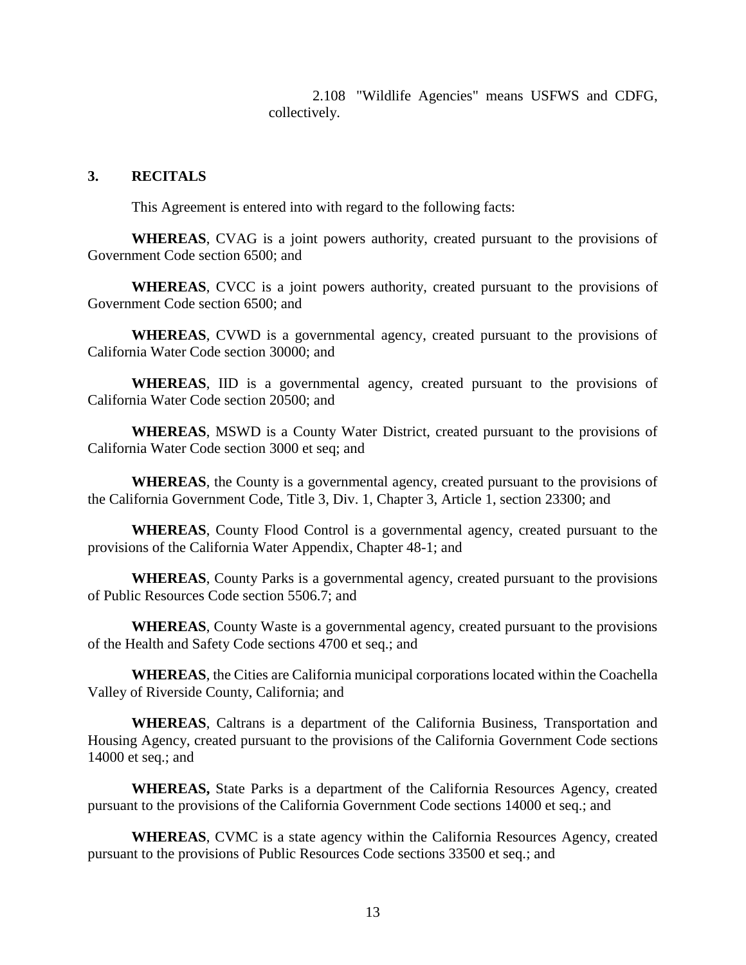2.108 "Wildlife Agencies" means USFWS and CDFG, collectively.

#### **3. RECITALS**

This Agreement is entered into with regard to the following facts:

**WHEREAS**, CVAG is a joint powers authority, created pursuant to the provisions of Government Code section 6500; and

**WHEREAS**, CVCC is a joint powers authority, created pursuant to the provisions of Government Code section 6500; and

**WHEREAS**, CVWD is a governmental agency, created pursuant to the provisions of California Water Code section 30000; and

**WHEREAS**, IID is a governmental agency, created pursuant to the provisions of California Water Code section 20500; and

**WHEREAS**, MSWD is a County Water District, created pursuant to the provisions of California Water Code section 3000 et seq; and

**WHEREAS**, the County is a governmental agency, created pursuant to the provisions of the California Government Code, Title 3, Div. 1, Chapter 3, Article 1, section 23300; and

**WHEREAS**, County Flood Control is a governmental agency, created pursuant to the provisions of the California Water Appendix, Chapter 48-1; and

**WHEREAS**, County Parks is a governmental agency, created pursuant to the provisions of Public Resources Code section 5506.7; and

**WHEREAS**, County Waste is a governmental agency, created pursuant to the provisions of the Health and Safety Code sections 4700 et seq.; and

**WHEREAS**, the Cities are California municipal corporations located within the Coachella Valley of Riverside County, California; and

**WHEREAS**, Caltrans is a department of the California Business, Transportation and Housing Agency, created pursuant to the provisions of the California Government Code sections 14000 et seq.; and

**WHEREAS,** State Parks is a department of the California Resources Agency, created pursuant to the provisions of the California Government Code sections 14000 et seq.; and

**WHEREAS**, CVMC is a state agency within the California Resources Agency, created pursuant to the provisions of Public Resources Code sections 33500 et seq.; and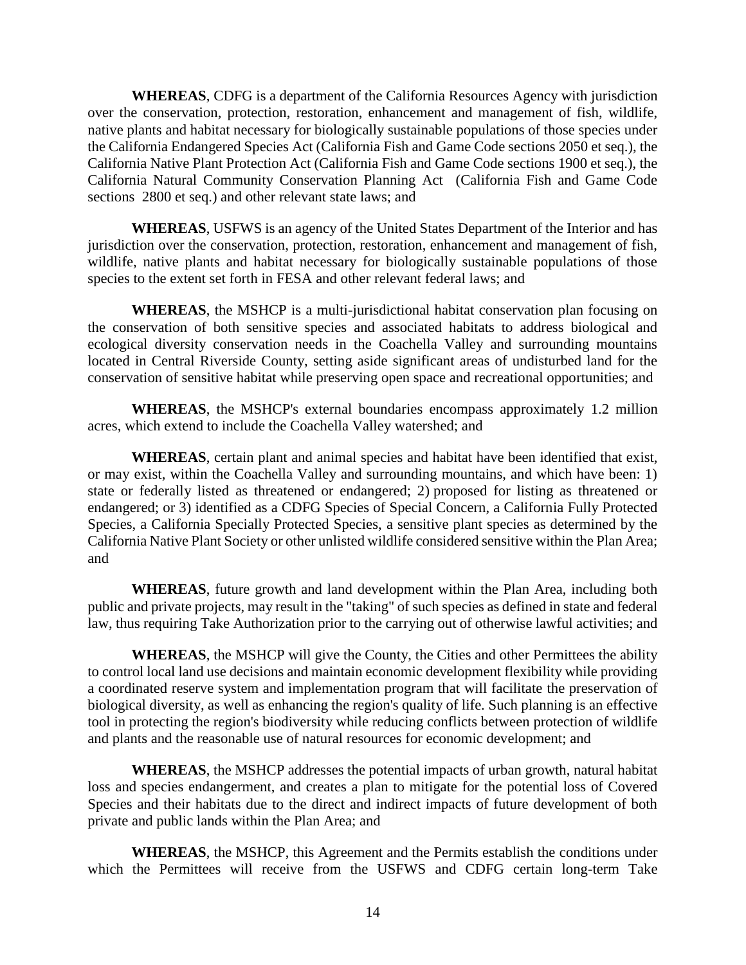**WHEREAS**, CDFG is a department of the California Resources Agency with jurisdiction over the conservation, protection, restoration, enhancement and management of fish, wildlife, native plants and habitat necessary for biologically sustainable populations of those species under the California Endangered Species Act (California Fish and Game Code sections 2050 et seq.), the California Native Plant Protection Act (California Fish and Game Code sections 1900 et seq.), the California Natural Community Conservation Planning Act (California Fish and Game Code sections 2800 et seq.) and other relevant state laws; and

**WHEREAS**, USFWS is an agency of the United States Department of the Interior and has jurisdiction over the conservation, protection, restoration, enhancement and management of fish, wildlife, native plants and habitat necessary for biologically sustainable populations of those species to the extent set forth in FESA and other relevant federal laws; and

**WHEREAS**, the MSHCP is a multi-jurisdictional habitat conservation plan focusing on the conservation of both sensitive species and associated habitats to address biological and ecological diversity conservation needs in the Coachella Valley and surrounding mountains located in Central Riverside County, setting aside significant areas of undisturbed land for the conservation of sensitive habitat while preserving open space and recreational opportunities; and

**WHEREAS**, the MSHCP's external boundaries encompass approximately 1.2 million acres, which extend to include the Coachella Valley watershed; and

**WHEREAS**, certain plant and animal species and habitat have been identified that exist, or may exist, within the Coachella Valley and surrounding mountains, and which have been: 1) state or federally listed as threatened or endangered; 2) proposed for listing as threatened or endangered; or 3) identified as a CDFG Species of Special Concern, a California Fully Protected Species, a California Specially Protected Species, a sensitive plant species as determined by the California Native Plant Society or other unlisted wildlife considered sensitive within the Plan Area; and

**WHEREAS**, future growth and land development within the Plan Area, including both public and private projects, may result in the "taking" of such species as defined in state and federal law, thus requiring Take Authorization prior to the carrying out of otherwise lawful activities; and

**WHEREAS**, the MSHCP will give the County, the Cities and other Permittees the ability to control local land use decisions and maintain economic development flexibility while providing a coordinated reserve system and implementation program that will facilitate the preservation of biological diversity, as well as enhancing the region's quality of life. Such planning is an effective tool in protecting the region's biodiversity while reducing conflicts between protection of wildlife and plants and the reasonable use of natural resources for economic development; and

**WHEREAS**, the MSHCP addresses the potential impacts of urban growth, natural habitat loss and species endangerment, and creates a plan to mitigate for the potential loss of Covered Species and their habitats due to the direct and indirect impacts of future development of both private and public lands within the Plan Area; and

**WHEREAS**, the MSHCP, this Agreement and the Permits establish the conditions under which the Permittees will receive from the USFWS and CDFG certain long-term Take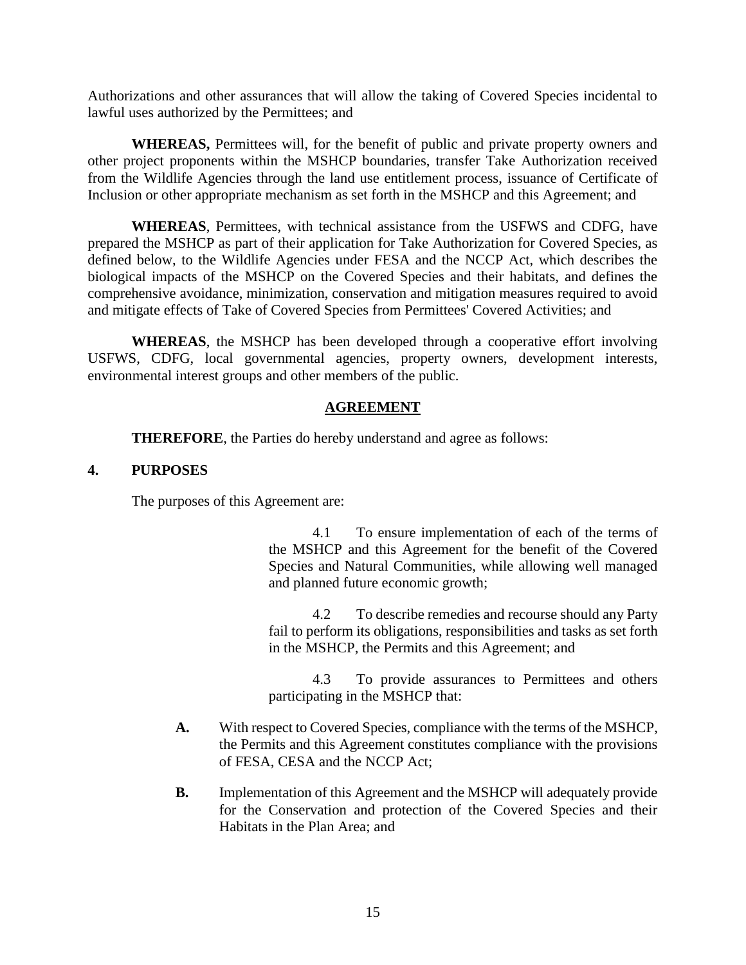Authorizations and other assurances that will allow the taking of Covered Species incidental to lawful uses authorized by the Permittees; and

**WHEREAS,** Permittees will, for the benefit of public and private property owners and other project proponents within the MSHCP boundaries, transfer Take Authorization received from the Wildlife Agencies through the land use entitlement process, issuance of Certificate of Inclusion or other appropriate mechanism as set forth in the MSHCP and this Agreement; and

**WHEREAS**, Permittees, with technical assistance from the USFWS and CDFG, have prepared the MSHCP as part of their application for Take Authorization for Covered Species, as defined below, to the Wildlife Agencies under FESA and the NCCP Act, which describes the biological impacts of the MSHCP on the Covered Species and their habitats, and defines the comprehensive avoidance, minimization, conservation and mitigation measures required to avoid and mitigate effects of Take of Covered Species from Permittees' Covered Activities; and

**WHEREAS**, the MSHCP has been developed through a cooperative effort involving USFWS, CDFG, local governmental agencies, property owners, development interests, environmental interest groups and other members of the public.

# **AGREEMENT**

**THEREFORE**, the Parties do hereby understand and agree as follows:

# **4. PURPOSES**

The purposes of this Agreement are:

4.1 To ensure implementation of each of the terms of the MSHCP and this Agreement for the benefit of the Covered Species and Natural Communities, while allowing well managed and planned future economic growth;

4.2 To describe remedies and recourse should any Party fail to perform its obligations, responsibilities and tasks as set forth in the MSHCP, the Permits and this Agreement; and

4.3 To provide assurances to Permittees and others participating in the MSHCP that:

- **A.** With respect to Covered Species, compliance with the terms of the MSHCP, the Permits and this Agreement constitutes compliance with the provisions of FESA, CESA and the NCCP Act;
- **B.** Implementation of this Agreement and the MSHCP will adequately provide for the Conservation and protection of the Covered Species and their Habitats in the Plan Area; and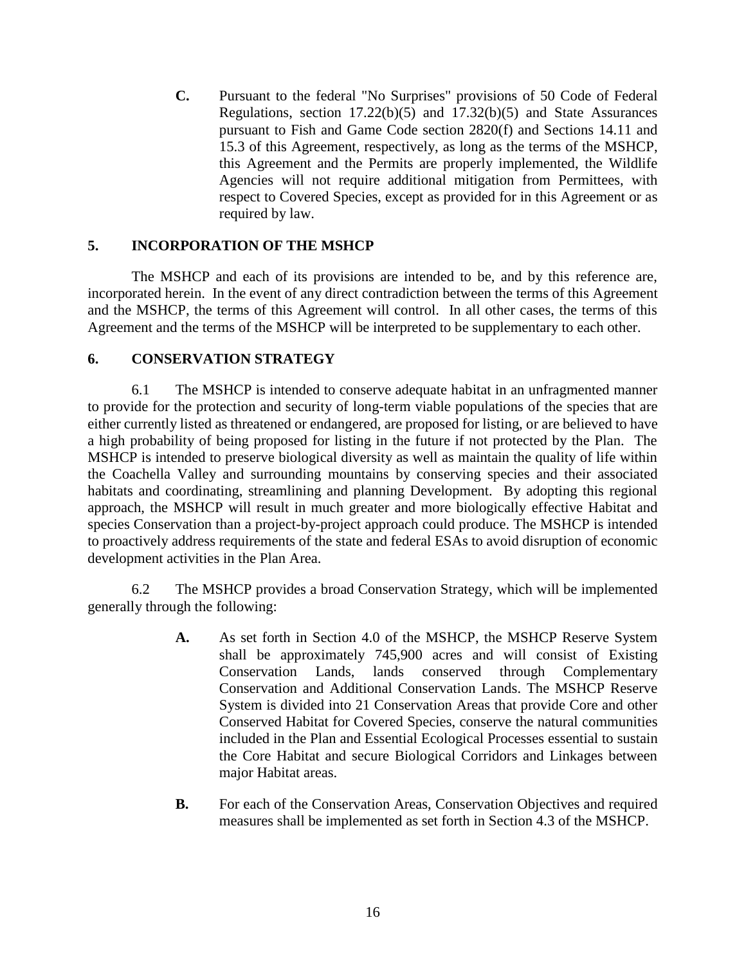**C.** Pursuant to the federal "No Surprises" provisions of 50 Code of Federal Regulations, section 17.22(b)(5) and 17.32(b)(5) and State Assurances pursuant to Fish and Game Code section 2820(f) and Sections 14.11 and 15.3 of this Agreement, respectively, as long as the terms of the MSHCP, this Agreement and the Permits are properly implemented, the Wildlife Agencies will not require additional mitigation from Permittees, with respect to Covered Species, except as provided for in this Agreement or as required by law.

# **5. INCORPORATION OF THE MSHCP**

The MSHCP and each of its provisions are intended to be, and by this reference are, incorporated herein. In the event of any direct contradiction between the terms of this Agreement and the MSHCP, the terms of this Agreement will control. In all other cases, the terms of this Agreement and the terms of the MSHCP will be interpreted to be supplementary to each other.

# **6. CONSERVATION STRATEGY**

6.1 The MSHCP is intended to conserve adequate habitat in an unfragmented manner to provide for the protection and security of long-term viable populations of the species that are either currently listed as threatened or endangered, are proposed for listing, or are believed to have a high probability of being proposed for listing in the future if not protected by the Plan. The MSHCP is intended to preserve biological diversity as well as maintain the quality of life within the Coachella Valley and surrounding mountains by conserving species and their associated habitats and coordinating, streamlining and planning Development. By adopting this regional approach, the MSHCP will result in much greater and more biologically effective Habitat and species Conservation than a project-by-project approach could produce. The MSHCP is intended to proactively address requirements of the state and federal ESAs to avoid disruption of economic development activities in the Plan Area.

6.2 The MSHCP provides a broad Conservation Strategy, which will be implemented generally through the following:

- **A.** As set forth in Section 4.0 of the MSHCP, the MSHCP Reserve System shall be approximately 745,900 acres and will consist of Existing Conservation Lands, lands conserved through Complementary Conservation and Additional Conservation Lands. The MSHCP Reserve System is divided into 21 Conservation Areas that provide Core and other Conserved Habitat for Covered Species, conserve the natural communities included in the Plan and Essential Ecological Processes essential to sustain the Core Habitat and secure Biological Corridors and Linkages between major Habitat areas.
- **B.** For each of the Conservation Areas, Conservation Objectives and required measures shall be implemented as set forth in Section 4.3 of the MSHCP.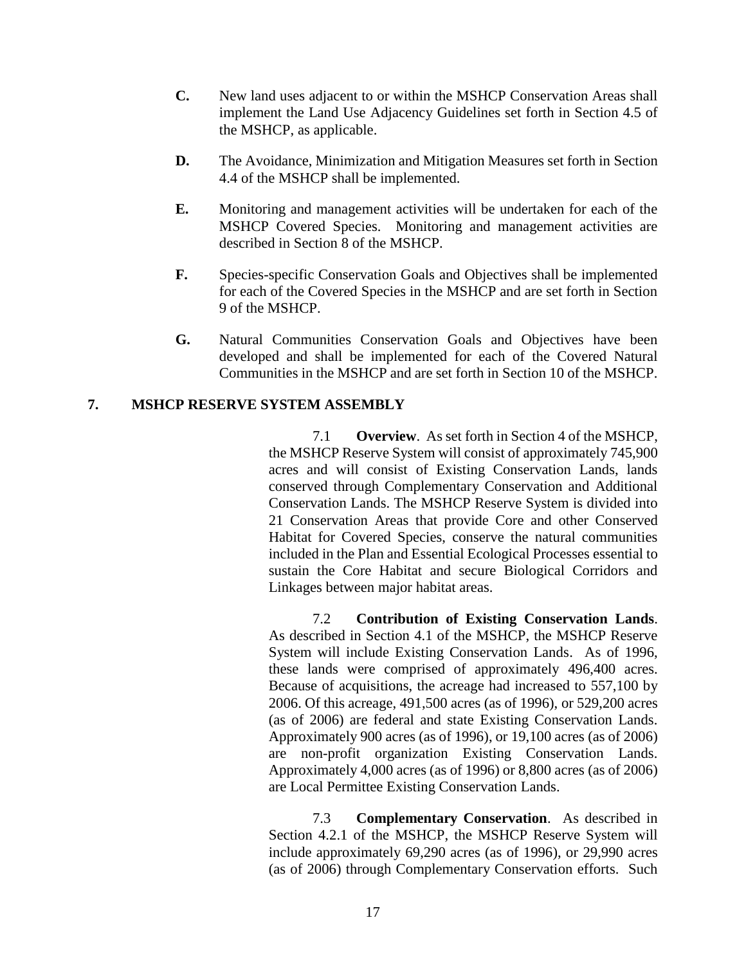- **C.** New land uses adjacent to or within the MSHCP Conservation Areas shall implement the Land Use Adjacency Guidelines set forth in Section 4.5 of the MSHCP, as applicable.
- **D.** The Avoidance, Minimization and Mitigation Measures set forth in Section 4.4 of the MSHCP shall be implemented.
- **E.** Monitoring and management activities will be undertaken for each of the MSHCP Covered Species. Monitoring and management activities are described in Section 8 of the MSHCP.
- **F.** Species-specific Conservation Goals and Objectives shall be implemented for each of the Covered Species in the MSHCP and are set forth in Section 9 of the MSHCP.
- **G.** Natural Communities Conservation Goals and Objectives have been developed and shall be implemented for each of the Covered Natural Communities in the MSHCP and are set forth in Section 10 of the MSHCP.

# **7. MSHCP RESERVE SYSTEM ASSEMBLY**

7.1 **Overview**. As set forth in Section 4 of the MSHCP, the MSHCP Reserve System will consist of approximately 745,900 acres and will consist of Existing Conservation Lands, lands conserved through Complementary Conservation and Additional Conservation Lands. The MSHCP Reserve System is divided into 21 Conservation Areas that provide Core and other Conserved Habitat for Covered Species, conserve the natural communities included in the Plan and Essential Ecological Processes essential to sustain the Core Habitat and secure Biological Corridors and Linkages between major habitat areas.

7.2 **Contribution of Existing Conservation Lands**. As described in Section 4.1 of the MSHCP, the MSHCP Reserve System will include Existing Conservation Lands. As of 1996, these lands were comprised of approximately 496,400 acres. Because of acquisitions, the acreage had increased to 557,100 by 2006. Of this acreage, 491,500 acres (as of 1996), or 529,200 acres (as of 2006) are federal and state Existing Conservation Lands. Approximately 900 acres (as of 1996), or 19,100 acres (as of 2006) are non-profit organization Existing Conservation Lands. Approximately 4,000 acres (as of 1996) or 8,800 acres (as of 2006) are Local Permittee Existing Conservation Lands.

7.3 **Complementary Conservation**. As described in Section 4.2.1 of the MSHCP, the MSHCP Reserve System will include approximately 69,290 acres (as of 1996), or 29,990 acres (as of 2006) through Complementary Conservation efforts. Such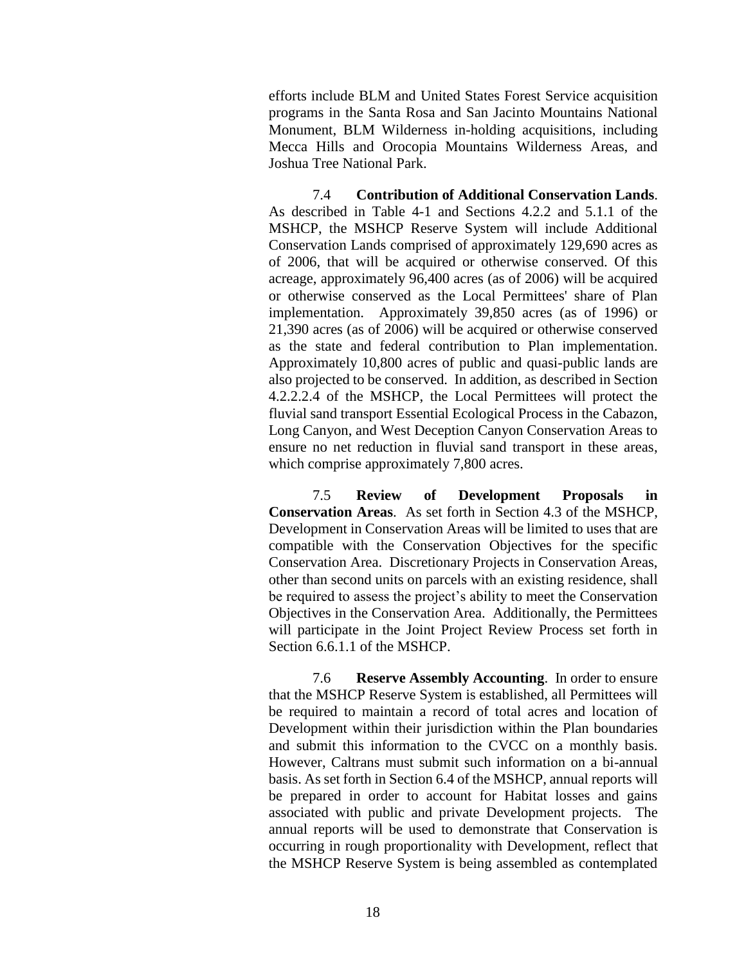efforts include BLM and United States Forest Service acquisition programs in the Santa Rosa and San Jacinto Mountains National Monument, BLM Wilderness in-holding acquisitions, including Mecca Hills and Orocopia Mountains Wilderness Areas, and Joshua Tree National Park.

7.4 **Contribution of Additional Conservation Lands**. As described in Table 4-1 and Sections 4.2.2 and 5.1.1 of the MSHCP, the MSHCP Reserve System will include Additional Conservation Lands comprised of approximately 129,690 acres as of 2006, that will be acquired or otherwise conserved. Of this acreage, approximately 96,400 acres (as of 2006) will be acquired or otherwise conserved as the Local Permittees' share of Plan implementation. Approximately 39,850 acres (as of 1996) or 21,390 acres (as of 2006) will be acquired or otherwise conserved as the state and federal contribution to Plan implementation. Approximately 10,800 acres of public and quasi-public lands are also projected to be conserved. In addition, as described in Section 4.2.2.2.4 of the MSHCP, the Local Permittees will protect the fluvial sand transport Essential Ecological Process in the Cabazon, Long Canyon, and West Deception Canyon Conservation Areas to ensure no net reduction in fluvial sand transport in these areas, which comprise approximately 7,800 acres.

7.5 **Review of Development Proposals in Conservation Areas**. As set forth in Section 4.3 of the MSHCP, Development in Conservation Areas will be limited to uses that are compatible with the Conservation Objectives for the specific Conservation Area. Discretionary Projects in Conservation Areas, other than second units on parcels with an existing residence, shall be required to assess the project's ability to meet the Conservation Objectives in the Conservation Area. Additionally, the Permittees will participate in the Joint Project Review Process set forth in Section 6.6.1.1 of the MSHCP.

7.6 **Reserve Assembly Accounting**. In order to ensure that the MSHCP Reserve System is established, all Permittees will be required to maintain a record of total acres and location of Development within their jurisdiction within the Plan boundaries and submit this information to the CVCC on a monthly basis. However, Caltrans must submit such information on a bi-annual basis. As set forth in Section 6.4 of the MSHCP, annual reports will be prepared in order to account for Habitat losses and gains associated with public and private Development projects. The annual reports will be used to demonstrate that Conservation is occurring in rough proportionality with Development, reflect that the MSHCP Reserve System is being assembled as contemplated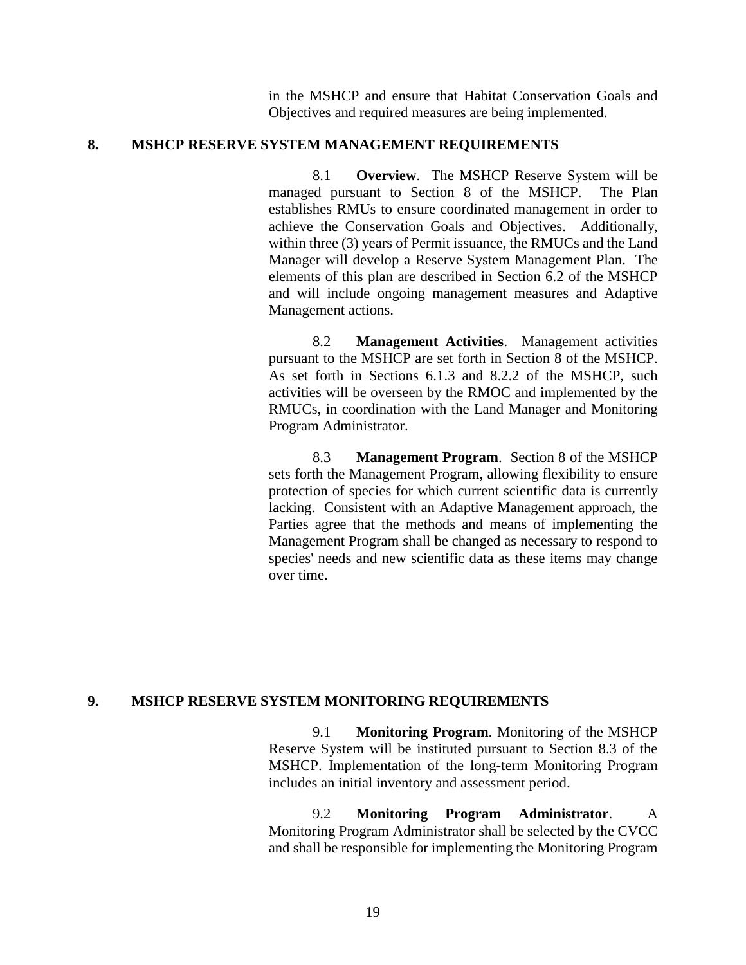in the MSHCP and ensure that Habitat Conservation Goals and Objectives and required measures are being implemented.

#### **8. MSHCP RESERVE SYSTEM MANAGEMENT REQUIREMENTS**

8.1 **Overview**. The MSHCP Reserve System will be managed pursuant to Section 8 of the MSHCP. The Plan establishes RMUs to ensure coordinated management in order to achieve the Conservation Goals and Objectives. Additionally, within three (3) years of Permit issuance, the RMUCs and the Land Manager will develop a Reserve System Management Plan. The elements of this plan are described in Section 6.2 of the MSHCP and will include ongoing management measures and Adaptive Management actions.

8.2 **Management Activities**. Management activities pursuant to the MSHCP are set forth in Section 8 of the MSHCP. As set forth in Sections 6.1.3 and 8.2.2 of the MSHCP, such activities will be overseen by the RMOC and implemented by the RMUCs, in coordination with the Land Manager and Monitoring Program Administrator.

8.3 **Management Program**. Section 8 of the MSHCP sets forth the Management Program, allowing flexibility to ensure protection of species for which current scientific data is currently lacking. Consistent with an Adaptive Management approach, the Parties agree that the methods and means of implementing the Management Program shall be changed as necessary to respond to species' needs and new scientific data as these items may change over time.

### **9. MSHCP RESERVE SYSTEM MONITORING REQUIREMENTS**

9.1 **Monitoring Program**. Monitoring of the MSHCP Reserve System will be instituted pursuant to Section 8.3 of the MSHCP. Implementation of the long-term Monitoring Program includes an initial inventory and assessment period.

9.2 **Monitoring Program Administrator**. A Monitoring Program Administrator shall be selected by the CVCC and shall be responsible for implementing the Monitoring Program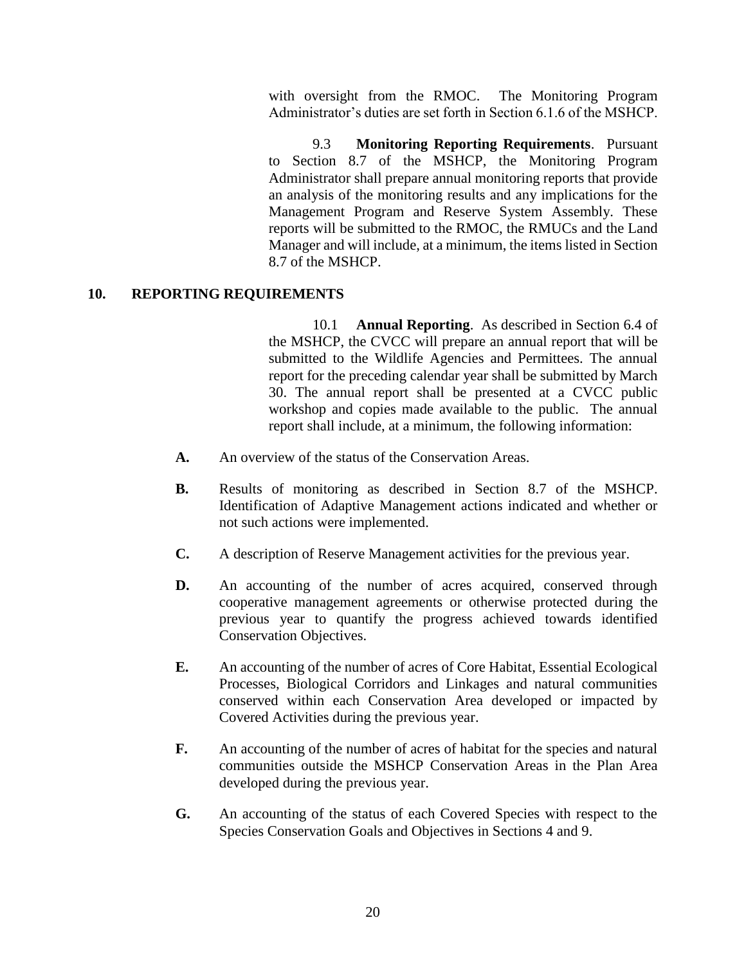with oversight from the RMOC. The Monitoring Program Administrator's duties are set forth in Section 6.1.6 of the MSHCP.

9.3 **Monitoring Reporting Requirements**. Pursuant to Section 8.7 of the MSHCP, the Monitoring Program Administrator shall prepare annual monitoring reports that provide an analysis of the monitoring results and any implications for the Management Program and Reserve System Assembly. These reports will be submitted to the RMOC, the RMUCs and the Land Manager and will include, at a minimum, the items listed in Section 8.7 of the MSHCP.

# **10. REPORTING REQUIREMENTS**

10.1 **Annual Reporting**. As described in Section 6.4 of the MSHCP, the CVCC will prepare an annual report that will be submitted to the Wildlife Agencies and Permittees. The annual report for the preceding calendar year shall be submitted by March 30. The annual report shall be presented at a CVCC public workshop and copies made available to the public. The annual report shall include, at a minimum, the following information:

- **A.** An overview of the status of the Conservation Areas.
- **B.** Results of monitoring as described in Section 8.7 of the MSHCP. Identification of Adaptive Management actions indicated and whether or not such actions were implemented.
- **C.** A description of Reserve Management activities for the previous year.
- **D.** An accounting of the number of acres acquired, conserved through cooperative management agreements or otherwise protected during the previous year to quantify the progress achieved towards identified Conservation Objectives.
- **E.** An accounting of the number of acres of Core Habitat, Essential Ecological Processes, Biological Corridors and Linkages and natural communities conserved within each Conservation Area developed or impacted by Covered Activities during the previous year.
- **F.** An accounting of the number of acres of habitat for the species and natural communities outside the MSHCP Conservation Areas in the Plan Area developed during the previous year.
- **G.** An accounting of the status of each Covered Species with respect to the Species Conservation Goals and Objectives in Sections 4 and 9.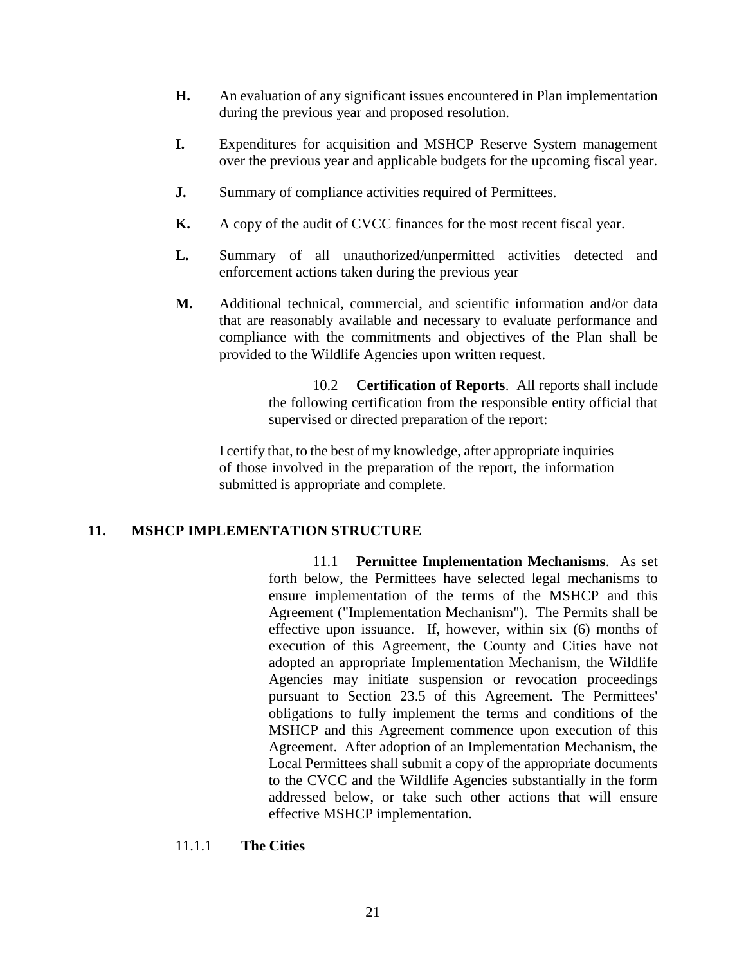- **H.** An evaluation of any significant issues encountered in Plan implementation during the previous year and proposed resolution.
- **I.** Expenditures for acquisition and MSHCP Reserve System management over the previous year and applicable budgets for the upcoming fiscal year.
- **J.** Summary of compliance activities required of Permittees.
- **K.** A copy of the audit of CVCC finances for the most recent fiscal year.
- **L.** Summary of all unauthorized/unpermitted activities detected and enforcement actions taken during the previous year
- **M.** Additional technical, commercial, and scientific information and/or data that are reasonably available and necessary to evaluate performance and compliance with the commitments and objectives of the Plan shall be provided to the Wildlife Agencies upon written request.

10.2 **Certification of Reports**. All reports shall include the following certification from the responsible entity official that supervised or directed preparation of the report:

I certify that, to the best of my knowledge, after appropriate inquiries of those involved in the preparation of the report, the information submitted is appropriate and complete.

### **11. MSHCP IMPLEMENTATION STRUCTURE**

11.1 **Permittee Implementation Mechanisms**. As set forth below, the Permittees have selected legal mechanisms to ensure implementation of the terms of the MSHCP and this Agreement ("Implementation Mechanism"). The Permits shall be effective upon issuance. If, however, within six (6) months of execution of this Agreement, the County and Cities have not adopted an appropriate Implementation Mechanism, the Wildlife Agencies may initiate suspension or revocation proceedings pursuant to Section 23.5 of this Agreement. The Permittees' obligations to fully implement the terms and conditions of the MSHCP and this Agreement commence upon execution of this Agreement. After adoption of an Implementation Mechanism, the Local Permittees shall submit a copy of the appropriate documents to the CVCC and the Wildlife Agencies substantially in the form addressed below, or take such other actions that will ensure effective MSHCP implementation.

### 11.1.1 **The Cities**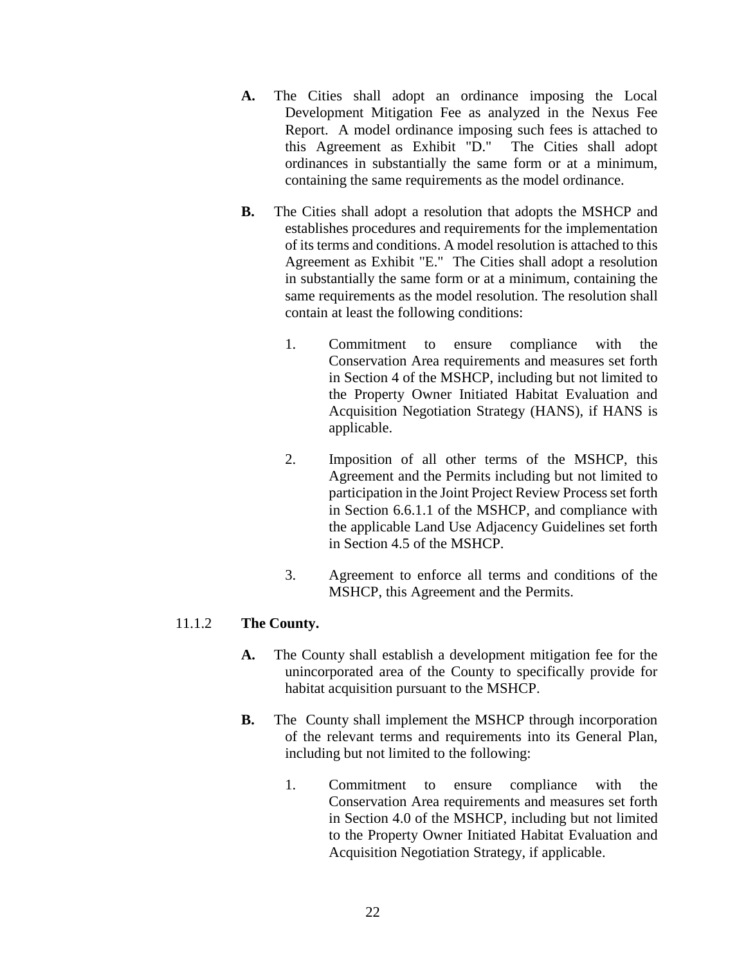- **A.** The Cities shall adopt an ordinance imposing the Local Development Mitigation Fee as analyzed in the Nexus Fee Report. A model ordinance imposing such fees is attached to this Agreement as Exhibit "D." The Cities shall adopt ordinances in substantially the same form or at a minimum, containing the same requirements as the model ordinance.
- **B.** The Cities shall adopt a resolution that adopts the MSHCP and establishes procedures and requirements for the implementation of its terms and conditions. A model resolution is attached to this Agreement as Exhibit "E." The Cities shall adopt a resolution in substantially the same form or at a minimum, containing the same requirements as the model resolution. The resolution shall contain at least the following conditions:
	- 1. Commitment to ensure compliance with the Conservation Area requirements and measures set forth in Section 4 of the MSHCP, including but not limited to the Property Owner Initiated Habitat Evaluation and Acquisition Negotiation Strategy (HANS), if HANS is applicable.
	- 2. Imposition of all other terms of the MSHCP, this Agreement and the Permits including but not limited to participation in the Joint Project Review Process set forth in Section 6.6.1.1 of the MSHCP, and compliance with the applicable Land Use Adjacency Guidelines set forth in Section 4.5 of the MSHCP.
	- 3. Agreement to enforce all terms and conditions of the MSHCP, this Agreement and the Permits.

## 11.1.2 **The County.**

- **A.** The County shall establish a development mitigation fee for the unincorporated area of the County to specifically provide for habitat acquisition pursuant to the MSHCP.
- **B.** The County shall implement the MSHCP through incorporation of the relevant terms and requirements into its General Plan, including but not limited to the following:
	- 1. Commitment to ensure compliance with the Conservation Area requirements and measures set forth in Section 4.0 of the MSHCP, including but not limited to the Property Owner Initiated Habitat Evaluation and Acquisition Negotiation Strategy, if applicable.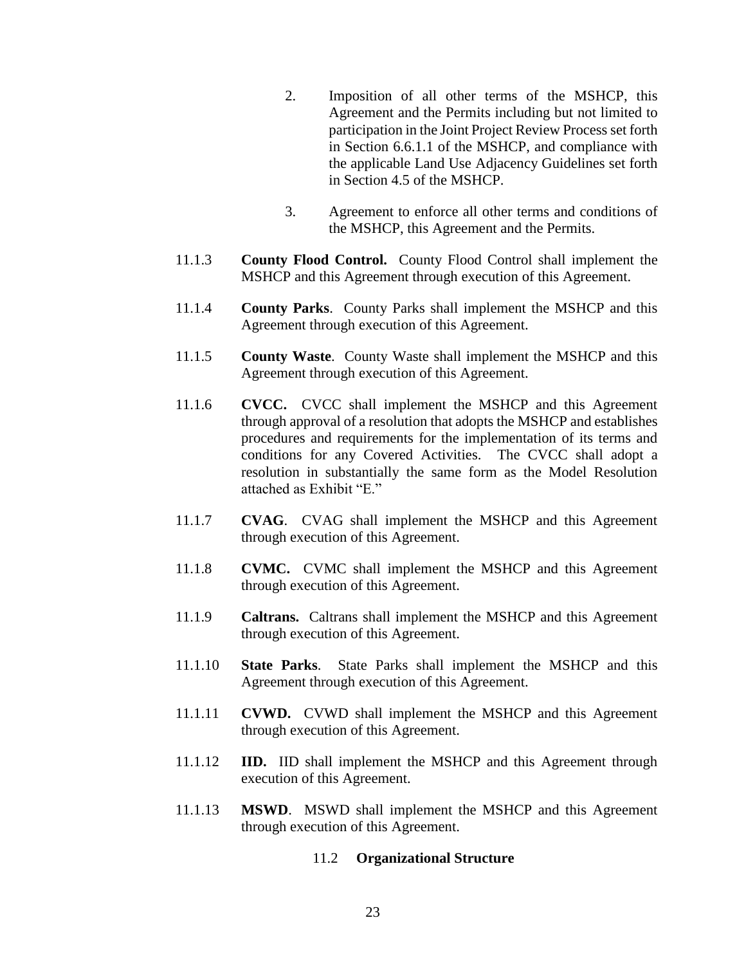- 2. Imposition of all other terms of the MSHCP, this Agreement and the Permits including but not limited to participation in the Joint Project Review Process set forth in Section 6.6.1.1 of the MSHCP, and compliance with the applicable Land Use Adjacency Guidelines set forth in Section 4.5 of the MSHCP.
- 3. Agreement to enforce all other terms and conditions of the MSHCP, this Agreement and the Permits.
- 11.1.3 **County Flood Control.** County Flood Control shall implement the MSHCP and this Agreement through execution of this Agreement.
- 11.1.4 **County Parks**. County Parks shall implement the MSHCP and this Agreement through execution of this Agreement.
- 11.1.5 **County Waste**. County Waste shall implement the MSHCP and this Agreement through execution of this Agreement.
- 11.1.6 **CVCC.** CVCC shall implement the MSHCP and this Agreement through approval of a resolution that adopts the MSHCP and establishes procedures and requirements for the implementation of its terms and conditions for any Covered Activities. The CVCC shall adopt a resolution in substantially the same form as the Model Resolution attached as Exhibit "E."
- 11.1.7 **CVAG**. CVAG shall implement the MSHCP and this Agreement through execution of this Agreement.
- 11.1.8 **CVMC.** CVMC shall implement the MSHCP and this Agreement through execution of this Agreement.
- 11.1.9 **Caltrans.** Caltrans shall implement the MSHCP and this Agreement through execution of this Agreement.
- 11.1.10 **State Parks**. State Parks shall implement the MSHCP and this Agreement through execution of this Agreement.
- 11.1.11 **CVWD.** CVWD shall implement the MSHCP and this Agreement through execution of this Agreement.
- 11.1.12 **IID.** IID shall implement the MSHCP and this Agreement through execution of this Agreement.
- 11.1.13 **MSWD**. MSWD shall implement the MSHCP and this Agreement through execution of this Agreement.

## 11.2 **Organizational Structure**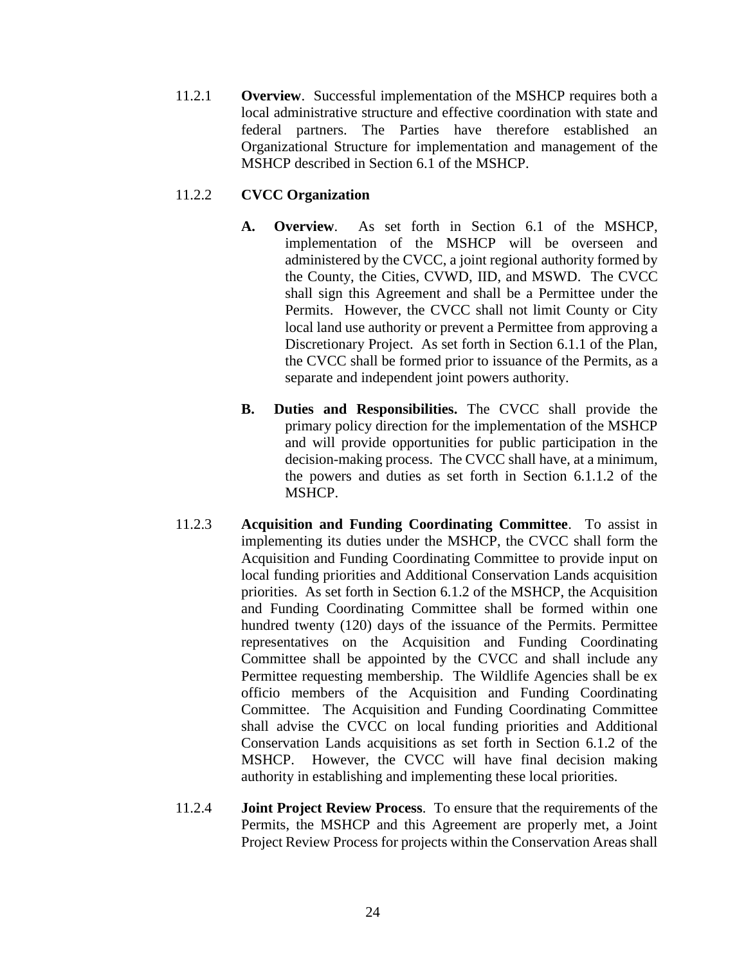11.2.1 **Overview**. Successful implementation of the MSHCP requires both a local administrative structure and effective coordination with state and federal partners. The Parties have therefore established an Organizational Structure for implementation and management of the MSHCP described in Section 6.1 of the MSHCP.

# 11.2.2 **CVCC Organization**

- **A. Overview**. As set forth in Section 6.1 of the MSHCP, implementation of the MSHCP will be overseen and administered by the CVCC, a joint regional authority formed by the County, the Cities, CVWD, IID, and MSWD. The CVCC shall sign this Agreement and shall be a Permittee under the Permits. However, the CVCC shall not limit County or City local land use authority or prevent a Permittee from approving a Discretionary Project. As set forth in Section 6.1.1 of the Plan, the CVCC shall be formed prior to issuance of the Permits, as a separate and independent joint powers authority.
- **B. Duties and Responsibilities.** The CVCC shall provide the primary policy direction for the implementation of the MSHCP and will provide opportunities for public participation in the decision-making process. The CVCC shall have, at a minimum, the powers and duties as set forth in Section 6.1.1.2 of the MSHCP.
- 11.2.3 **Acquisition and Funding Coordinating Committee**. To assist in implementing its duties under the MSHCP, the CVCC shall form the Acquisition and Funding Coordinating Committee to provide input on local funding priorities and Additional Conservation Lands acquisition priorities. As set forth in Section 6.1.2 of the MSHCP, the Acquisition and Funding Coordinating Committee shall be formed within one hundred twenty (120) days of the issuance of the Permits. Permittee representatives on the Acquisition and Funding Coordinating Committee shall be appointed by the CVCC and shall include any Permittee requesting membership. The Wildlife Agencies shall be ex officio members of the Acquisition and Funding Coordinating Committee. The Acquisition and Funding Coordinating Committee shall advise the CVCC on local funding priorities and Additional Conservation Lands acquisitions as set forth in Section 6.1.2 of the MSHCP. However, the CVCC will have final decision making authority in establishing and implementing these local priorities.
- 11.2.4 **Joint Project Review Process**. To ensure that the requirements of the Permits, the MSHCP and this Agreement are properly met, a Joint Project Review Process for projects within the Conservation Areas shall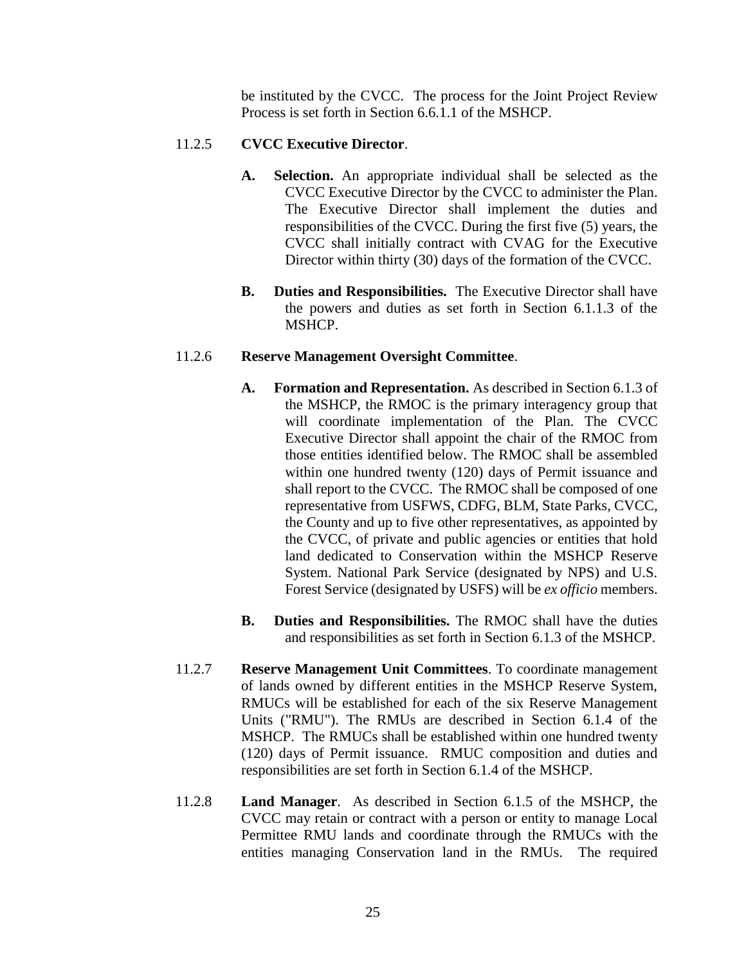be instituted by the CVCC. The process for the Joint Project Review Process is set forth in Section 6.6.1.1 of the MSHCP.

# 11.2.5 **CVCC Executive Director**.

- **A. Selection.** An appropriate individual shall be selected as the CVCC Executive Director by the CVCC to administer the Plan. The Executive Director shall implement the duties and responsibilities of the CVCC. During the first five (5) years, the CVCC shall initially contract with CVAG for the Executive Director within thirty (30) days of the formation of the CVCC.
- **B. Duties and Responsibilities.** The Executive Director shall have the powers and duties as set forth in Section 6.1.1.3 of the MSHCP.

## 11.2.6 **Reserve Management Oversight Committee**.

- **A. Formation and Representation.** As described in Section 6.1.3 of the MSHCP, the RMOC is the primary interagency group that will coordinate implementation of the Plan. The CVCC Executive Director shall appoint the chair of the RMOC from those entities identified below. The RMOC shall be assembled within one hundred twenty (120) days of Permit issuance and shall report to the CVCC. The RMOC shall be composed of one representative from USFWS, CDFG, BLM, State Parks, CVCC, the County and up to five other representatives, as appointed by the CVCC, of private and public agencies or entities that hold land dedicated to Conservation within the MSHCP Reserve System. National Park Service (designated by NPS) and U.S. Forest Service (designated by USFS) will be *ex officio* members.
- **B. Duties and Responsibilities.** The RMOC shall have the duties and responsibilities as set forth in Section 6.1.3 of the MSHCP.
- 11.2.7 **Reserve Management Unit Committees**. To coordinate management of lands owned by different entities in the MSHCP Reserve System, RMUCs will be established for each of the six Reserve Management Units ("RMU"). The RMUs are described in Section 6.1.4 of the MSHCP. The RMUCs shall be established within one hundred twenty (120) days of Permit issuance. RMUC composition and duties and responsibilities are set forth in Section 6.1.4 of the MSHCP.
- 11.2.8 **Land Manager**. As described in Section 6.1.5 of the MSHCP, the CVCC may retain or contract with a person or entity to manage Local Permittee RMU lands and coordinate through the RMUCs with the entities managing Conservation land in the RMUs. The required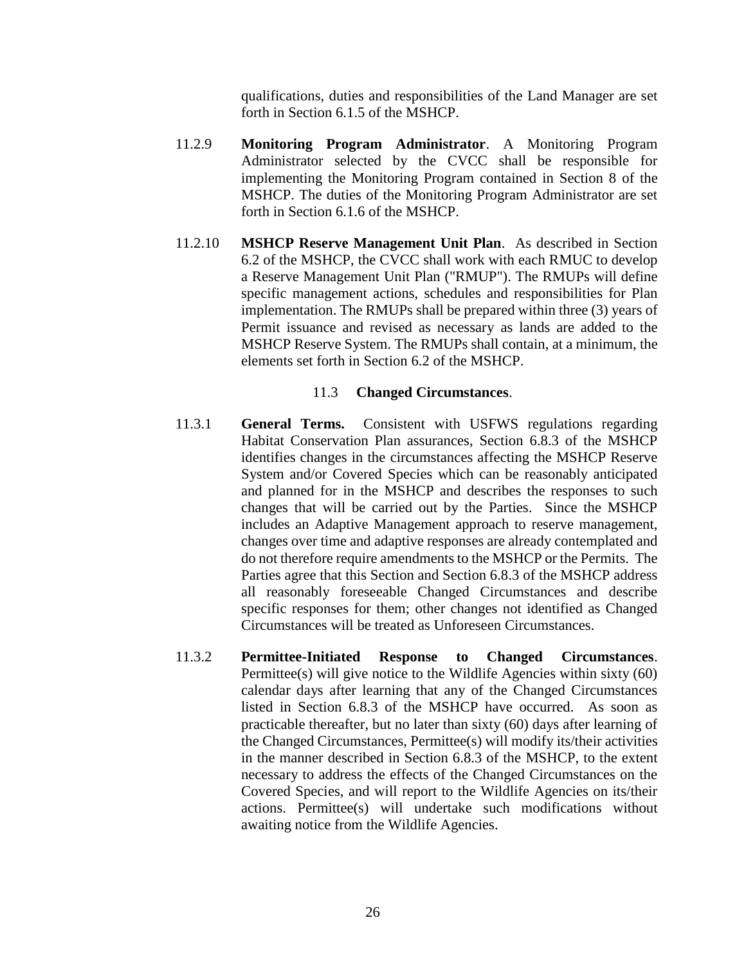qualifications, duties and responsibilities of the Land Manager are set forth in Section 6.1.5 of the MSHCP.

- 11.2.9 **Monitoring Program Administrator**. A Monitoring Program Administrator selected by the CVCC shall be responsible for implementing the Monitoring Program contained in Section 8 of the MSHCP. The duties of the Monitoring Program Administrator are set forth in Section 6.1.6 of the MSHCP.
- 11.2.10 **MSHCP Reserve Management Unit Plan**. As described in Section 6.2 of the MSHCP, the CVCC shall work with each RMUC to develop a Reserve Management Unit Plan ("RMUP"). The RMUPs will define specific management actions, schedules and responsibilities for Plan implementation. The RMUPs shall be prepared within three (3) years of Permit issuance and revised as necessary as lands are added to the MSHCP Reserve System. The RMUPs shall contain, at a minimum, the elements set forth in Section 6.2 of the MSHCP.

## 11.3 **Changed Circumstances**.

- 11.3.1 **General Terms.** Consistent with USFWS regulations regarding Habitat Conservation Plan assurances, Section 6.8.3 of the MSHCP identifies changes in the circumstances affecting the MSHCP Reserve System and/or Covered Species which can be reasonably anticipated and planned for in the MSHCP and describes the responses to such changes that will be carried out by the Parties. Since the MSHCP includes an Adaptive Management approach to reserve management, changes over time and adaptive responses are already contemplated and do not therefore require amendments to the MSHCP or the Permits. The Parties agree that this Section and Section 6.8.3 of the MSHCP address all reasonably foreseeable Changed Circumstances and describe specific responses for them; other changes not identified as Changed Circumstances will be treated as Unforeseen Circumstances.
- 11.3.2 **Permittee-Initiated Response to Changed Circumstances**. Permittee(s) will give notice to the Wildlife Agencies within sixty (60) calendar days after learning that any of the Changed Circumstances listed in Section 6.8.3 of the MSHCP have occurred. As soon as practicable thereafter, but no later than sixty (60) days after learning of the Changed Circumstances, Permittee(s) will modify its/their activities in the manner described in Section 6.8.3 of the MSHCP, to the extent necessary to address the effects of the Changed Circumstances on the Covered Species, and will report to the Wildlife Agencies on its/their actions. Permittee(s) will undertake such modifications without awaiting notice from the Wildlife Agencies.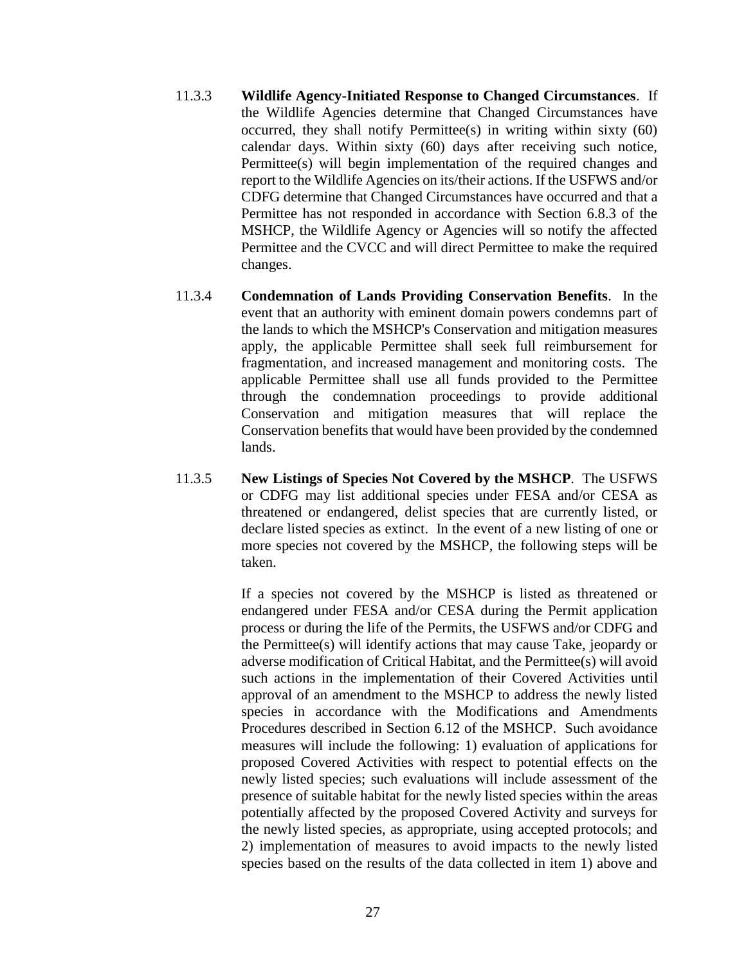- 11.3.3 **Wildlife Agency-Initiated Response to Changed Circumstances**. If the Wildlife Agencies determine that Changed Circumstances have occurred, they shall notify Permittee(s) in writing within sixty (60) calendar days. Within sixty (60) days after receiving such notice, Permittee(s) will begin implementation of the required changes and report to the Wildlife Agencies on its/their actions. If the USFWS and/or CDFG determine that Changed Circumstances have occurred and that a Permittee has not responded in accordance with Section 6.8.3 of the MSHCP, the Wildlife Agency or Agencies will so notify the affected Permittee and the CVCC and will direct Permittee to make the required changes.
- 11.3.4 **Condemnation of Lands Providing Conservation Benefits**. In the event that an authority with eminent domain powers condemns part of the lands to which the MSHCP's Conservation and mitigation measures apply, the applicable Permittee shall seek full reimbursement for fragmentation, and increased management and monitoring costs. The applicable Permittee shall use all funds provided to the Permittee through the condemnation proceedings to provide additional Conservation and mitigation measures that will replace the Conservation benefits that would have been provided by the condemned lands.
- 11.3.5 **New Listings of Species Not Covered by the MSHCP**. The USFWS or CDFG may list additional species under FESA and/or CESA as threatened or endangered, delist species that are currently listed, or declare listed species as extinct. In the event of a new listing of one or more species not covered by the MSHCP, the following steps will be taken.

If a species not covered by the MSHCP is listed as threatened or endangered under FESA and/or CESA during the Permit application process or during the life of the Permits, the USFWS and/or CDFG and the Permittee(s) will identify actions that may cause Take, jeopardy or adverse modification of Critical Habitat, and the Permittee(s) will avoid such actions in the implementation of their Covered Activities until approval of an amendment to the MSHCP to address the newly listed species in accordance with the Modifications and Amendments Procedures described in Section 6.12 of the MSHCP. Such avoidance measures will include the following: 1) evaluation of applications for proposed Covered Activities with respect to potential effects on the newly listed species; such evaluations will include assessment of the presence of suitable habitat for the newly listed species within the areas potentially affected by the proposed Covered Activity and surveys for the newly listed species, as appropriate, using accepted protocols; and 2) implementation of measures to avoid impacts to the newly listed species based on the results of the data collected in item 1) above and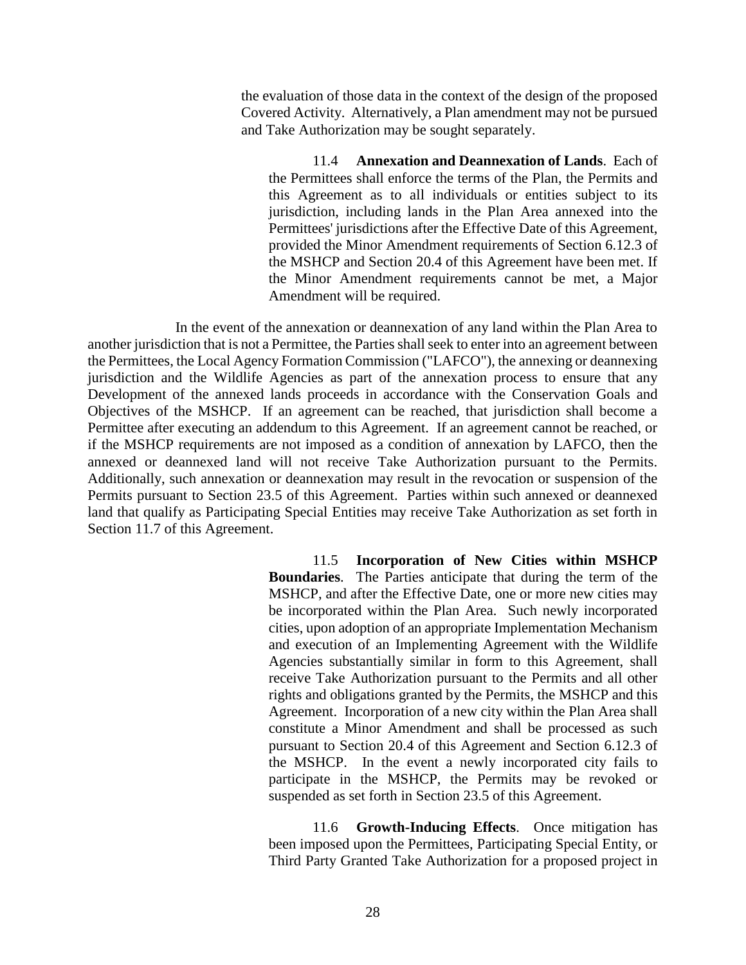the evaluation of those data in the context of the design of the proposed Covered Activity. Alternatively, a Plan amendment may not be pursued and Take Authorization may be sought separately.

11.4 **Annexation and Deannexation of Lands**. Each of the Permittees shall enforce the terms of the Plan, the Permits and this Agreement as to all individuals or entities subject to its jurisdiction, including lands in the Plan Area annexed into the Permittees' jurisdictions after the Effective Date of this Agreement, provided the Minor Amendment requirements of Section 6.12.3 of the MSHCP and Section 20.4 of this Agreement have been met. If the Minor Amendment requirements cannot be met, a Major Amendment will be required.

In the event of the annexation or deannexation of any land within the Plan Area to another jurisdiction that is not a Permittee, the Parties shall seek to enter into an agreement between the Permittees, the Local Agency Formation Commission ("LAFCO"), the annexing or deannexing jurisdiction and the Wildlife Agencies as part of the annexation process to ensure that any Development of the annexed lands proceeds in accordance with the Conservation Goals and Objectives of the MSHCP. If an agreement can be reached, that jurisdiction shall become a Permittee after executing an addendum to this Agreement. If an agreement cannot be reached, or if the MSHCP requirements are not imposed as a condition of annexation by LAFCO, then the annexed or deannexed land will not receive Take Authorization pursuant to the Permits. Additionally, such annexation or deannexation may result in the revocation or suspension of the Permits pursuant to Section 23.5 of this Agreement. Parties within such annexed or deannexed land that qualify as Participating Special Entities may receive Take Authorization as set forth in Section 11.7 of this Agreement.

> 11.5 **Incorporation of New Cities within MSHCP Boundaries**. The Parties anticipate that during the term of the MSHCP, and after the Effective Date, one or more new cities may be incorporated within the Plan Area. Such newly incorporated cities, upon adoption of an appropriate Implementation Mechanism and execution of an Implementing Agreement with the Wildlife Agencies substantially similar in form to this Agreement, shall receive Take Authorization pursuant to the Permits and all other rights and obligations granted by the Permits, the MSHCP and this Agreement. Incorporation of a new city within the Plan Area shall constitute a Minor Amendment and shall be processed as such pursuant to Section 20.4 of this Agreement and Section 6.12.3 of the MSHCP. In the event a newly incorporated city fails to participate in the MSHCP, the Permits may be revoked or suspended as set forth in Section 23.5 of this Agreement.

> 11.6 **Growth-Inducing Effects**. Once mitigation has been imposed upon the Permittees, Participating Special Entity, or Third Party Granted Take Authorization for a proposed project in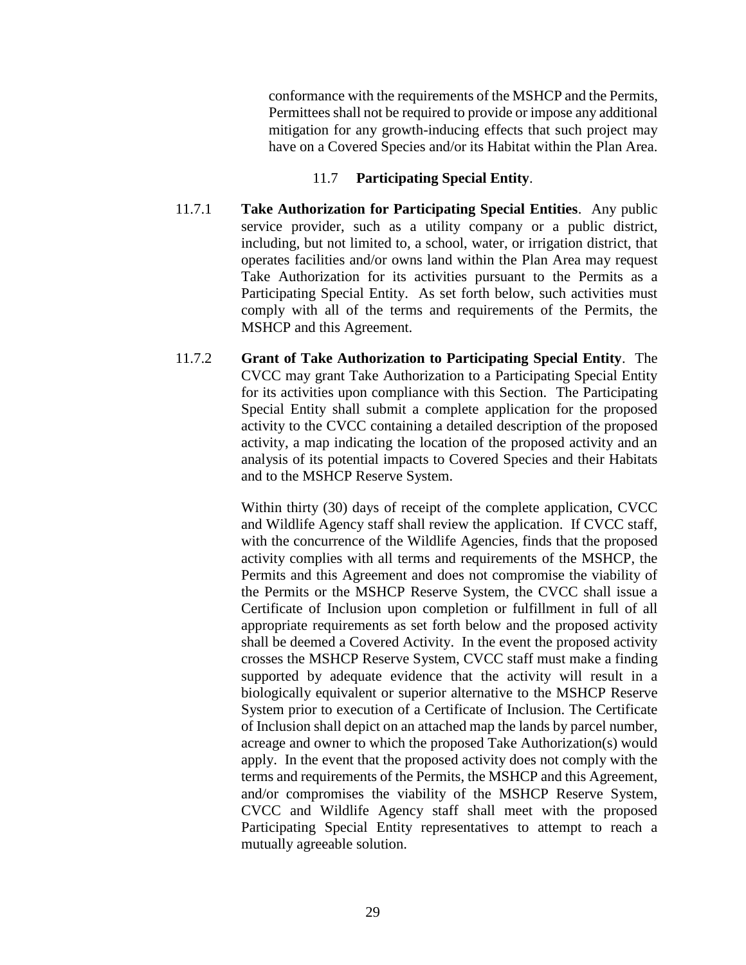conformance with the requirements of the MSHCP and the Permits, Permittees shall not be required to provide or impose any additional mitigation for any growth-inducing effects that such project may have on a Covered Species and/or its Habitat within the Plan Area.

## 11.7 **Participating Special Entity**.

- 11.7.1 **Take Authorization for Participating Special Entities**. Any public service provider, such as a utility company or a public district, including, but not limited to, a school, water, or irrigation district, that operates facilities and/or owns land within the Plan Area may request Take Authorization for its activities pursuant to the Permits as a Participating Special Entity. As set forth below, such activities must comply with all of the terms and requirements of the Permits, the MSHCP and this Agreement.
- 11.7.2 **Grant of Take Authorization to Participating Special Entity**. The CVCC may grant Take Authorization to a Participating Special Entity for its activities upon compliance with this Section. The Participating Special Entity shall submit a complete application for the proposed activity to the CVCC containing a detailed description of the proposed activity, a map indicating the location of the proposed activity and an analysis of its potential impacts to Covered Species and their Habitats and to the MSHCP Reserve System.

Within thirty (30) days of receipt of the complete application, CVCC and Wildlife Agency staff shall review the application. If CVCC staff, with the concurrence of the Wildlife Agencies, finds that the proposed activity complies with all terms and requirements of the MSHCP, the Permits and this Agreement and does not compromise the viability of the Permits or the MSHCP Reserve System, the CVCC shall issue a Certificate of Inclusion upon completion or fulfillment in full of all appropriate requirements as set forth below and the proposed activity shall be deemed a Covered Activity. In the event the proposed activity crosses the MSHCP Reserve System, CVCC staff must make a finding supported by adequate evidence that the activity will result in a biologically equivalent or superior alternative to the MSHCP Reserve System prior to execution of a Certificate of Inclusion. The Certificate of Inclusion shall depict on an attached map the lands by parcel number, acreage and owner to which the proposed Take Authorization(s) would apply. In the event that the proposed activity does not comply with the terms and requirements of the Permits, the MSHCP and this Agreement, and/or compromises the viability of the MSHCP Reserve System, CVCC and Wildlife Agency staff shall meet with the proposed Participating Special Entity representatives to attempt to reach a mutually agreeable solution.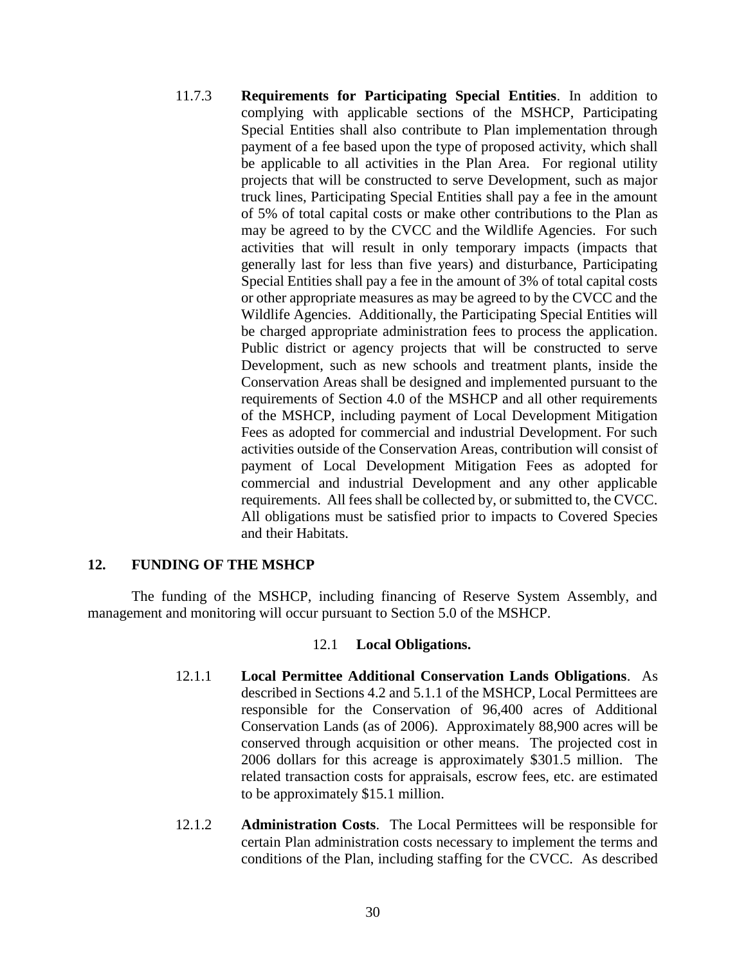11.7.3 **Requirements for Participating Special Entities**. In addition to complying with applicable sections of the MSHCP, Participating Special Entities shall also contribute to Plan implementation through payment of a fee based upon the type of proposed activity, which shall be applicable to all activities in the Plan Area. For regional utility projects that will be constructed to serve Development, such as major truck lines, Participating Special Entities shall pay a fee in the amount of 5% of total capital costs or make other contributions to the Plan as may be agreed to by the CVCC and the Wildlife Agencies. For such activities that will result in only temporary impacts (impacts that generally last for less than five years) and disturbance, Participating Special Entities shall pay a fee in the amount of 3% of total capital costs or other appropriate measures as may be agreed to by the CVCC and the Wildlife Agencies. Additionally, the Participating Special Entities will be charged appropriate administration fees to process the application. Public district or agency projects that will be constructed to serve Development, such as new schools and treatment plants, inside the Conservation Areas shall be designed and implemented pursuant to the requirements of Section 4.0 of the MSHCP and all other requirements of the MSHCP, including payment of Local Development Mitigation Fees as adopted for commercial and industrial Development. For such activities outside of the Conservation Areas, contribution will consist of payment of Local Development Mitigation Fees as adopted for commercial and industrial Development and any other applicable requirements. All fees shall be collected by, or submitted to, the CVCC. All obligations must be satisfied prior to impacts to Covered Species and their Habitats.

## **12. FUNDING OF THE MSHCP**

The funding of the MSHCP, including financing of Reserve System Assembly, and management and monitoring will occur pursuant to Section 5.0 of the MSHCP.

## 12.1 **Local Obligations.**

- 12.1.1 **Local Permittee Additional Conservation Lands Obligations**. As described in Sections 4.2 and 5.1.1 of the MSHCP, Local Permittees are responsible for the Conservation of 96,400 acres of Additional Conservation Lands (as of 2006). Approximately 88,900 acres will be conserved through acquisition or other means. The projected cost in 2006 dollars for this acreage is approximately \$301.5 million. The related transaction costs for appraisals, escrow fees, etc. are estimated to be approximately \$15.1 million.
- 12.1.2 **Administration Costs**. The Local Permittees will be responsible for certain Plan administration costs necessary to implement the terms and conditions of the Plan, including staffing for the CVCC. As described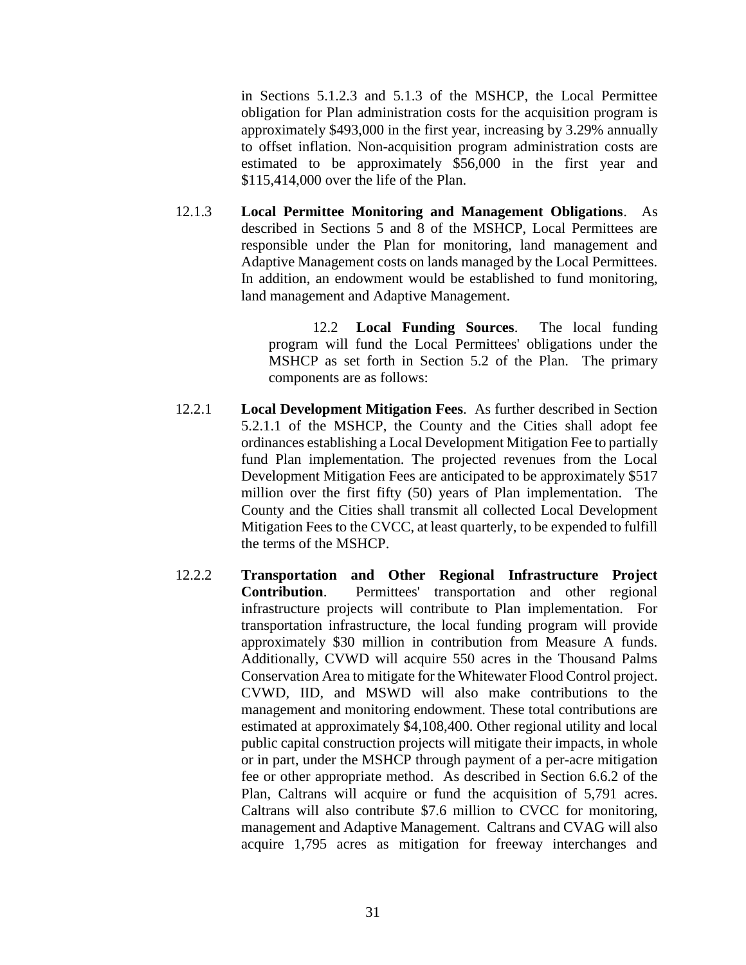in Sections 5.1.2.3 and 5.1.3 of the MSHCP, the Local Permittee obligation for Plan administration costs for the acquisition program is approximately \$493,000 in the first year, increasing by 3.29% annually to offset inflation. Non-acquisition program administration costs are estimated to be approximately \$56,000 in the first year and \$115,414,000 over the life of the Plan.

12.1.3 **Local Permittee Monitoring and Management Obligations**. As described in Sections 5 and 8 of the MSHCP, Local Permittees are responsible under the Plan for monitoring, land management and Adaptive Management costs on lands managed by the Local Permittees. In addition, an endowment would be established to fund monitoring, land management and Adaptive Management.

> 12.2 **Local Funding Sources**. The local funding program will fund the Local Permittees' obligations under the MSHCP as set forth in Section 5.2 of the Plan. The primary components are as follows:

- 12.2.1 **Local Development Mitigation Fees**. As further described in Section 5.2.1.1 of the MSHCP, the County and the Cities shall adopt fee ordinances establishing a Local Development Mitigation Fee to partially fund Plan implementation. The projected revenues from the Local Development Mitigation Fees are anticipated to be approximately \$517 million over the first fifty (50) years of Plan implementation. The County and the Cities shall transmit all collected Local Development Mitigation Fees to the CVCC, at least quarterly, to be expended to fulfill the terms of the MSHCP.
- 12.2.2 **Transportation and Other Regional Infrastructure Project Contribution**. Permittees' transportation and other regional infrastructure projects will contribute to Plan implementation. For transportation infrastructure, the local funding program will provide approximately \$30 million in contribution from Measure A funds. Additionally, CVWD will acquire 550 acres in the Thousand Palms Conservation Area to mitigate for the Whitewater Flood Control project. CVWD, IID, and MSWD will also make contributions to the management and monitoring endowment. These total contributions are estimated at approximately \$4,108,400. Other regional utility and local public capital construction projects will mitigate their impacts, in whole or in part, under the MSHCP through payment of a per-acre mitigation fee or other appropriate method. As described in Section 6.6.2 of the Plan, Caltrans will acquire or fund the acquisition of 5,791 acres. Caltrans will also contribute \$7.6 million to CVCC for monitoring, management and Adaptive Management. Caltrans and CVAG will also acquire 1,795 acres as mitigation for freeway interchanges and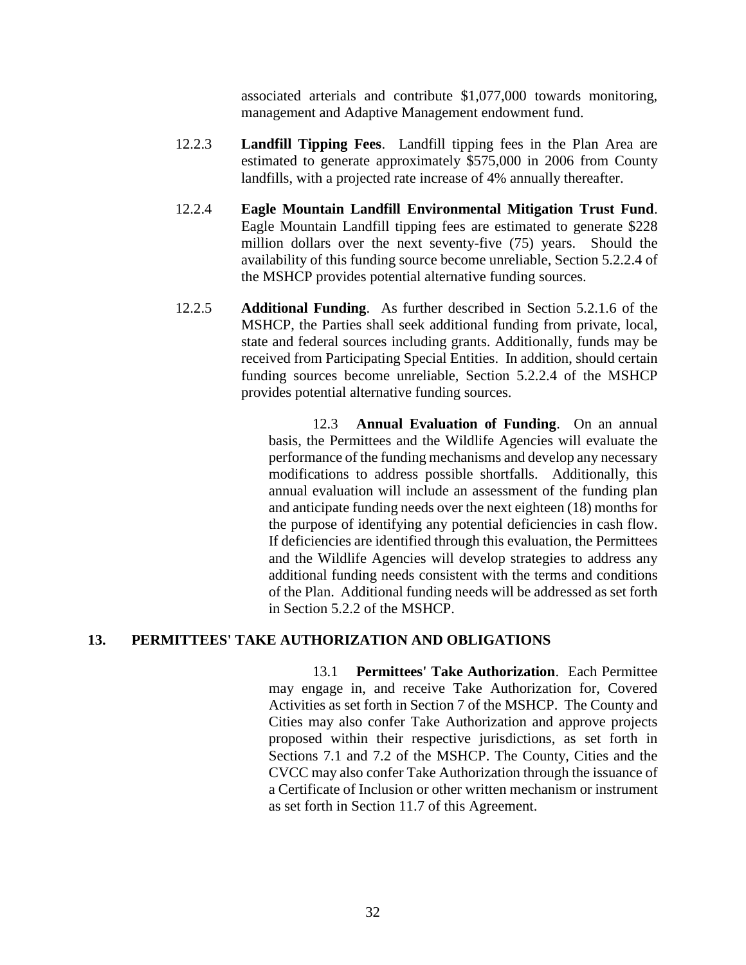associated arterials and contribute \$1,077,000 towards monitoring, management and Adaptive Management endowment fund.

- 12.2.3 **Landfill Tipping Fees**. Landfill tipping fees in the Plan Area are estimated to generate approximately \$575,000 in 2006 from County landfills, with a projected rate increase of 4% annually thereafter.
- 12.2.4 **Eagle Mountain Landfill Environmental Mitigation Trust Fund**. Eagle Mountain Landfill tipping fees are estimated to generate \$228 million dollars over the next seventy-five (75) years. Should the availability of this funding source become unreliable, Section 5.2.2.4 of the MSHCP provides potential alternative funding sources.
- 12.2.5 **Additional Funding**. As further described in Section 5.2.1.6 of the MSHCP, the Parties shall seek additional funding from private, local, state and federal sources including grants. Additionally, funds may be received from Participating Special Entities. In addition, should certain funding sources become unreliable, Section 5.2.2.4 of the MSHCP provides potential alternative funding sources.

12.3 **Annual Evaluation of Funding**. On an annual basis, the Permittees and the Wildlife Agencies will evaluate the performance of the funding mechanisms and develop any necessary modifications to address possible shortfalls. Additionally, this annual evaluation will include an assessment of the funding plan and anticipate funding needs over the next eighteen (18) months for the purpose of identifying any potential deficiencies in cash flow. If deficiencies are identified through this evaluation, the Permittees and the Wildlife Agencies will develop strategies to address any additional funding needs consistent with the terms and conditions of the Plan. Additional funding needs will be addressed as set forth in Section 5.2.2 of the MSHCP.

## **13. PERMITTEES' TAKE AUTHORIZATION AND OBLIGATIONS**

13.1 **Permittees' Take Authorization**. Each Permittee may engage in, and receive Take Authorization for, Covered Activities as set forth in Section 7 of the MSHCP. The County and Cities may also confer Take Authorization and approve projects proposed within their respective jurisdictions, as set forth in Sections 7.1 and 7.2 of the MSHCP. The County, Cities and the CVCC may also confer Take Authorization through the issuance of a Certificate of Inclusion or other written mechanism or instrument as set forth in Section 11.7 of this Agreement.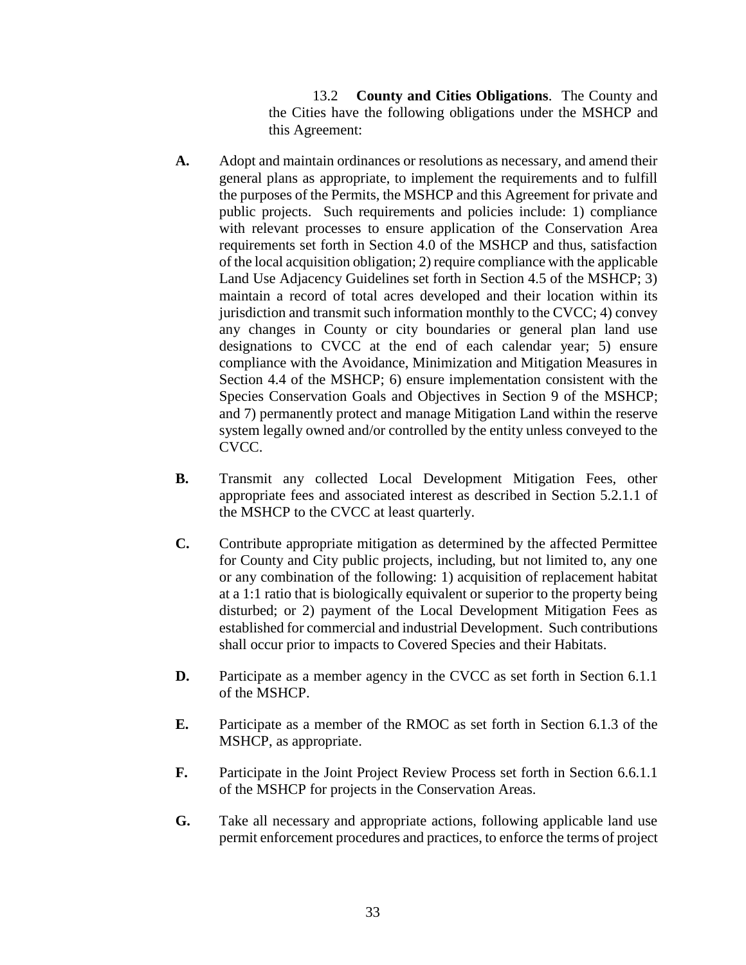13.2 **County and Cities Obligations**. The County and the Cities have the following obligations under the MSHCP and this Agreement:

- **A.** Adopt and maintain ordinances or resolutions as necessary, and amend their general plans as appropriate, to implement the requirements and to fulfill the purposes of the Permits, the MSHCP and this Agreement for private and public projects. Such requirements and policies include: 1) compliance with relevant processes to ensure application of the Conservation Area requirements set forth in Section 4.0 of the MSHCP and thus, satisfaction of the local acquisition obligation; 2) require compliance with the applicable Land Use Adjacency Guidelines set forth in Section 4.5 of the MSHCP; 3) maintain a record of total acres developed and their location within its jurisdiction and transmit such information monthly to the CVCC; 4) convey any changes in County or city boundaries or general plan land use designations to CVCC at the end of each calendar year; 5) ensure compliance with the Avoidance, Minimization and Mitigation Measures in Section 4.4 of the MSHCP; 6) ensure implementation consistent with the Species Conservation Goals and Objectives in Section 9 of the MSHCP; and 7) permanently protect and manage Mitigation Land within the reserve system legally owned and/or controlled by the entity unless conveyed to the CVCC.
- **B.** Transmit any collected Local Development Mitigation Fees, other appropriate fees and associated interest as described in Section 5.2.1.1 of the MSHCP to the CVCC at least quarterly.
- **C.** Contribute appropriate mitigation as determined by the affected Permittee for County and City public projects, including, but not limited to, any one or any combination of the following: 1) acquisition of replacement habitat at a 1:1 ratio that is biologically equivalent or superior to the property being disturbed; or 2) payment of the Local Development Mitigation Fees as established for commercial and industrial Development. Such contributions shall occur prior to impacts to Covered Species and their Habitats.
- **D.** Participate as a member agency in the CVCC as set forth in Section 6.1.1 of the MSHCP.
- **E.** Participate as a member of the RMOC as set forth in Section 6.1.3 of the MSHCP, as appropriate.
- **F.** Participate in the Joint Project Review Process set forth in Section 6.6.1.1 of the MSHCP for projects in the Conservation Areas.
- **G.** Take all necessary and appropriate actions, following applicable land use permit enforcement procedures and practices, to enforce the terms of project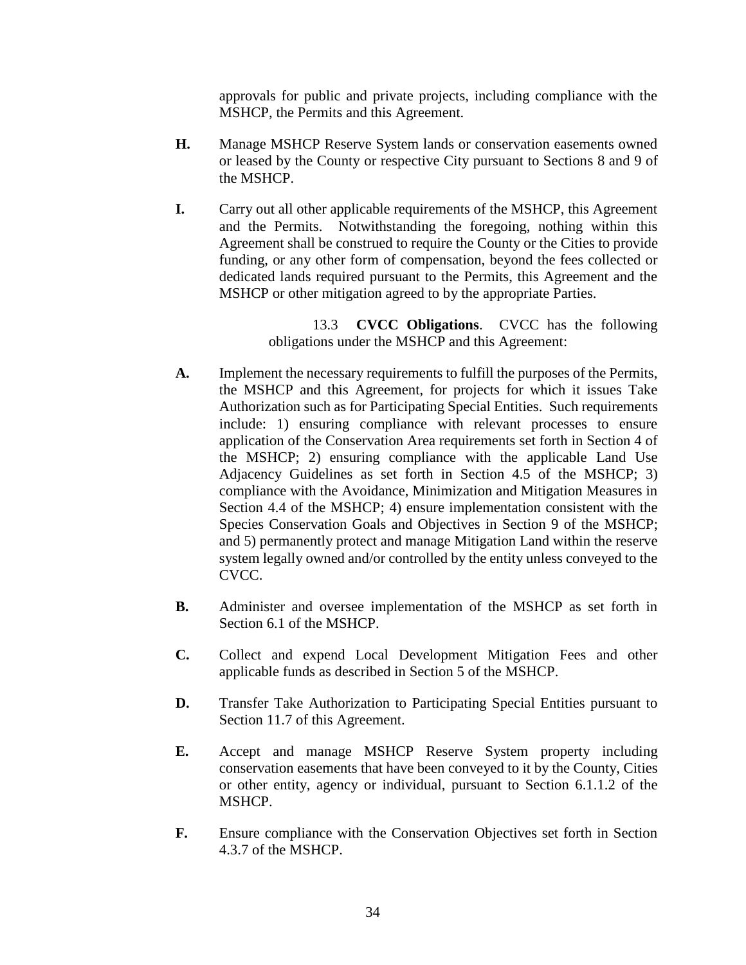approvals for public and private projects, including compliance with the MSHCP, the Permits and this Agreement.

- **H.** Manage MSHCP Reserve System lands or conservation easements owned or leased by the County or respective City pursuant to Sections 8 and 9 of the MSHCP.
- **I.** Carry out all other applicable requirements of the MSHCP, this Agreement and the Permits. Notwithstanding the foregoing, nothing within this Agreement shall be construed to require the County or the Cities to provide funding, or any other form of compensation, beyond the fees collected or dedicated lands required pursuant to the Permits, this Agreement and the MSHCP or other mitigation agreed to by the appropriate Parties.

13.3 **CVCC Obligations**. CVCC has the following obligations under the MSHCP and this Agreement:

- **A.** Implement the necessary requirements to fulfill the purposes of the Permits, the MSHCP and this Agreement, for projects for which it issues Take Authorization such as for Participating Special Entities. Such requirements include: 1) ensuring compliance with relevant processes to ensure application of the Conservation Area requirements set forth in Section 4 of the MSHCP; 2) ensuring compliance with the applicable Land Use Adjacency Guidelines as set forth in Section 4.5 of the MSHCP; 3) compliance with the Avoidance, Minimization and Mitigation Measures in Section 4.4 of the MSHCP; 4) ensure implementation consistent with the Species Conservation Goals and Objectives in Section 9 of the MSHCP; and 5) permanently protect and manage Mitigation Land within the reserve system legally owned and/or controlled by the entity unless conveyed to the CVCC.
- **B.** Administer and oversee implementation of the MSHCP as set forth in Section 6.1 of the MSHCP.
- **C.** Collect and expend Local Development Mitigation Fees and other applicable funds as described in Section 5 of the MSHCP.
- **D.** Transfer Take Authorization to Participating Special Entities pursuant to Section 11.7 of this Agreement.
- **E.** Accept and manage MSHCP Reserve System property including conservation easements that have been conveyed to it by the County, Cities or other entity, agency or individual, pursuant to Section 6.1.1.2 of the MSHCP.
- **F.** Ensure compliance with the Conservation Objectives set forth in Section 4.3.7 of the MSHCP.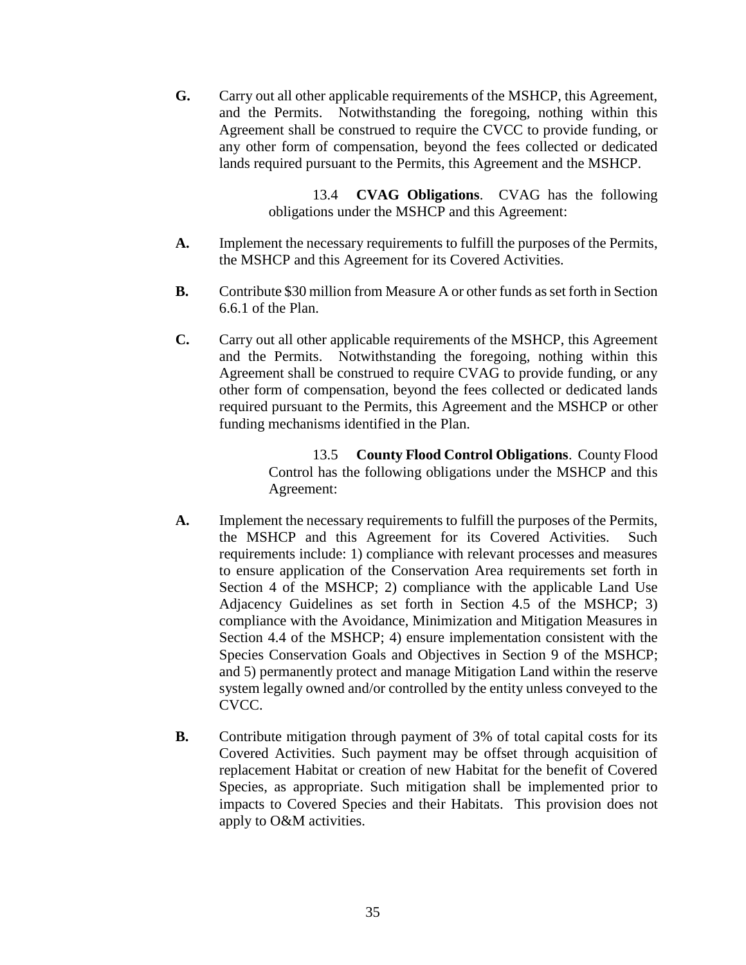**G.** Carry out all other applicable requirements of the MSHCP, this Agreement, and the Permits. Notwithstanding the foregoing, nothing within this Agreement shall be construed to require the CVCC to provide funding, or any other form of compensation, beyond the fees collected or dedicated lands required pursuant to the Permits, this Agreement and the MSHCP.

> 13.4 **CVAG Obligations**. CVAG has the following obligations under the MSHCP and this Agreement:

- **A.** Implement the necessary requirements to fulfill the purposes of the Permits, the MSHCP and this Agreement for its Covered Activities.
- **B.** Contribute \$30 million from Measure A or other funds as set forth in Section 6.6.1 of the Plan.
- **C.** Carry out all other applicable requirements of the MSHCP, this Agreement and the Permits. Notwithstanding the foregoing, nothing within this Agreement shall be construed to require CVAG to provide funding, or any other form of compensation, beyond the fees collected or dedicated lands required pursuant to the Permits, this Agreement and the MSHCP or other funding mechanisms identified in the Plan.

13.5 **County Flood Control Obligations**. County Flood Control has the following obligations under the MSHCP and this Agreement:

- **A.** Implement the necessary requirements to fulfill the purposes of the Permits, the MSHCP and this Agreement for its Covered Activities. Such requirements include: 1) compliance with relevant processes and measures to ensure application of the Conservation Area requirements set forth in Section 4 of the MSHCP; 2) compliance with the applicable Land Use Adjacency Guidelines as set forth in Section 4.5 of the MSHCP; 3) compliance with the Avoidance, Minimization and Mitigation Measures in Section 4.4 of the MSHCP; 4) ensure implementation consistent with the Species Conservation Goals and Objectives in Section 9 of the MSHCP; and 5) permanently protect and manage Mitigation Land within the reserve system legally owned and/or controlled by the entity unless conveyed to the CVCC.
- **B.** Contribute mitigation through payment of 3% of total capital costs for its Covered Activities. Such payment may be offset through acquisition of replacement Habitat or creation of new Habitat for the benefit of Covered Species, as appropriate. Such mitigation shall be implemented prior to impacts to Covered Species and their Habitats. This provision does not apply to O&M activities.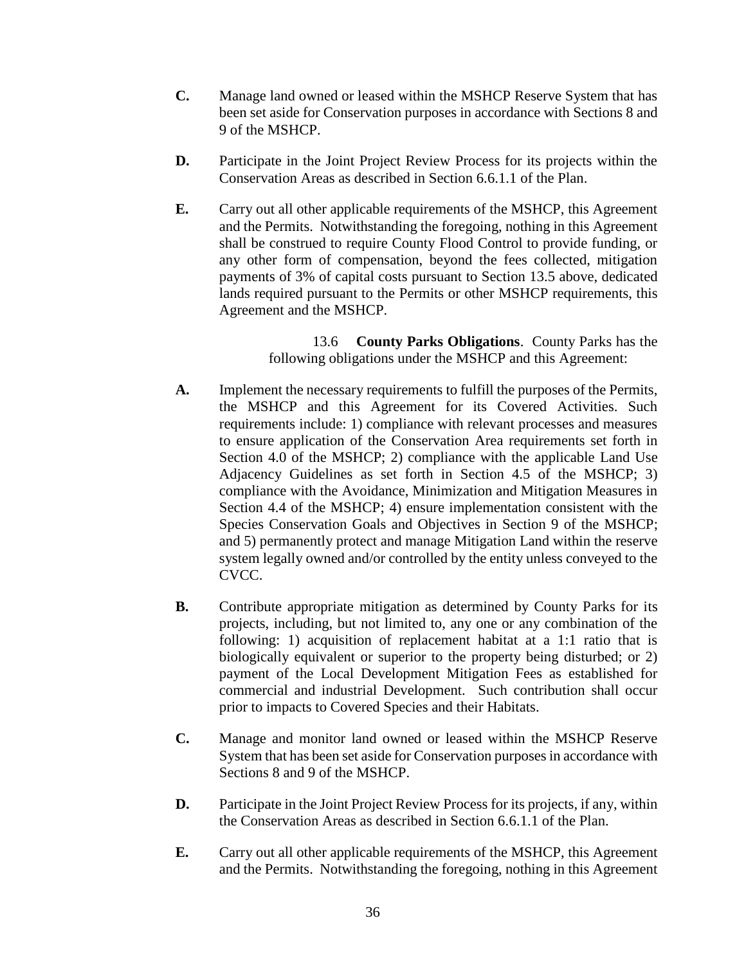- **C.** Manage land owned or leased within the MSHCP Reserve System that has been set aside for Conservation purposes in accordance with Sections 8 and 9 of the MSHCP.
- **D.** Participate in the Joint Project Review Process for its projects within the Conservation Areas as described in Section 6.6.1.1 of the Plan.
- **E.** Carry out all other applicable requirements of the MSHCP, this Agreement and the Permits. Notwithstanding the foregoing, nothing in this Agreement shall be construed to require County Flood Control to provide funding, or any other form of compensation, beyond the fees collected, mitigation payments of 3% of capital costs pursuant to Section 13.5 above, dedicated lands required pursuant to the Permits or other MSHCP requirements, this Agreement and the MSHCP.

13.6 **County Parks Obligations**. County Parks has the following obligations under the MSHCP and this Agreement:

- **A.** Implement the necessary requirements to fulfill the purposes of the Permits, the MSHCP and this Agreement for its Covered Activities. Such requirements include: 1) compliance with relevant processes and measures to ensure application of the Conservation Area requirements set forth in Section 4.0 of the MSHCP; 2) compliance with the applicable Land Use Adjacency Guidelines as set forth in Section 4.5 of the MSHCP; 3) compliance with the Avoidance, Minimization and Mitigation Measures in Section 4.4 of the MSHCP; 4) ensure implementation consistent with the Species Conservation Goals and Objectives in Section 9 of the MSHCP; and 5) permanently protect and manage Mitigation Land within the reserve system legally owned and/or controlled by the entity unless conveyed to the CVCC.
- **B.** Contribute appropriate mitigation as determined by County Parks for its projects, including, but not limited to, any one or any combination of the following: 1) acquisition of replacement habitat at a 1:1 ratio that is biologically equivalent or superior to the property being disturbed; or 2) payment of the Local Development Mitigation Fees as established for commercial and industrial Development. Such contribution shall occur prior to impacts to Covered Species and their Habitats.
- **C.** Manage and monitor land owned or leased within the MSHCP Reserve System that has been set aside for Conservation purposes in accordance with Sections 8 and 9 of the MSHCP.
- **D.** Participate in the Joint Project Review Process for its projects, if any, within the Conservation Areas as described in Section 6.6.1.1 of the Plan.
- **E.** Carry out all other applicable requirements of the MSHCP, this Agreement and the Permits. Notwithstanding the foregoing, nothing in this Agreement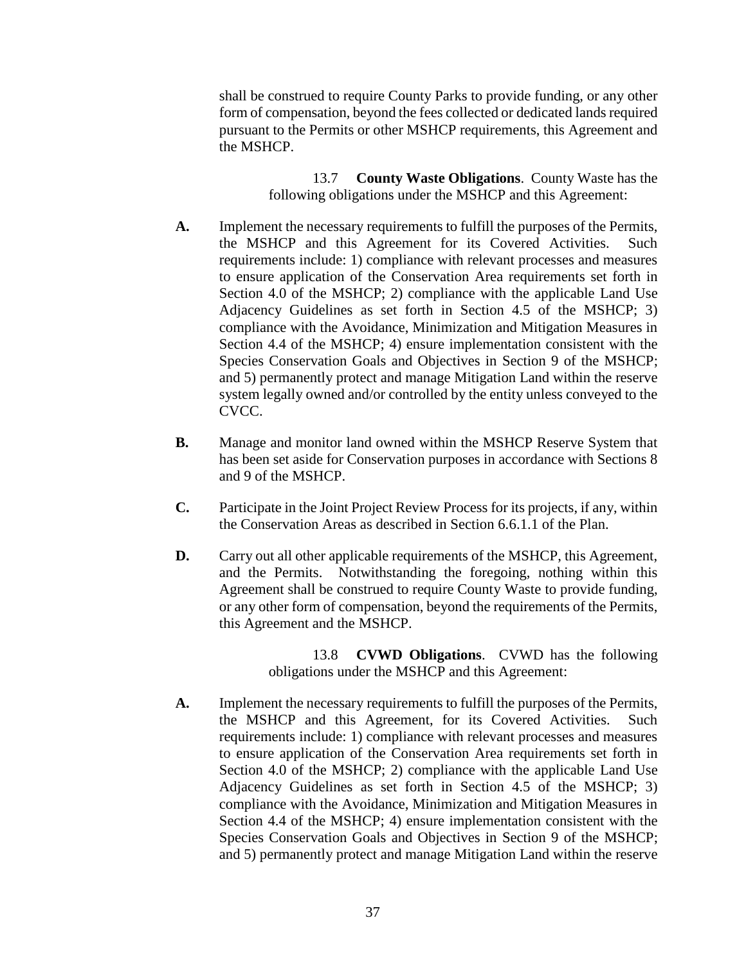shall be construed to require County Parks to provide funding, or any other form of compensation, beyond the fees collected or dedicated lands required pursuant to the Permits or other MSHCP requirements, this Agreement and the MSHCP.

> 13.7 **County Waste Obligations**. County Waste has the following obligations under the MSHCP and this Agreement:

- **A.** Implement the necessary requirements to fulfill the purposes of the Permits, the MSHCP and this Agreement for its Covered Activities. Such requirements include: 1) compliance with relevant processes and measures to ensure application of the Conservation Area requirements set forth in Section 4.0 of the MSHCP; 2) compliance with the applicable Land Use Adjacency Guidelines as set forth in Section 4.5 of the MSHCP; 3) compliance with the Avoidance, Minimization and Mitigation Measures in Section 4.4 of the MSHCP; 4) ensure implementation consistent with the Species Conservation Goals and Objectives in Section 9 of the MSHCP; and 5) permanently protect and manage Mitigation Land within the reserve system legally owned and/or controlled by the entity unless conveyed to the CVCC.
- **B.** Manage and monitor land owned within the MSHCP Reserve System that has been set aside for Conservation purposes in accordance with Sections 8 and 9 of the MSHCP.
- **C.** Participate in the Joint Project Review Process for its projects, if any, within the Conservation Areas as described in Section 6.6.1.1 of the Plan.
- **D.** Carry out all other applicable requirements of the MSHCP, this Agreement, and the Permits. Notwithstanding the foregoing, nothing within this Agreement shall be construed to require County Waste to provide funding, or any other form of compensation, beyond the requirements of the Permits, this Agreement and the MSHCP.

13.8 **CVWD Obligations**. CVWD has the following obligations under the MSHCP and this Agreement:

**A.** Implement the necessary requirements to fulfill the purposes of the Permits, the MSHCP and this Agreement, for its Covered Activities. Such requirements include: 1) compliance with relevant processes and measures to ensure application of the Conservation Area requirements set forth in Section 4.0 of the MSHCP; 2) compliance with the applicable Land Use Adjacency Guidelines as set forth in Section 4.5 of the MSHCP; 3) compliance with the Avoidance, Minimization and Mitigation Measures in Section 4.4 of the MSHCP; 4) ensure implementation consistent with the Species Conservation Goals and Objectives in Section 9 of the MSHCP; and 5) permanently protect and manage Mitigation Land within the reserve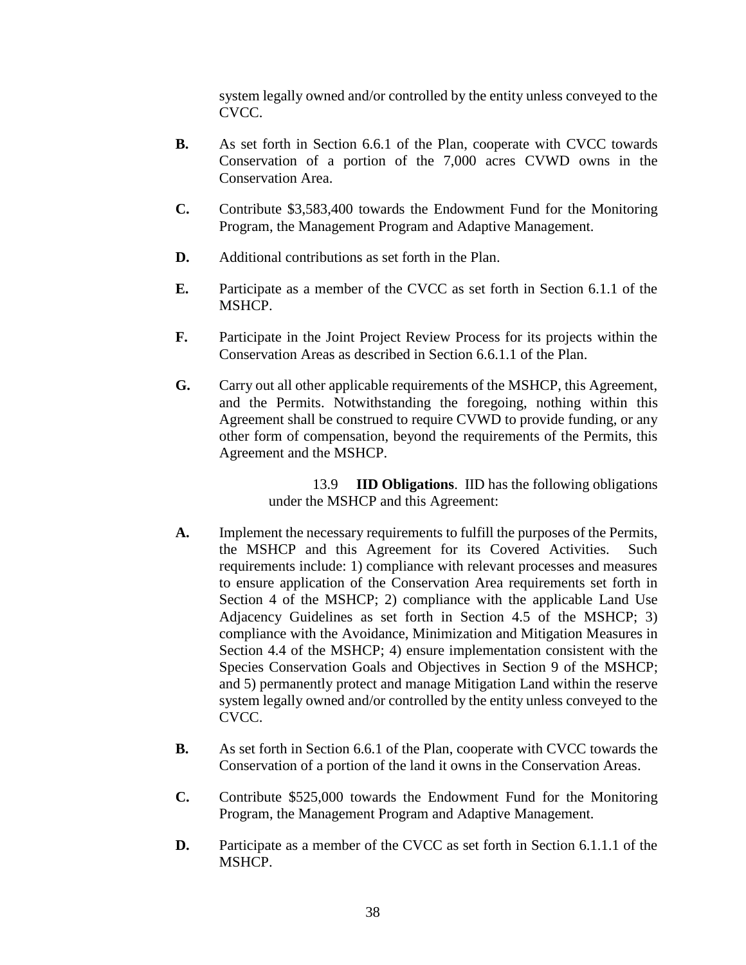system legally owned and/or controlled by the entity unless conveyed to the CVCC.

- **B.** As set forth in Section 6.6.1 of the Plan, cooperate with CVCC towards Conservation of a portion of the 7,000 acres CVWD owns in the Conservation Area.
- **C.** Contribute \$3,583,400 towards the Endowment Fund for the Monitoring Program, the Management Program and Adaptive Management.
- **D.** Additional contributions as set forth in the Plan.
- **E.** Participate as a member of the CVCC as set forth in Section 6.1.1 of the MSHCP.
- **F.** Participate in the Joint Project Review Process for its projects within the Conservation Areas as described in Section 6.6.1.1 of the Plan.
- **G.** Carry out all other applicable requirements of the MSHCP, this Agreement, and the Permits. Notwithstanding the foregoing, nothing within this Agreement shall be construed to require CVWD to provide funding, or any other form of compensation, beyond the requirements of the Permits, this Agreement and the MSHCP.

13.9 **IID Obligations**. IID has the following obligations under the MSHCP and this Agreement:

- **A.** Implement the necessary requirements to fulfill the purposes of the Permits, the MSHCP and this Agreement for its Covered Activities. Such requirements include: 1) compliance with relevant processes and measures to ensure application of the Conservation Area requirements set forth in Section 4 of the MSHCP; 2) compliance with the applicable Land Use Adjacency Guidelines as set forth in Section 4.5 of the MSHCP; 3) compliance with the Avoidance, Minimization and Mitigation Measures in Section 4.4 of the MSHCP; 4) ensure implementation consistent with the Species Conservation Goals and Objectives in Section 9 of the MSHCP; and 5) permanently protect and manage Mitigation Land within the reserve system legally owned and/or controlled by the entity unless conveyed to the CVCC.
- **B.** As set forth in Section 6.6.1 of the Plan, cooperate with CVCC towards the Conservation of a portion of the land it owns in the Conservation Areas.
- **C.** Contribute \$525,000 towards the Endowment Fund for the Monitoring Program, the Management Program and Adaptive Management.
- **D.** Participate as a member of the CVCC as set forth in Section 6.1.1.1 of the MSHCP.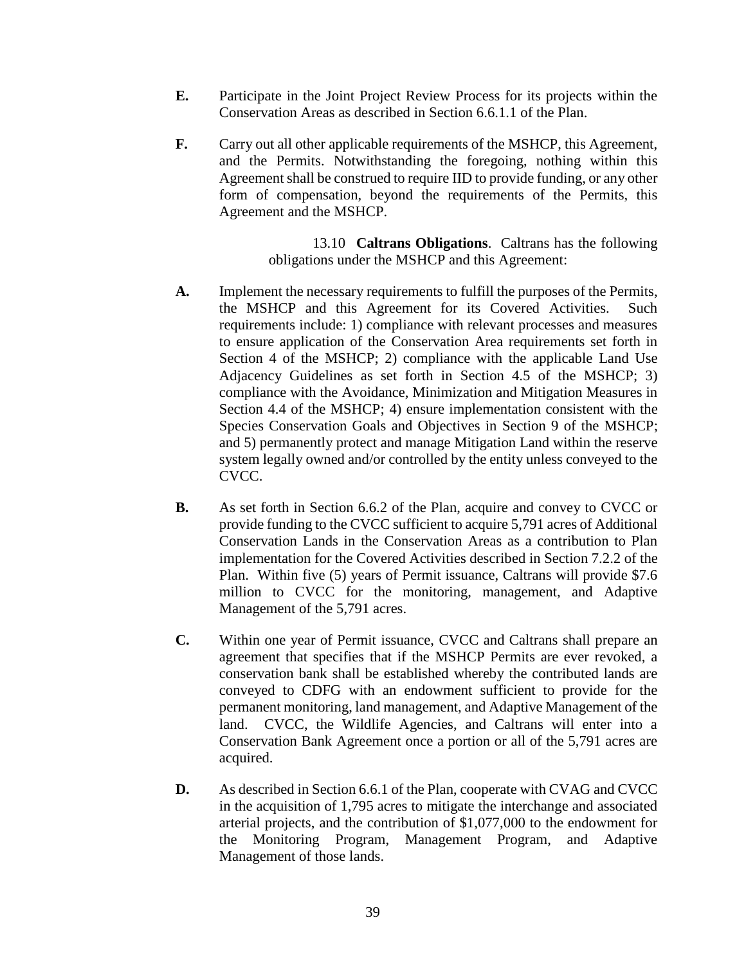- **E.** Participate in the Joint Project Review Process for its projects within the Conservation Areas as described in Section 6.6.1.1 of the Plan.
- **F.** Carry out all other applicable requirements of the MSHCP, this Agreement, and the Permits. Notwithstanding the foregoing, nothing within this Agreement shall be construed to require IID to provide funding, or any other form of compensation, beyond the requirements of the Permits, this Agreement and the MSHCP.

13.10 **Caltrans Obligations**. Caltrans has the following obligations under the MSHCP and this Agreement:

- **A.** Implement the necessary requirements to fulfill the purposes of the Permits, the MSHCP and this Agreement for its Covered Activities. Such requirements include: 1) compliance with relevant processes and measures to ensure application of the Conservation Area requirements set forth in Section 4 of the MSHCP; 2) compliance with the applicable Land Use Adjacency Guidelines as set forth in Section 4.5 of the MSHCP; 3) compliance with the Avoidance, Minimization and Mitigation Measures in Section 4.4 of the MSHCP; 4) ensure implementation consistent with the Species Conservation Goals and Objectives in Section 9 of the MSHCP; and 5) permanently protect and manage Mitigation Land within the reserve system legally owned and/or controlled by the entity unless conveyed to the CVCC.
- **B.** As set forth in Section 6.6.2 of the Plan, acquire and convey to CVCC or provide funding to the CVCC sufficient to acquire 5,791 acres of Additional Conservation Lands in the Conservation Areas as a contribution to Plan implementation for the Covered Activities described in Section 7.2.2 of the Plan. Within five (5) years of Permit issuance, Caltrans will provide \$7.6 million to CVCC for the monitoring, management, and Adaptive Management of the 5,791 acres.
- **C.** Within one year of Permit issuance, CVCC and Caltrans shall prepare an agreement that specifies that if the MSHCP Permits are ever revoked, a conservation bank shall be established whereby the contributed lands are conveyed to CDFG with an endowment sufficient to provide for the permanent monitoring, land management, and Adaptive Management of the land. CVCC, the Wildlife Agencies, and Caltrans will enter into a Conservation Bank Agreement once a portion or all of the 5,791 acres are acquired.
- **D.** As described in Section 6.6.1 of the Plan, cooperate with CVAG and CVCC in the acquisition of 1,795 acres to mitigate the interchange and associated arterial projects, and the contribution of \$1,077,000 to the endowment for the Monitoring Program, Management Program, and Adaptive Management of those lands.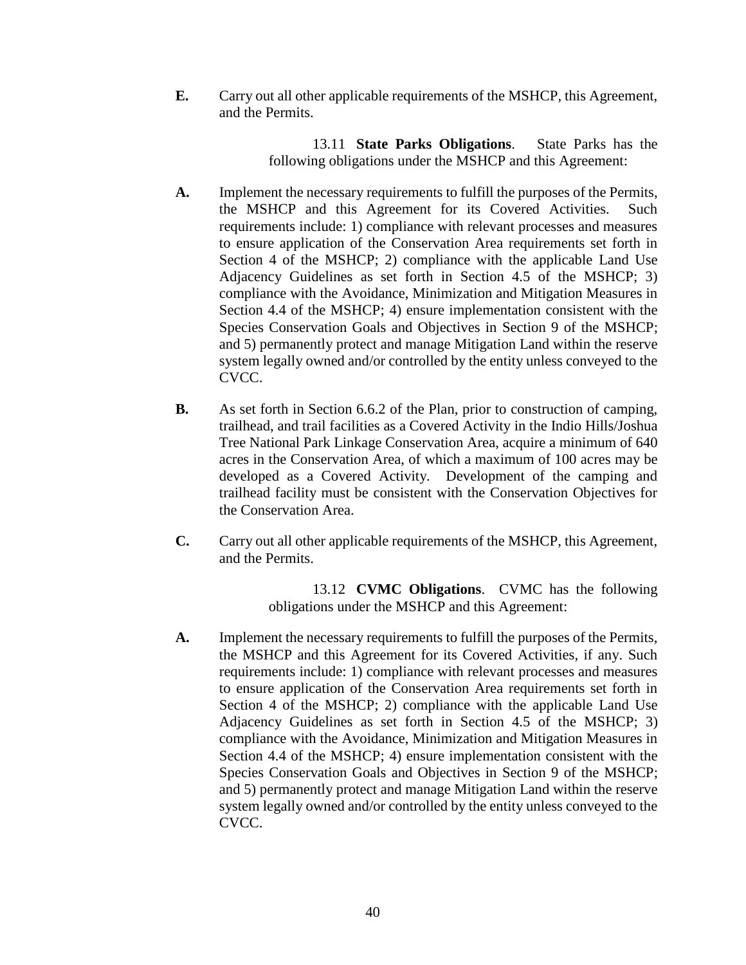**E.** Carry out all other applicable requirements of the MSHCP, this Agreement, and the Permits.

> 13.11 **State Parks Obligations**. State Parks has the following obligations under the MSHCP and this Agreement:

- **A.** Implement the necessary requirements to fulfill the purposes of the Permits, the MSHCP and this Agreement for its Covered Activities. Such requirements include: 1) compliance with relevant processes and measures to ensure application of the Conservation Area requirements set forth in Section 4 of the MSHCP; 2) compliance with the applicable Land Use Adjacency Guidelines as set forth in Section 4.5 of the MSHCP; 3) compliance with the Avoidance, Minimization and Mitigation Measures in Section 4.4 of the MSHCP; 4) ensure implementation consistent with the Species Conservation Goals and Objectives in Section 9 of the MSHCP; and 5) permanently protect and manage Mitigation Land within the reserve system legally owned and/or controlled by the entity unless conveyed to the CVCC.
- **B.** As set forth in Section 6.6.2 of the Plan, prior to construction of camping, trailhead, and trail facilities as a Covered Activity in the Indio Hills/Joshua Tree National Park Linkage Conservation Area, acquire a minimum of 640 acres in the Conservation Area, of which a maximum of 100 acres may be developed as a Covered Activity. Development of the camping and trailhead facility must be consistent with the Conservation Objectives for the Conservation Area.
- **C.** Carry out all other applicable requirements of the MSHCP, this Agreement, and the Permits.

13.12 **CVMC Obligations**. CVMC has the following obligations under the MSHCP and this Agreement:

**A.** Implement the necessary requirements to fulfill the purposes of the Permits, the MSHCP and this Agreement for its Covered Activities, if any. Such requirements include: 1) compliance with relevant processes and measures to ensure application of the Conservation Area requirements set forth in Section 4 of the MSHCP; 2) compliance with the applicable Land Use Adjacency Guidelines as set forth in Section 4.5 of the MSHCP; 3) compliance with the Avoidance, Minimization and Mitigation Measures in Section 4.4 of the MSHCP; 4) ensure implementation consistent with the Species Conservation Goals and Objectives in Section 9 of the MSHCP; and 5) permanently protect and manage Mitigation Land within the reserve system legally owned and/or controlled by the entity unless conveyed to the CVCC.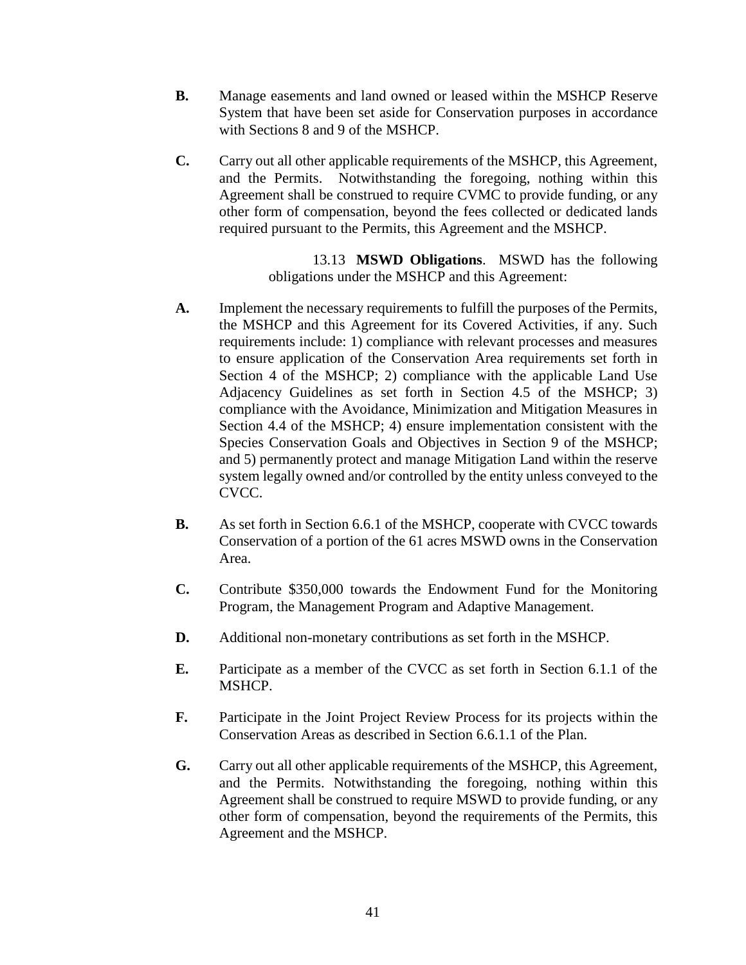- **B.** Manage easements and land owned or leased within the MSHCP Reserve System that have been set aside for Conservation purposes in accordance with Sections 8 and 9 of the MSHCP.
- **C.** Carry out all other applicable requirements of the MSHCP, this Agreement, and the Permits. Notwithstanding the foregoing, nothing within this Agreement shall be construed to require CVMC to provide funding, or any other form of compensation, beyond the fees collected or dedicated lands required pursuant to the Permits, this Agreement and the MSHCP.

13.13 **MSWD Obligations**. MSWD has the following obligations under the MSHCP and this Agreement:

- **A.** Implement the necessary requirements to fulfill the purposes of the Permits, the MSHCP and this Agreement for its Covered Activities, if any. Such requirements include: 1) compliance with relevant processes and measures to ensure application of the Conservation Area requirements set forth in Section 4 of the MSHCP; 2) compliance with the applicable Land Use Adjacency Guidelines as set forth in Section 4.5 of the MSHCP; 3) compliance with the Avoidance, Minimization and Mitigation Measures in Section 4.4 of the MSHCP; 4) ensure implementation consistent with the Species Conservation Goals and Objectives in Section 9 of the MSHCP; and 5) permanently protect and manage Mitigation Land within the reserve system legally owned and/or controlled by the entity unless conveyed to the CVCC.
- **B.** As set forth in Section 6.6.1 of the MSHCP, cooperate with CVCC towards Conservation of a portion of the 61 acres MSWD owns in the Conservation Area.
- **C.** Contribute \$350,000 towards the Endowment Fund for the Monitoring Program, the Management Program and Adaptive Management.
- **D.** Additional non-monetary contributions as set forth in the MSHCP.
- **E.** Participate as a member of the CVCC as set forth in Section 6.1.1 of the MSHCP.
- **F.** Participate in the Joint Project Review Process for its projects within the Conservation Areas as described in Section 6.6.1.1 of the Plan.
- **G.** Carry out all other applicable requirements of the MSHCP, this Agreement, and the Permits. Notwithstanding the foregoing, nothing within this Agreement shall be construed to require MSWD to provide funding, or any other form of compensation, beyond the requirements of the Permits, this Agreement and the MSHCP.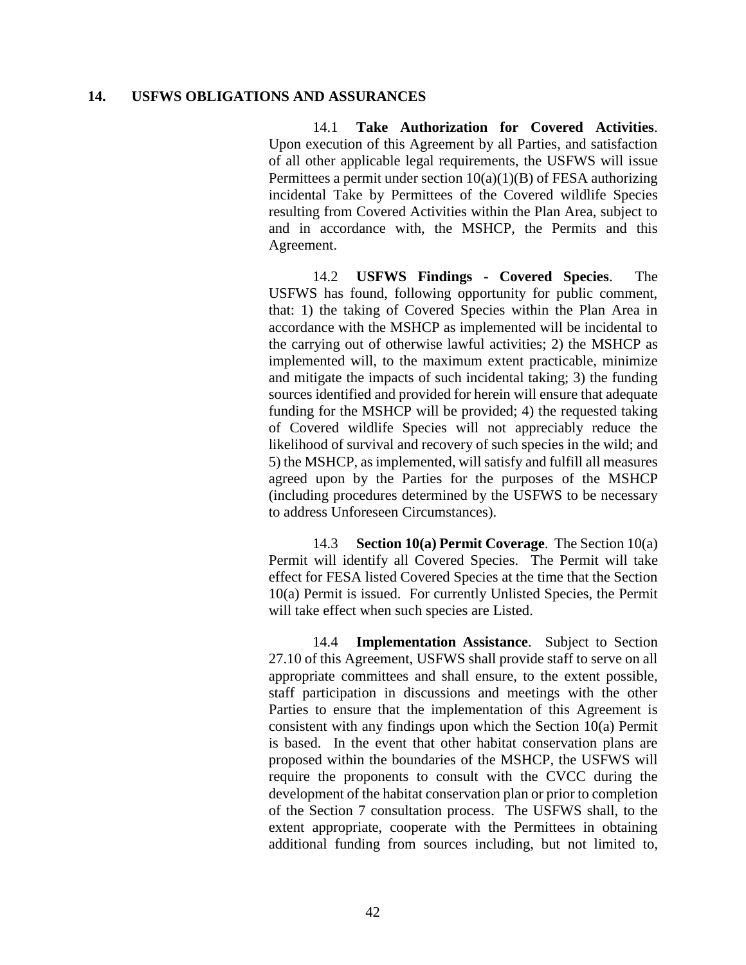#### **14. USFWS OBLIGATIONS AND ASSURANCES**

14.1 **Take Authorization for Covered Activities**. Upon execution of this Agreement by all Parties, and satisfaction of all other applicable legal requirements, the USFWS will issue Permittees a permit under section  $10(a)(1)(B)$  of FESA authorizing incidental Take by Permittees of the Covered wildlife Species resulting from Covered Activities within the Plan Area, subject to and in accordance with, the MSHCP, the Permits and this Agreement.

14.2 **USFWS Findings - Covered Species**. The USFWS has found, following opportunity for public comment, that: 1) the taking of Covered Species within the Plan Area in accordance with the MSHCP as implemented will be incidental to the carrying out of otherwise lawful activities; 2) the MSHCP as implemented will, to the maximum extent practicable, minimize and mitigate the impacts of such incidental taking; 3) the funding sources identified and provided for herein will ensure that adequate funding for the MSHCP will be provided; 4) the requested taking of Covered wildlife Species will not appreciably reduce the likelihood of survival and recovery of such species in the wild; and 5) the MSHCP, as implemented, will satisfy and fulfill all measures agreed upon by the Parties for the purposes of the MSHCP (including procedures determined by the USFWS to be necessary to address Unforeseen Circumstances).

14.3 **Section 10(a) Permit Coverage**. The Section 10(a) Permit will identify all Covered Species. The Permit will take effect for FESA listed Covered Species at the time that the Section 10(a) Permit is issued. For currently Unlisted Species, the Permit will take effect when such species are Listed.

14.4 **Implementation Assistance**. Subject to Section 27.10 of this Agreement, USFWS shall provide staff to serve on all appropriate committees and shall ensure, to the extent possible, staff participation in discussions and meetings with the other Parties to ensure that the implementation of this Agreement is consistent with any findings upon which the Section 10(a) Permit is based. In the event that other habitat conservation plans are proposed within the boundaries of the MSHCP, the USFWS will require the proponents to consult with the CVCC during the development of the habitat conservation plan or prior to completion of the Section 7 consultation process. The USFWS shall, to the extent appropriate, cooperate with the Permittees in obtaining additional funding from sources including, but not limited to,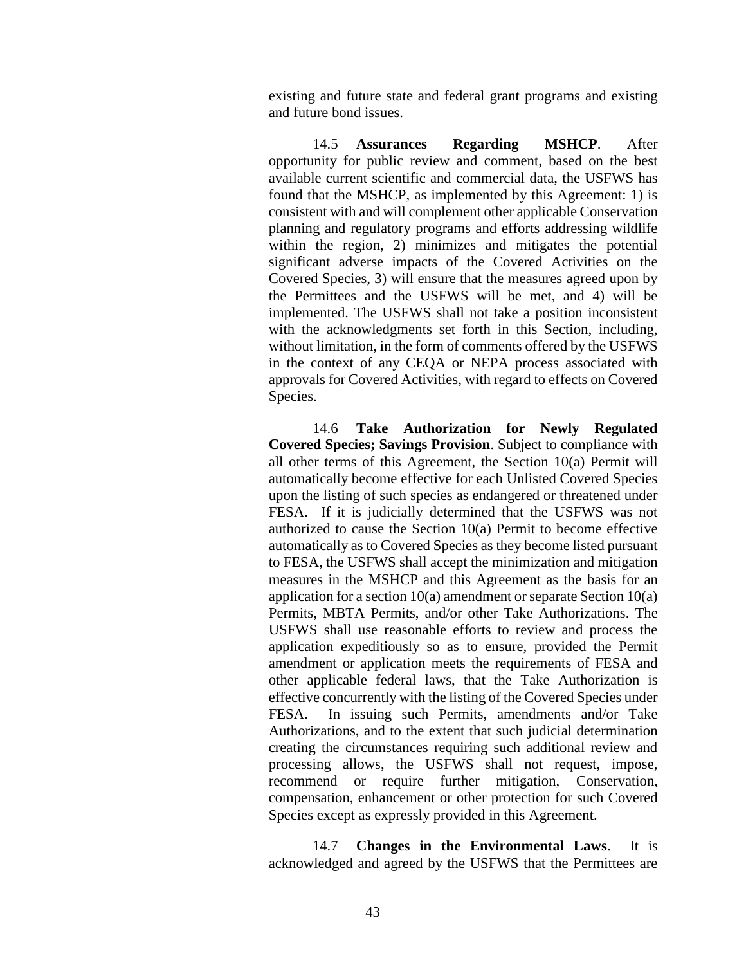existing and future state and federal grant programs and existing and future bond issues.

14.5 **Assurances Regarding MSHCP**. After opportunity for public review and comment, based on the best available current scientific and commercial data, the USFWS has found that the MSHCP, as implemented by this Agreement: 1) is consistent with and will complement other applicable Conservation planning and regulatory programs and efforts addressing wildlife within the region, 2) minimizes and mitigates the potential significant adverse impacts of the Covered Activities on the Covered Species, 3) will ensure that the measures agreed upon by the Permittees and the USFWS will be met, and 4) will be implemented. The USFWS shall not take a position inconsistent with the acknowledgments set forth in this Section, including, without limitation, in the form of comments offered by the USFWS in the context of any CEQA or NEPA process associated with approvals for Covered Activities, with regard to effects on Covered Species.

14.6 **Take Authorization for Newly Regulated Covered Species; Savings Provision**. Subject to compliance with all other terms of this Agreement, the Section 10(a) Permit will automatically become effective for each Unlisted Covered Species upon the listing of such species as endangered or threatened under FESA. If it is judicially determined that the USFWS was not authorized to cause the Section 10(a) Permit to become effective automatically as to Covered Species as they become listed pursuant to FESA, the USFWS shall accept the minimization and mitigation measures in the MSHCP and this Agreement as the basis for an application for a section 10(a) amendment or separate Section 10(a) Permits, MBTA Permits, and/or other Take Authorizations. The USFWS shall use reasonable efforts to review and process the application expeditiously so as to ensure, provided the Permit amendment or application meets the requirements of FESA and other applicable federal laws, that the Take Authorization is effective concurrently with the listing of the Covered Species under FESA. In issuing such Permits, amendments and/or Take Authorizations, and to the extent that such judicial determination creating the circumstances requiring such additional review and processing allows, the USFWS shall not request, impose, recommend or require further mitigation, Conservation, compensation, enhancement or other protection for such Covered Species except as expressly provided in this Agreement.

14.7 **Changes in the Environmental Laws**. It is acknowledged and agreed by the USFWS that the Permittees are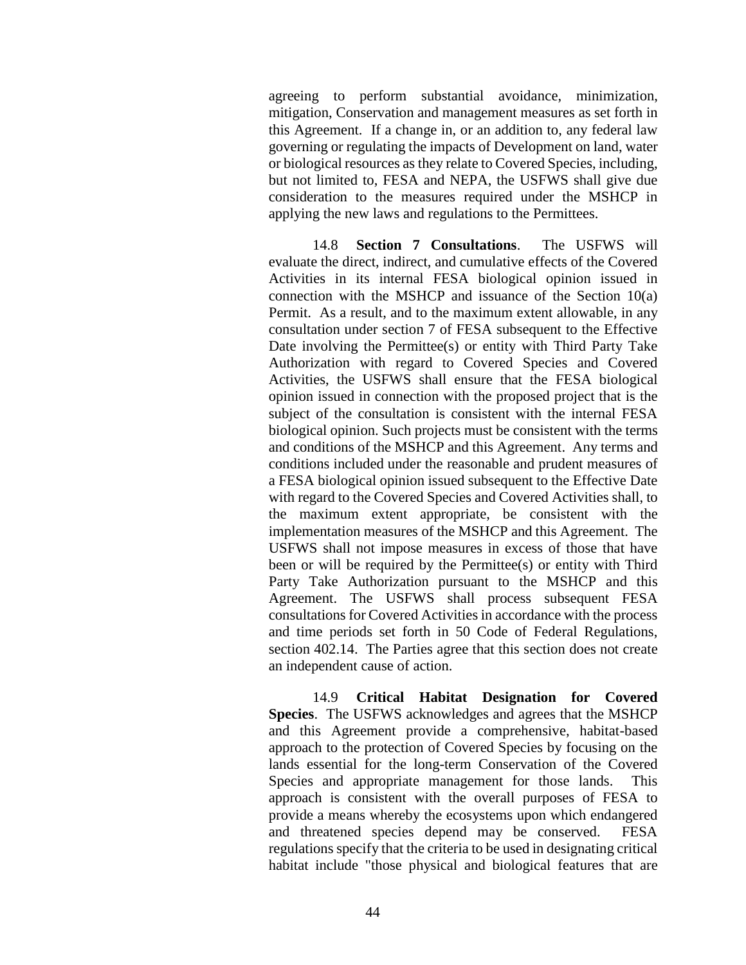agreeing to perform substantial avoidance, minimization, mitigation, Conservation and management measures as set forth in this Agreement. If a change in, or an addition to, any federal law governing or regulating the impacts of Development on land, water or biological resources as they relate to Covered Species, including, but not limited to, FESA and NEPA, the USFWS shall give due consideration to the measures required under the MSHCP in applying the new laws and regulations to the Permittees.

14.8 **Section 7 Consultations**. The USFWS will evaluate the direct, indirect, and cumulative effects of the Covered Activities in its internal FESA biological opinion issued in connection with the MSHCP and issuance of the Section 10(a) Permit. As a result, and to the maximum extent allowable, in any consultation under section 7 of FESA subsequent to the Effective Date involving the Permittee(s) or entity with Third Party Take Authorization with regard to Covered Species and Covered Activities, the USFWS shall ensure that the FESA biological opinion issued in connection with the proposed project that is the subject of the consultation is consistent with the internal FESA biological opinion. Such projects must be consistent with the terms and conditions of the MSHCP and this Agreement. Any terms and conditions included under the reasonable and prudent measures of a FESA biological opinion issued subsequent to the Effective Date with regard to the Covered Species and Covered Activities shall, to the maximum extent appropriate, be consistent with the implementation measures of the MSHCP and this Agreement. The USFWS shall not impose measures in excess of those that have been or will be required by the Permittee(s) or entity with Third Party Take Authorization pursuant to the MSHCP and this Agreement. The USFWS shall process subsequent FESA consultations for Covered Activities in accordance with the process and time periods set forth in 50 Code of Federal Regulations, section 402.14. The Parties agree that this section does not create an independent cause of action.

14.9 **Critical Habitat Designation for Covered Species**. The USFWS acknowledges and agrees that the MSHCP and this Agreement provide a comprehensive, habitat-based approach to the protection of Covered Species by focusing on the lands essential for the long-term Conservation of the Covered Species and appropriate management for those lands. This approach is consistent with the overall purposes of FESA to provide a means whereby the ecosystems upon which endangered and threatened species depend may be conserved. FESA regulations specify that the criteria to be used in designating critical habitat include "those physical and biological features that are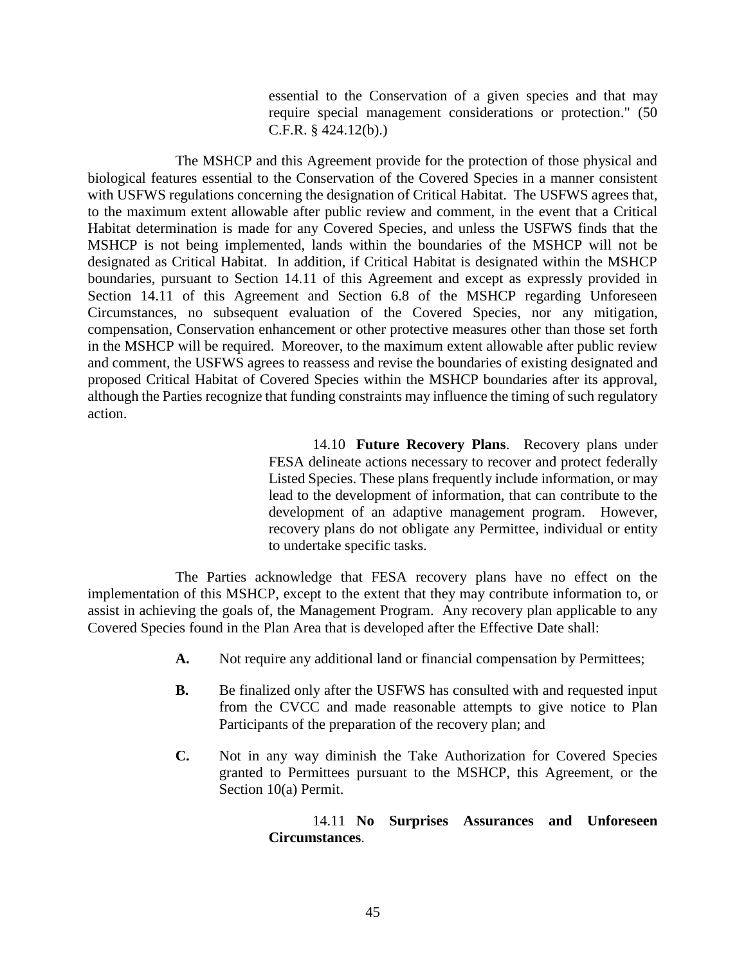essential to the Conservation of a given species and that may require special management considerations or protection." (50 C.F.R. § 424.12(b).)

The MSHCP and this Agreement provide for the protection of those physical and biological features essential to the Conservation of the Covered Species in a manner consistent with USFWS regulations concerning the designation of Critical Habitat. The USFWS agrees that, to the maximum extent allowable after public review and comment, in the event that a Critical Habitat determination is made for any Covered Species, and unless the USFWS finds that the MSHCP is not being implemented, lands within the boundaries of the MSHCP will not be designated as Critical Habitat. In addition, if Critical Habitat is designated within the MSHCP boundaries, pursuant to Section 14.11 of this Agreement and except as expressly provided in Section 14.11 of this Agreement and Section 6.8 of the MSHCP regarding Unforeseen Circumstances, no subsequent evaluation of the Covered Species, nor any mitigation, compensation, Conservation enhancement or other protective measures other than those set forth in the MSHCP will be required. Moreover, to the maximum extent allowable after public review and comment, the USFWS agrees to reassess and revise the boundaries of existing designated and proposed Critical Habitat of Covered Species within the MSHCP boundaries after its approval, although the Parties recognize that funding constraints may influence the timing of such regulatory action.

> 14.10 **Future Recovery Plans**. Recovery plans under FESA delineate actions necessary to recover and protect federally Listed Species. These plans frequently include information, or may lead to the development of information, that can contribute to the development of an adaptive management program. However, recovery plans do not obligate any Permittee, individual or entity to undertake specific tasks.

The Parties acknowledge that FESA recovery plans have no effect on the implementation of this MSHCP, except to the extent that they may contribute information to, or assist in achieving the goals of, the Management Program. Any recovery plan applicable to any Covered Species found in the Plan Area that is developed after the Effective Date shall:

- **A.** Not require any additional land or financial compensation by Permittees;
- **B.** Be finalized only after the USFWS has consulted with and requested input from the CVCC and made reasonable attempts to give notice to Plan Participants of the preparation of the recovery plan; and
- **C.** Not in any way diminish the Take Authorization for Covered Species granted to Permittees pursuant to the MSHCP, this Agreement, or the Section 10(a) Permit.

14.11 **No Surprises Assurances and Unforeseen Circumstances**.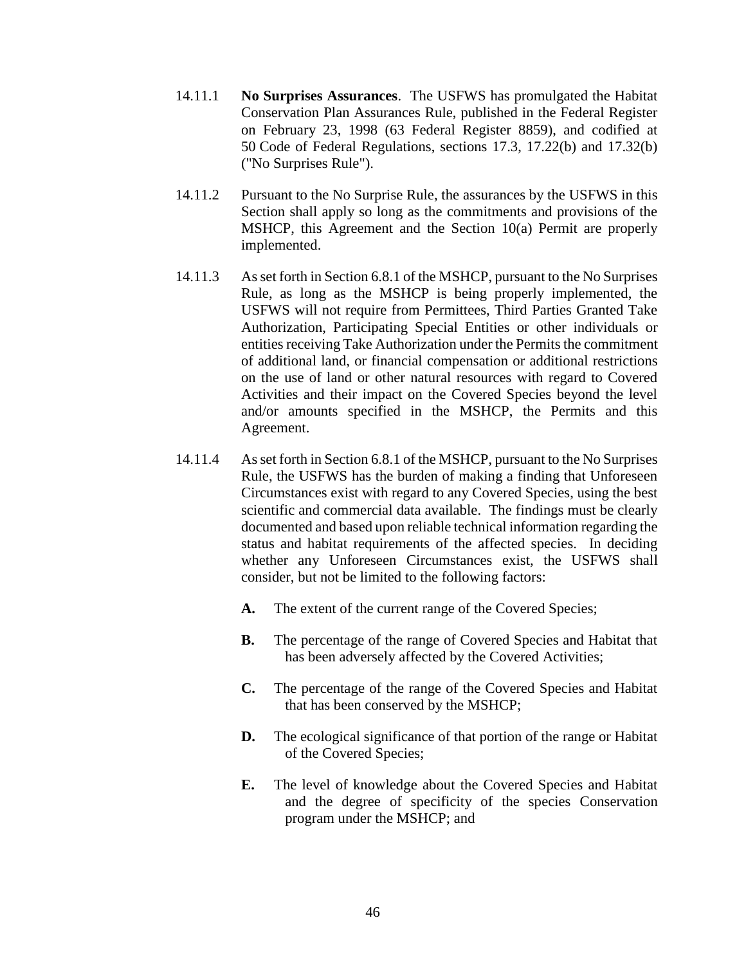- 14.11.1 **No Surprises Assurances**. The USFWS has promulgated the Habitat Conservation Plan Assurances Rule, published in the Federal Register on February 23, 1998 (63 Federal Register 8859), and codified at 50 Code of Federal Regulations, sections 17.3, 17.22(b) and 17.32(b) ("No Surprises Rule").
- 14.11.2 Pursuant to the No Surprise Rule, the assurances by the USFWS in this Section shall apply so long as the commitments and provisions of the MSHCP, this Agreement and the Section 10(a) Permit are properly implemented.
- 14.11.3 As set forth in Section 6.8.1 of the MSHCP, pursuant to the No Surprises Rule, as long as the MSHCP is being properly implemented, the USFWS will not require from Permittees, Third Parties Granted Take Authorization, Participating Special Entities or other individuals or entities receiving Take Authorization under the Permits the commitment of additional land, or financial compensation or additional restrictions on the use of land or other natural resources with regard to Covered Activities and their impact on the Covered Species beyond the level and/or amounts specified in the MSHCP, the Permits and this Agreement.
- 14.11.4 As set forth in Section 6.8.1 of the MSHCP, pursuant to the No Surprises Rule, the USFWS has the burden of making a finding that Unforeseen Circumstances exist with regard to any Covered Species, using the best scientific and commercial data available. The findings must be clearly documented and based upon reliable technical information regarding the status and habitat requirements of the affected species. In deciding whether any Unforeseen Circumstances exist, the USFWS shall consider, but not be limited to the following factors:
	- **A.** The extent of the current range of the Covered Species;
	- **B.** The percentage of the range of Covered Species and Habitat that has been adversely affected by the Covered Activities;
	- **C.** The percentage of the range of the Covered Species and Habitat that has been conserved by the MSHCP;
	- **D.** The ecological significance of that portion of the range or Habitat of the Covered Species;
	- **E.** The level of knowledge about the Covered Species and Habitat and the degree of specificity of the species Conservation program under the MSHCP; and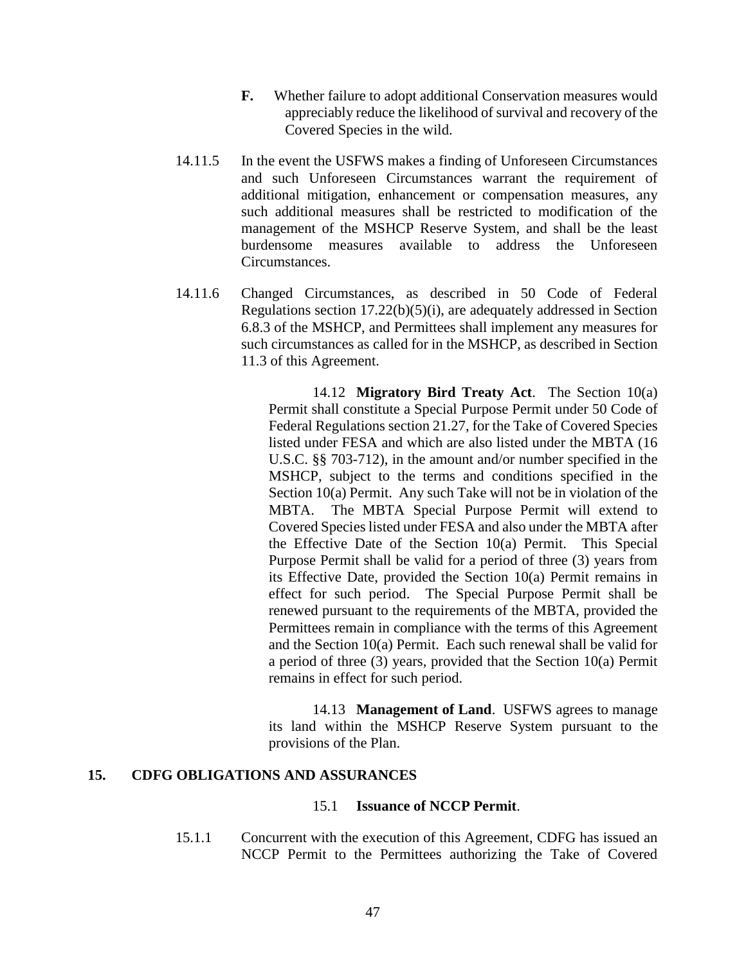- **F.** Whether failure to adopt additional Conservation measures would appreciably reduce the likelihood of survival and recovery of the Covered Species in the wild.
- 14.11.5 In the event the USFWS makes a finding of Unforeseen Circumstances and such Unforeseen Circumstances warrant the requirement of additional mitigation, enhancement or compensation measures, any such additional measures shall be restricted to modification of the management of the MSHCP Reserve System, and shall be the least burdensome measures available to address the Unforeseen Circumstances.
- 14.11.6 Changed Circumstances, as described in 50 Code of Federal Regulations section  $17.22(b)(5)(i)$ , are adequately addressed in Section 6.8.3 of the MSHCP, and Permittees shall implement any measures for such circumstances as called for in the MSHCP, as described in Section 11.3 of this Agreement.

14.12 **Migratory Bird Treaty Act**. The Section 10(a) Permit shall constitute a Special Purpose Permit under 50 Code of Federal Regulations section 21.27, for the Take of Covered Species listed under FESA and which are also listed under the MBTA (16 U.S.C. §§ 703-712), in the amount and/or number specified in the MSHCP, subject to the terms and conditions specified in the Section 10(a) Permit. Any such Take will not be in violation of the MBTA. The MBTA Special Purpose Permit will extend to Covered Species listed under FESA and also under the MBTA after the Effective Date of the Section 10(a) Permit. This Special Purpose Permit shall be valid for a period of three (3) years from its Effective Date, provided the Section 10(a) Permit remains in effect for such period. The Special Purpose Permit shall be renewed pursuant to the requirements of the MBTA, provided the Permittees remain in compliance with the terms of this Agreement and the Section 10(a) Permit. Each such renewal shall be valid for a period of three (3) years, provided that the Section 10(a) Permit remains in effect for such period.

14.13 **Management of Land**. USFWS agrees to manage its land within the MSHCP Reserve System pursuant to the provisions of the Plan.

## **15. CDFG OBLIGATIONS AND ASSURANCES**

#### 15.1 **Issuance of NCCP Permit**.

15.1.1 Concurrent with the execution of this Agreement, CDFG has issued an NCCP Permit to the Permittees authorizing the Take of Covered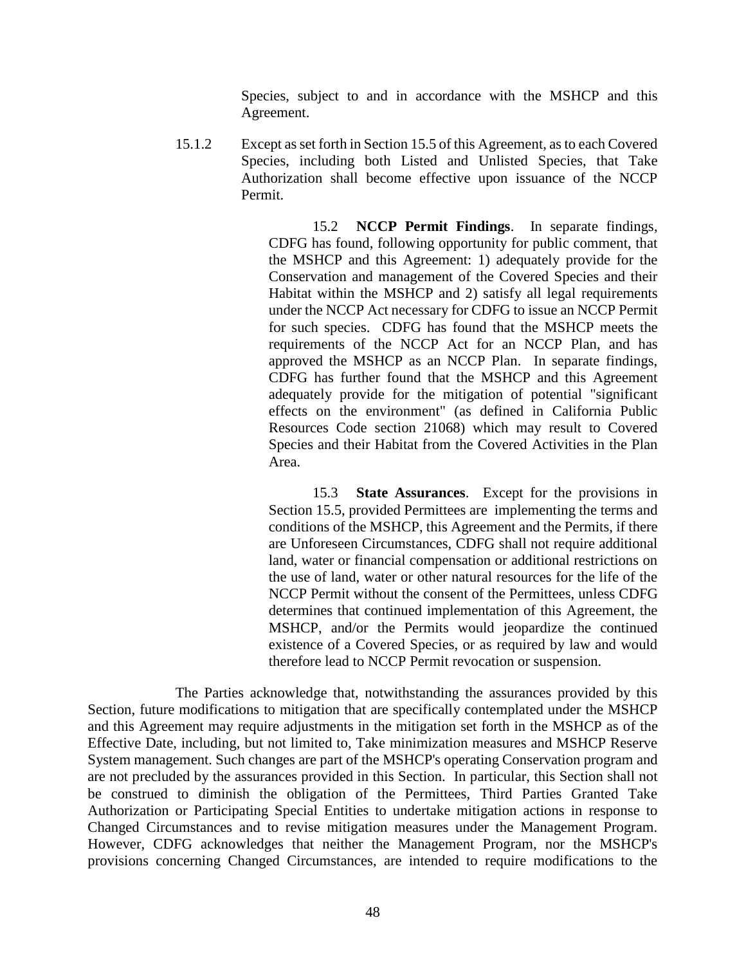Species, subject to and in accordance with the MSHCP and this Agreement.

15.1.2 Except as set forth in Section 15.5 of this Agreement, as to each Covered Species, including both Listed and Unlisted Species, that Take Authorization shall become effective upon issuance of the NCCP Permit.

> 15.2 **NCCP Permit Findings**. In separate findings, CDFG has found, following opportunity for public comment, that the MSHCP and this Agreement: 1) adequately provide for the Conservation and management of the Covered Species and their Habitat within the MSHCP and 2) satisfy all legal requirements under the NCCP Act necessary for CDFG to issue an NCCP Permit for such species. CDFG has found that the MSHCP meets the requirements of the NCCP Act for an NCCP Plan, and has approved the MSHCP as an NCCP Plan. In separate findings, CDFG has further found that the MSHCP and this Agreement adequately provide for the mitigation of potential "significant effects on the environment" (as defined in California Public Resources Code section 21068) which may result to Covered Species and their Habitat from the Covered Activities in the Plan Area.

> 15.3 **State Assurances**. Except for the provisions in Section 15.5, provided Permittees are implementing the terms and conditions of the MSHCP, this Agreement and the Permits, if there are Unforeseen Circumstances, CDFG shall not require additional land, water or financial compensation or additional restrictions on the use of land, water or other natural resources for the life of the NCCP Permit without the consent of the Permittees, unless CDFG determines that continued implementation of this Agreement, the MSHCP, and/or the Permits would jeopardize the continued existence of a Covered Species, or as required by law and would therefore lead to NCCP Permit revocation or suspension.

The Parties acknowledge that, notwithstanding the assurances provided by this Section, future modifications to mitigation that are specifically contemplated under the MSHCP and this Agreement may require adjustments in the mitigation set forth in the MSHCP as of the Effective Date, including, but not limited to, Take minimization measures and MSHCP Reserve System management. Such changes are part of the MSHCP's operating Conservation program and are not precluded by the assurances provided in this Section. In particular, this Section shall not be construed to diminish the obligation of the Permittees, Third Parties Granted Take Authorization or Participating Special Entities to undertake mitigation actions in response to Changed Circumstances and to revise mitigation measures under the Management Program. However, CDFG acknowledges that neither the Management Program, nor the MSHCP's provisions concerning Changed Circumstances, are intended to require modifications to the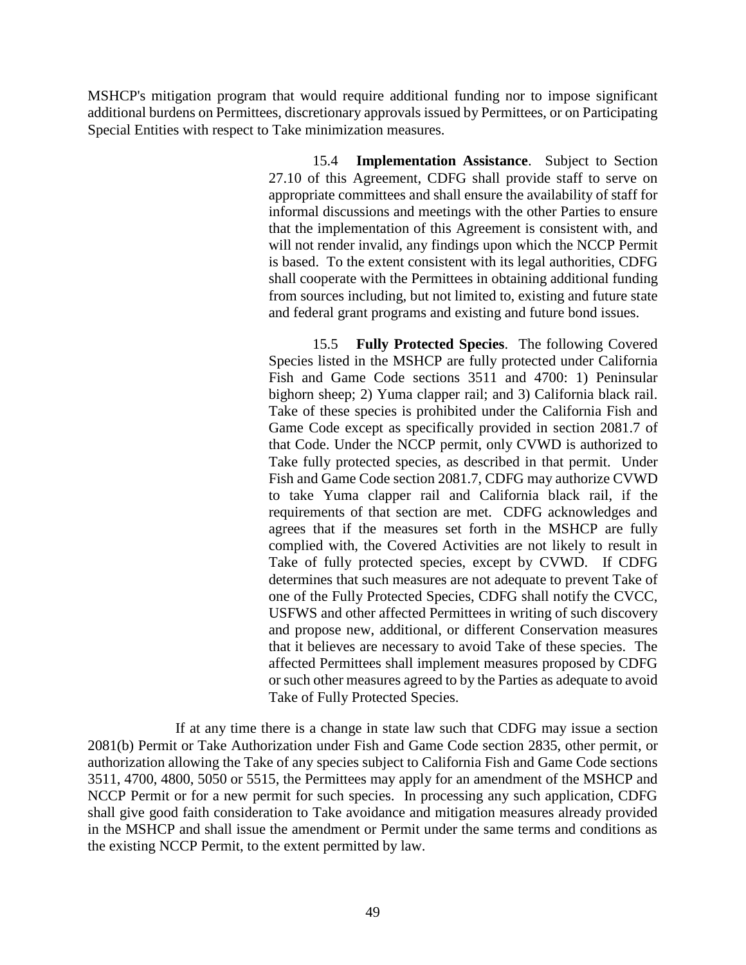MSHCP's mitigation program that would require additional funding nor to impose significant additional burdens on Permittees, discretionary approvals issued by Permittees, or on Participating Special Entities with respect to Take minimization measures.

> 15.4 **Implementation Assistance**. Subject to Section 27.10 of this Agreement, CDFG shall provide staff to serve on appropriate committees and shall ensure the availability of staff for informal discussions and meetings with the other Parties to ensure that the implementation of this Agreement is consistent with, and will not render invalid, any findings upon which the NCCP Permit is based. To the extent consistent with its legal authorities, CDFG shall cooperate with the Permittees in obtaining additional funding from sources including, but not limited to, existing and future state and federal grant programs and existing and future bond issues.

> 15.5 **Fully Protected Species**. The following Covered Species listed in the MSHCP are fully protected under California Fish and Game Code sections 3511 and 4700: 1) Peninsular bighorn sheep; 2) Yuma clapper rail; and 3) California black rail. Take of these species is prohibited under the California Fish and Game Code except as specifically provided in section 2081.7 of that Code. Under the NCCP permit, only CVWD is authorized to Take fully protected species, as described in that permit. Under Fish and Game Code section 2081.7, CDFG may authorize CVWD to take Yuma clapper rail and California black rail, if the requirements of that section are met. CDFG acknowledges and agrees that if the measures set forth in the MSHCP are fully complied with, the Covered Activities are not likely to result in Take of fully protected species, except by CVWD. If CDFG determines that such measures are not adequate to prevent Take of one of the Fully Protected Species, CDFG shall notify the CVCC, USFWS and other affected Permittees in writing of such discovery and propose new, additional, or different Conservation measures that it believes are necessary to avoid Take of these species. The affected Permittees shall implement measures proposed by CDFG or such other measures agreed to by the Parties as adequate to avoid Take of Fully Protected Species.

If at any time there is a change in state law such that CDFG may issue a section 2081(b) Permit or Take Authorization under Fish and Game Code section 2835, other permit, or authorization allowing the Take of any species subject to California Fish and Game Code sections 3511, 4700, 4800, 5050 or 5515, the Permittees may apply for an amendment of the MSHCP and NCCP Permit or for a new permit for such species. In processing any such application, CDFG shall give good faith consideration to Take avoidance and mitigation measures already provided in the MSHCP and shall issue the amendment or Permit under the same terms and conditions as the existing NCCP Permit, to the extent permitted by law.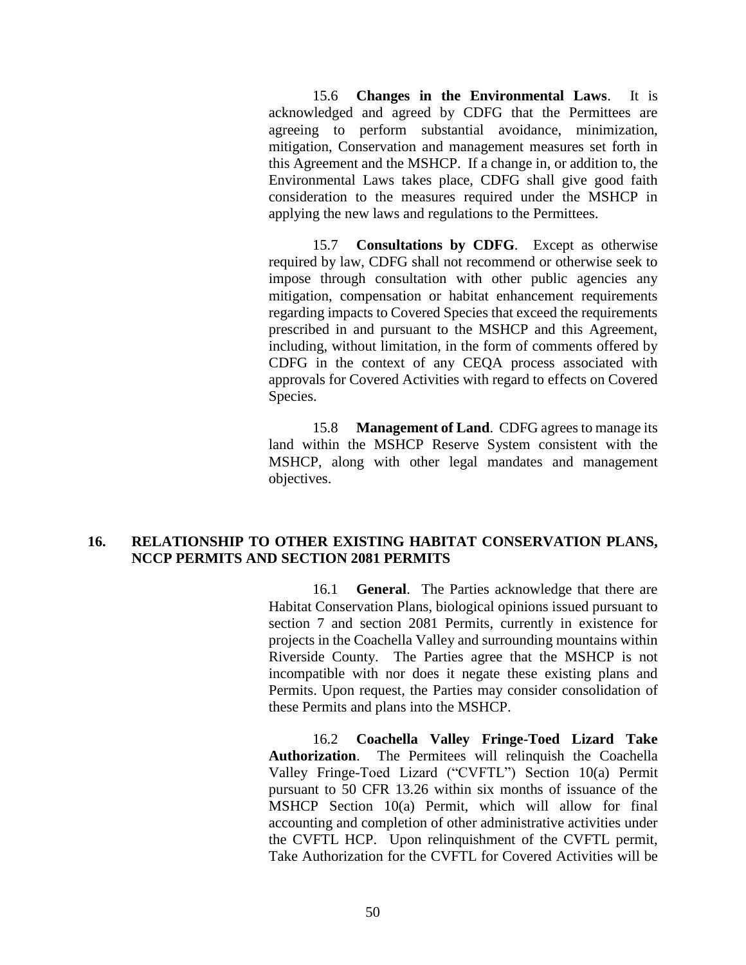15.6 **Changes in the Environmental Laws**. It is acknowledged and agreed by CDFG that the Permittees are agreeing to perform substantial avoidance, minimization, mitigation, Conservation and management measures set forth in this Agreement and the MSHCP. If a change in, or addition to, the Environmental Laws takes place, CDFG shall give good faith consideration to the measures required under the MSHCP in applying the new laws and regulations to the Permittees.

15.7 **Consultations by CDFG**. Except as otherwise required by law, CDFG shall not recommend or otherwise seek to impose through consultation with other public agencies any mitigation, compensation or habitat enhancement requirements regarding impacts to Covered Species that exceed the requirements prescribed in and pursuant to the MSHCP and this Agreement, including, without limitation, in the form of comments offered by CDFG in the context of any CEQA process associated with approvals for Covered Activities with regard to effects on Covered Species.

15.8 **Management of Land**. CDFG agrees to manage its land within the MSHCP Reserve System consistent with the MSHCP, along with other legal mandates and management objectives.

### **16. RELATIONSHIP TO OTHER EXISTING HABITAT CONSERVATION PLANS, NCCP PERMITS AND SECTION 2081 PERMITS**

16.1 **General**. The Parties acknowledge that there are Habitat Conservation Plans, biological opinions issued pursuant to section 7 and section 2081 Permits, currently in existence for projects in the Coachella Valley and surrounding mountains within Riverside County. The Parties agree that the MSHCP is not incompatible with nor does it negate these existing plans and Permits. Upon request, the Parties may consider consolidation of these Permits and plans into the MSHCP.

16.2 **Coachella Valley Fringe-Toed Lizard Take Authorization**. The Permitees will relinquish the Coachella Valley Fringe-Toed Lizard ("CVFTL") Section 10(a) Permit pursuant to 50 CFR 13.26 within six months of issuance of the MSHCP Section 10(a) Permit, which will allow for final accounting and completion of other administrative activities under the CVFTL HCP. Upon relinquishment of the CVFTL permit, Take Authorization for the CVFTL for Covered Activities will be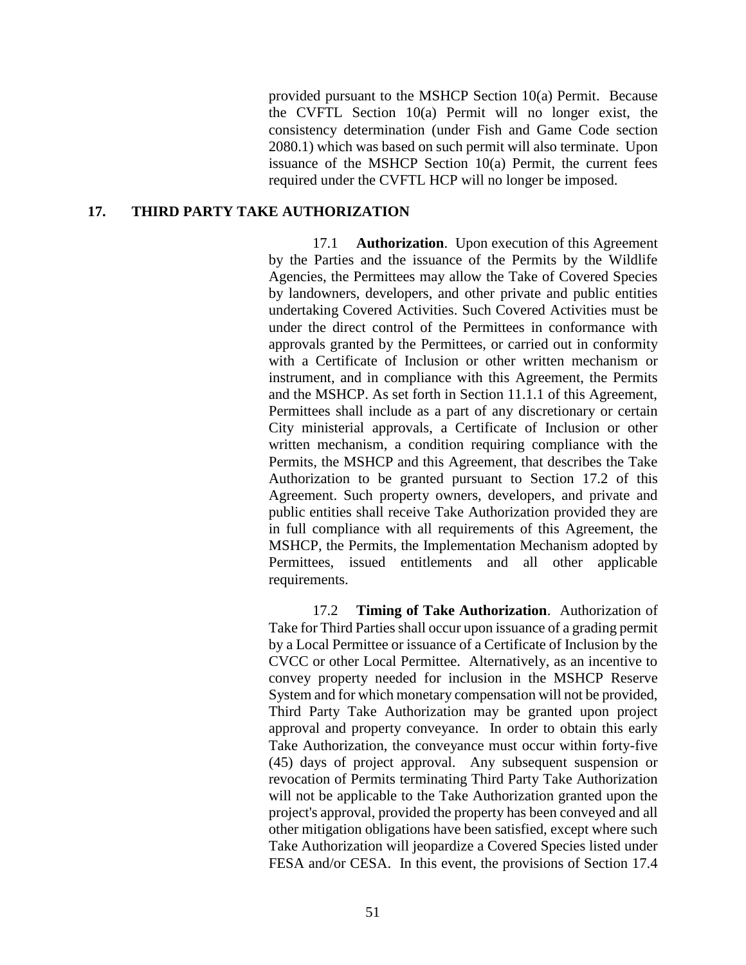provided pursuant to the MSHCP Section 10(a) Permit. Because the CVFTL Section 10(a) Permit will no longer exist, the consistency determination (under Fish and Game Code section 2080.1) which was based on such permit will also terminate. Upon issuance of the MSHCP Section 10(a) Permit, the current fees required under the CVFTL HCP will no longer be imposed.

#### **17. THIRD PARTY TAKE AUTHORIZATION**

17.1 **Authorization**. Upon execution of this Agreement by the Parties and the issuance of the Permits by the Wildlife Agencies, the Permittees may allow the Take of Covered Species by landowners, developers, and other private and public entities undertaking Covered Activities. Such Covered Activities must be under the direct control of the Permittees in conformance with approvals granted by the Permittees, or carried out in conformity with a Certificate of Inclusion or other written mechanism or instrument, and in compliance with this Agreement, the Permits and the MSHCP. As set forth in Section 11.1.1 of this Agreement, Permittees shall include as a part of any discretionary or certain City ministerial approvals, a Certificate of Inclusion or other written mechanism, a condition requiring compliance with the Permits, the MSHCP and this Agreement, that describes the Take Authorization to be granted pursuant to Section 17.2 of this Agreement. Such property owners, developers, and private and public entities shall receive Take Authorization provided they are in full compliance with all requirements of this Agreement, the MSHCP, the Permits, the Implementation Mechanism adopted by Permittees, issued entitlements and all other applicable requirements.

17.2 **Timing of Take Authorization**. Authorization of Take for Third Parties shall occur upon issuance of a grading permit by a Local Permittee or issuance of a Certificate of Inclusion by the CVCC or other Local Permittee. Alternatively, as an incentive to convey property needed for inclusion in the MSHCP Reserve System and for which monetary compensation will not be provided, Third Party Take Authorization may be granted upon project approval and property conveyance. In order to obtain this early Take Authorization, the conveyance must occur within forty-five (45) days of project approval. Any subsequent suspension or revocation of Permits terminating Third Party Take Authorization will not be applicable to the Take Authorization granted upon the project's approval, provided the property has been conveyed and all other mitigation obligations have been satisfied, except where such Take Authorization will jeopardize a Covered Species listed under FESA and/or CESA. In this event, the provisions of Section 17.4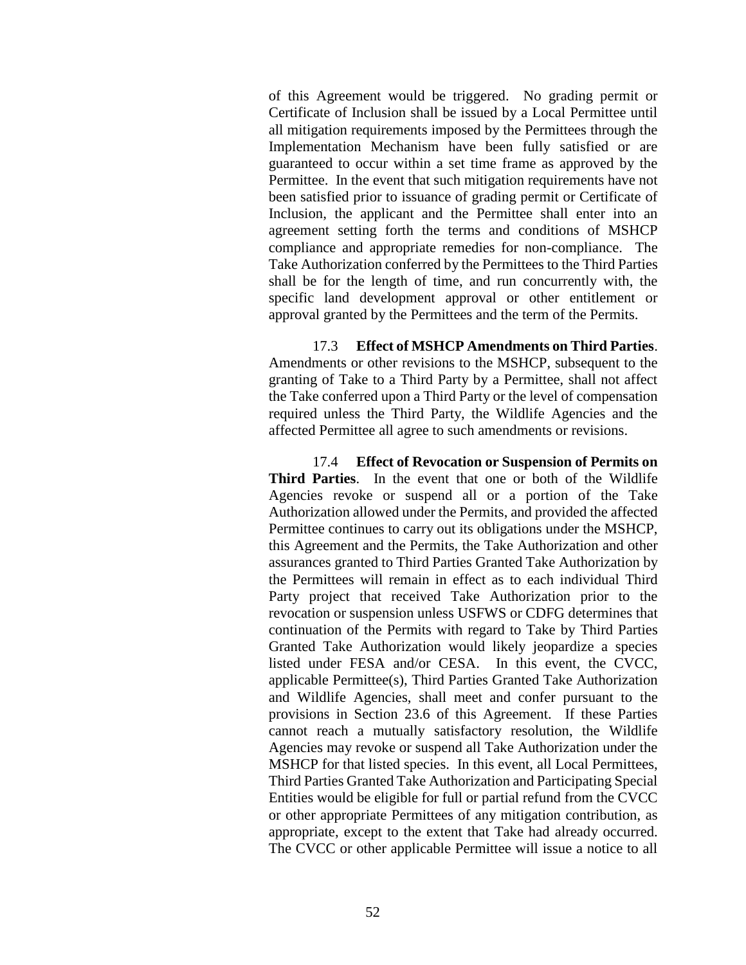of this Agreement would be triggered. No grading permit or Certificate of Inclusion shall be issued by a Local Permittee until all mitigation requirements imposed by the Permittees through the Implementation Mechanism have been fully satisfied or are guaranteed to occur within a set time frame as approved by the Permittee. In the event that such mitigation requirements have not been satisfied prior to issuance of grading permit or Certificate of Inclusion, the applicant and the Permittee shall enter into an agreement setting forth the terms and conditions of MSHCP compliance and appropriate remedies for non-compliance. The Take Authorization conferred by the Permittees to the Third Parties shall be for the length of time, and run concurrently with, the specific land development approval or other entitlement or approval granted by the Permittees and the term of the Permits.

17.3 **Effect of MSHCP Amendments on Third Parties**. Amendments or other revisions to the MSHCP, subsequent to the granting of Take to a Third Party by a Permittee, shall not affect the Take conferred upon a Third Party or the level of compensation required unless the Third Party, the Wildlife Agencies and the affected Permittee all agree to such amendments or revisions.

17.4 **Effect of Revocation or Suspension of Permits on Third Parties**. In the event that one or both of the Wildlife Agencies revoke or suspend all or a portion of the Take Authorization allowed under the Permits, and provided the affected Permittee continues to carry out its obligations under the MSHCP, this Agreement and the Permits, the Take Authorization and other assurances granted to Third Parties Granted Take Authorization by the Permittees will remain in effect as to each individual Third Party project that received Take Authorization prior to the revocation or suspension unless USFWS or CDFG determines that continuation of the Permits with regard to Take by Third Parties Granted Take Authorization would likely jeopardize a species listed under FESA and/or CESA. In this event, the CVCC, applicable Permittee(s), Third Parties Granted Take Authorization and Wildlife Agencies, shall meet and confer pursuant to the provisions in Section 23.6 of this Agreement. If these Parties cannot reach a mutually satisfactory resolution, the Wildlife Agencies may revoke or suspend all Take Authorization under the MSHCP for that listed species. In this event, all Local Permittees, Third Parties Granted Take Authorization and Participating Special Entities would be eligible for full or partial refund from the CVCC or other appropriate Permittees of any mitigation contribution, as appropriate, except to the extent that Take had already occurred. The CVCC or other applicable Permittee will issue a notice to all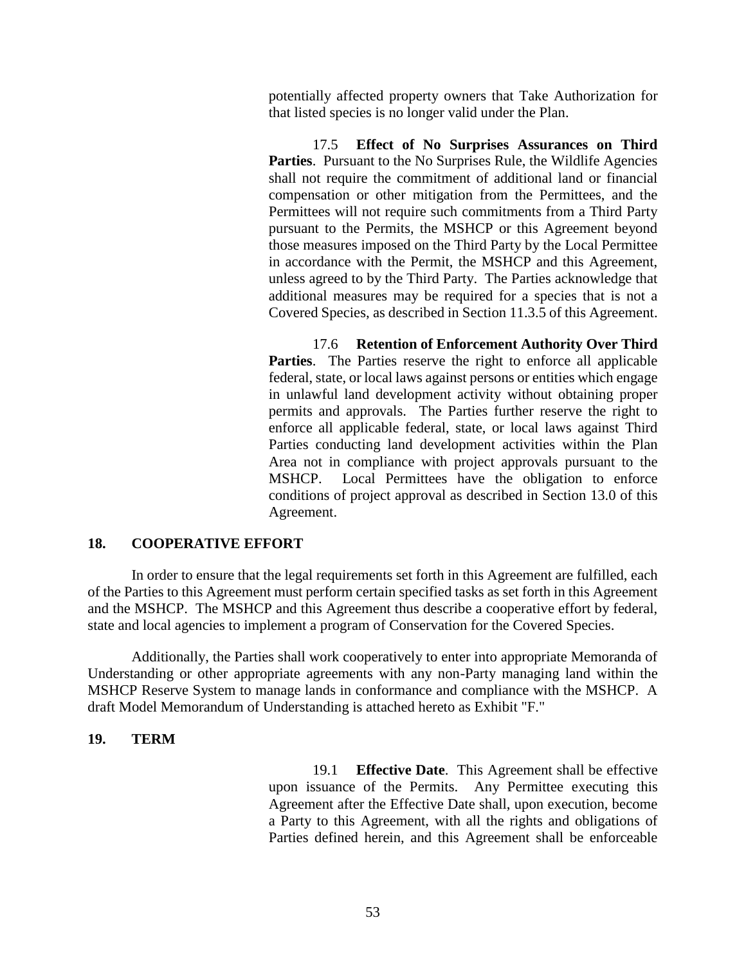potentially affected property owners that Take Authorization for that listed species is no longer valid under the Plan.

17.5 **Effect of No Surprises Assurances on Third**  Parties. Pursuant to the No Surprises Rule, the Wildlife Agencies shall not require the commitment of additional land or financial compensation or other mitigation from the Permittees, and the Permittees will not require such commitments from a Third Party pursuant to the Permits, the MSHCP or this Agreement beyond those measures imposed on the Third Party by the Local Permittee in accordance with the Permit, the MSHCP and this Agreement, unless agreed to by the Third Party. The Parties acknowledge that additional measures may be required for a species that is not a Covered Species, as described in Section 11.3.5 of this Agreement.

17.6 **Retention of Enforcement Authority Over Third Parties**. The Parties reserve the right to enforce all applicable federal, state, or local laws against persons or entities which engage in unlawful land development activity without obtaining proper permits and approvals. The Parties further reserve the right to enforce all applicable federal, state, or local laws against Third Parties conducting land development activities within the Plan Area not in compliance with project approvals pursuant to the MSHCP. Local Permittees have the obligation to enforce conditions of project approval as described in Section 13.0 of this Agreement.

## **18. COOPERATIVE EFFORT**

In order to ensure that the legal requirements set forth in this Agreement are fulfilled, each of the Parties to this Agreement must perform certain specified tasks as set forth in this Agreement and the MSHCP. The MSHCP and this Agreement thus describe a cooperative effort by federal, state and local agencies to implement a program of Conservation for the Covered Species.

Additionally, the Parties shall work cooperatively to enter into appropriate Memoranda of Understanding or other appropriate agreements with any non-Party managing land within the MSHCP Reserve System to manage lands in conformance and compliance with the MSHCP. A draft Model Memorandum of Understanding is attached hereto as Exhibit "F."

## **19. TERM**

19.1 **Effective Date**. This Agreement shall be effective upon issuance of the Permits. Any Permittee executing this Agreement after the Effective Date shall, upon execution, become a Party to this Agreement, with all the rights and obligations of Parties defined herein, and this Agreement shall be enforceable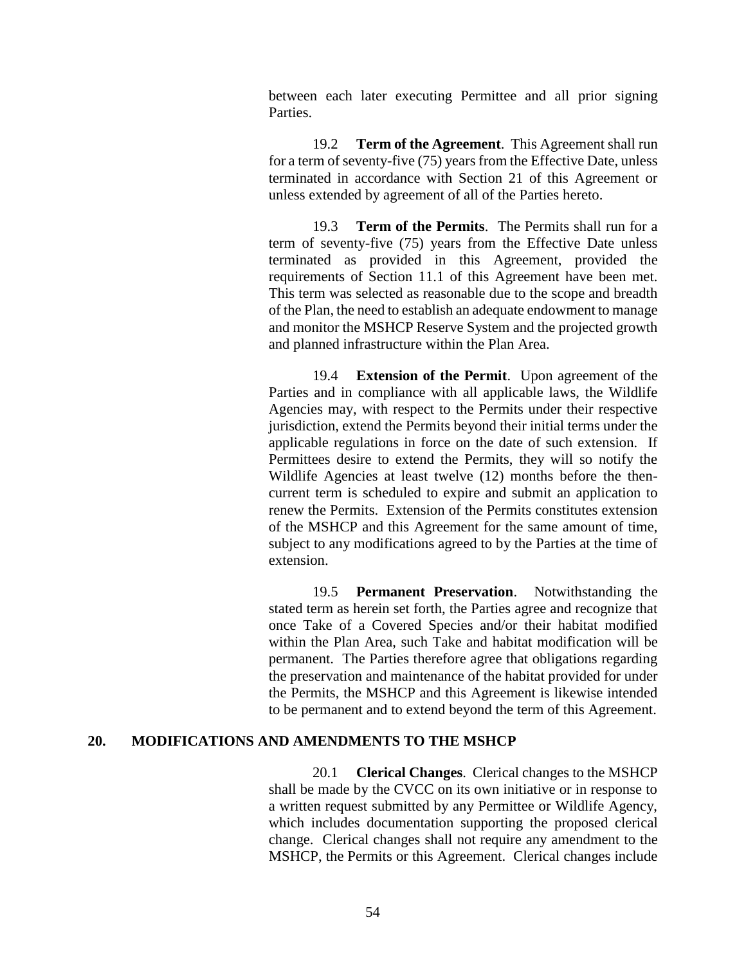between each later executing Permittee and all prior signing Parties.

19.2 **Term of the Agreement**. This Agreement shall run for a term of seventy-five (75) years from the Effective Date, unless terminated in accordance with Section 21 of this Agreement or unless extended by agreement of all of the Parties hereto.

19.3 **Term of the Permits**. The Permits shall run for a term of seventy-five (75) years from the Effective Date unless terminated as provided in this Agreement, provided the requirements of Section 11.1 of this Agreement have been met. This term was selected as reasonable due to the scope and breadth of the Plan, the need to establish an adequate endowment to manage and monitor the MSHCP Reserve System and the projected growth and planned infrastructure within the Plan Area.

19.4 **Extension of the Permit**. Upon agreement of the Parties and in compliance with all applicable laws, the Wildlife Agencies may, with respect to the Permits under their respective jurisdiction, extend the Permits beyond their initial terms under the applicable regulations in force on the date of such extension. If Permittees desire to extend the Permits, they will so notify the Wildlife Agencies at least twelve (12) months before the thencurrent term is scheduled to expire and submit an application to renew the Permits. Extension of the Permits constitutes extension of the MSHCP and this Agreement for the same amount of time, subject to any modifications agreed to by the Parties at the time of extension.

19.5 **Permanent Preservation**. Notwithstanding the stated term as herein set forth, the Parties agree and recognize that once Take of a Covered Species and/or their habitat modified within the Plan Area, such Take and habitat modification will be permanent. The Parties therefore agree that obligations regarding the preservation and maintenance of the habitat provided for under the Permits, the MSHCP and this Agreement is likewise intended to be permanent and to extend beyond the term of this Agreement.

#### **20. MODIFICATIONS AND AMENDMENTS TO THE MSHCP**

20.1 **Clerical Changes**. Clerical changes to the MSHCP shall be made by the CVCC on its own initiative or in response to a written request submitted by any Permittee or Wildlife Agency, which includes documentation supporting the proposed clerical change. Clerical changes shall not require any amendment to the MSHCP, the Permits or this Agreement. Clerical changes include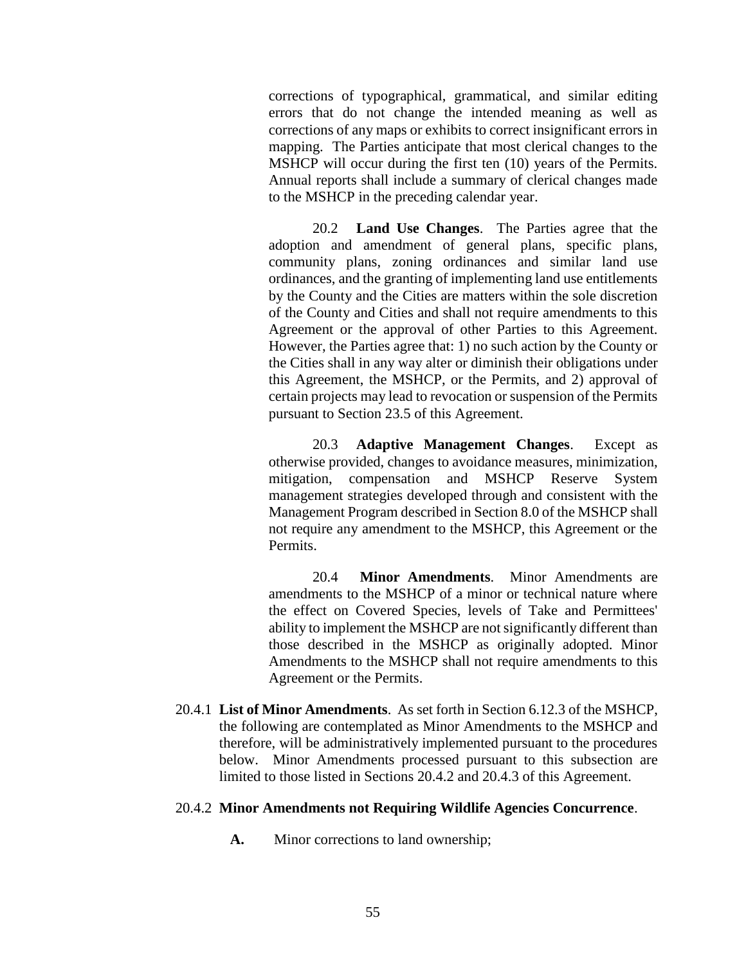corrections of typographical, grammatical, and similar editing errors that do not change the intended meaning as well as corrections of any maps or exhibits to correct insignificant errors in mapping. The Parties anticipate that most clerical changes to the MSHCP will occur during the first ten (10) years of the Permits. Annual reports shall include a summary of clerical changes made to the MSHCP in the preceding calendar year.

20.2 **Land Use Changes**. The Parties agree that the adoption and amendment of general plans, specific plans, community plans, zoning ordinances and similar land use ordinances, and the granting of implementing land use entitlements by the County and the Cities are matters within the sole discretion of the County and Cities and shall not require amendments to this Agreement or the approval of other Parties to this Agreement. However, the Parties agree that: 1) no such action by the County or the Cities shall in any way alter or diminish their obligations under this Agreement, the MSHCP, or the Permits, and 2) approval of certain projects may lead to revocation or suspension of the Permits pursuant to Section 23.5 of this Agreement.

20.3 **Adaptive Management Changes**. Except as otherwise provided, changes to avoidance measures, minimization, mitigation, compensation and MSHCP Reserve System management strategies developed through and consistent with the Management Program described in Section 8.0 of the MSHCP shall not require any amendment to the MSHCP, this Agreement or the Permits.

20.4 **Minor Amendments**. Minor Amendments are amendments to the MSHCP of a minor or technical nature where the effect on Covered Species, levels of Take and Permittees' ability to implement the MSHCP are not significantly different than those described in the MSHCP as originally adopted. Minor Amendments to the MSHCP shall not require amendments to this Agreement or the Permits.

20.4.1 **List of Minor Amendments**. As set forth in Section 6.12.3 of the MSHCP, the following are contemplated as Minor Amendments to the MSHCP and therefore, will be administratively implemented pursuant to the procedures below. Minor Amendments processed pursuant to this subsection are limited to those listed in Sections 20.4.2 and 20.4.3 of this Agreement.

#### 20.4.2 **Minor Amendments not Requiring Wildlife Agencies Concurrence**.

**A.** Minor corrections to land ownership;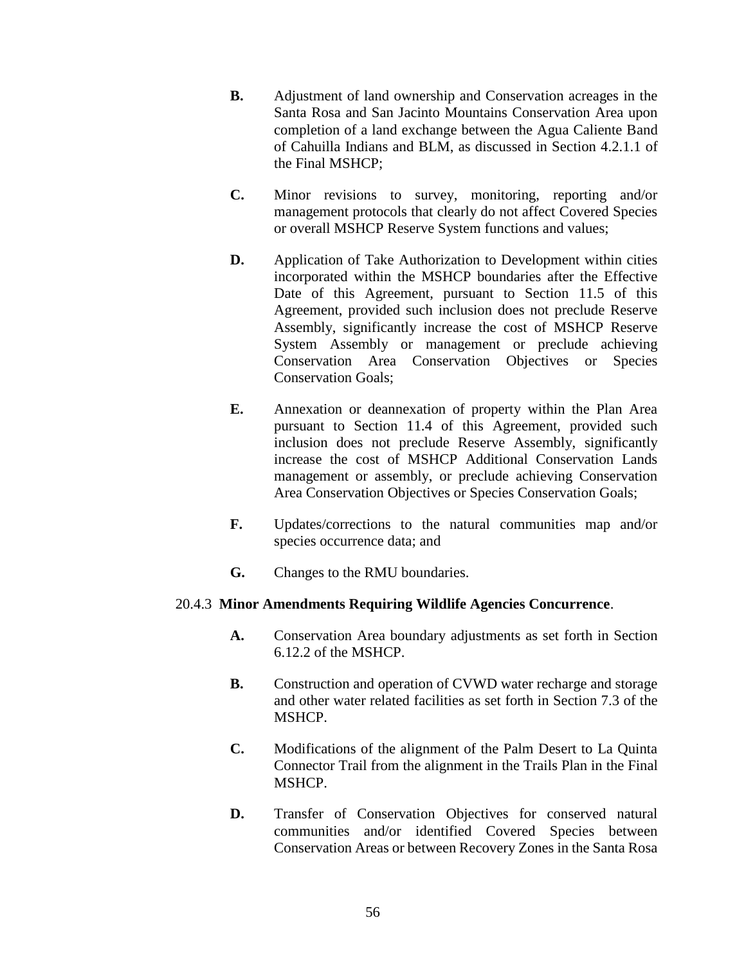- **B.** Adjustment of land ownership and Conservation acreages in the Santa Rosa and San Jacinto Mountains Conservation Area upon completion of a land exchange between the Agua Caliente Band of Cahuilla Indians and BLM, as discussed in Section 4.2.1.1 of the Final MSHCP;
- **C.** Minor revisions to survey, monitoring, reporting and/or management protocols that clearly do not affect Covered Species or overall MSHCP Reserve System functions and values;
- **D.** Application of Take Authorization to Development within cities incorporated within the MSHCP boundaries after the Effective Date of this Agreement, pursuant to Section 11.5 of this Agreement, provided such inclusion does not preclude Reserve Assembly, significantly increase the cost of MSHCP Reserve System Assembly or management or preclude achieving Conservation Area Conservation Objectives or Species Conservation Goals;
- **E.** Annexation or deannexation of property within the Plan Area pursuant to Section 11.4 of this Agreement, provided such inclusion does not preclude Reserve Assembly, significantly increase the cost of MSHCP Additional Conservation Lands management or assembly, or preclude achieving Conservation Area Conservation Objectives or Species Conservation Goals;
- **F.** Updates/corrections to the natural communities map and/or species occurrence data; and
- **G.** Changes to the RMU boundaries.

## 20.4.3 **Minor Amendments Requiring Wildlife Agencies Concurrence**.

- **A.** Conservation Area boundary adjustments as set forth in Section 6.12.2 of the MSHCP.
- **B.** Construction and operation of CVWD water recharge and storage and other water related facilities as set forth in Section 7.3 of the MSHCP.
- **C.** Modifications of the alignment of the Palm Desert to La Quinta Connector Trail from the alignment in the Trails Plan in the Final MSHCP.
- **D.** Transfer of Conservation Objectives for conserved natural communities and/or identified Covered Species between Conservation Areas or between Recovery Zones in the Santa Rosa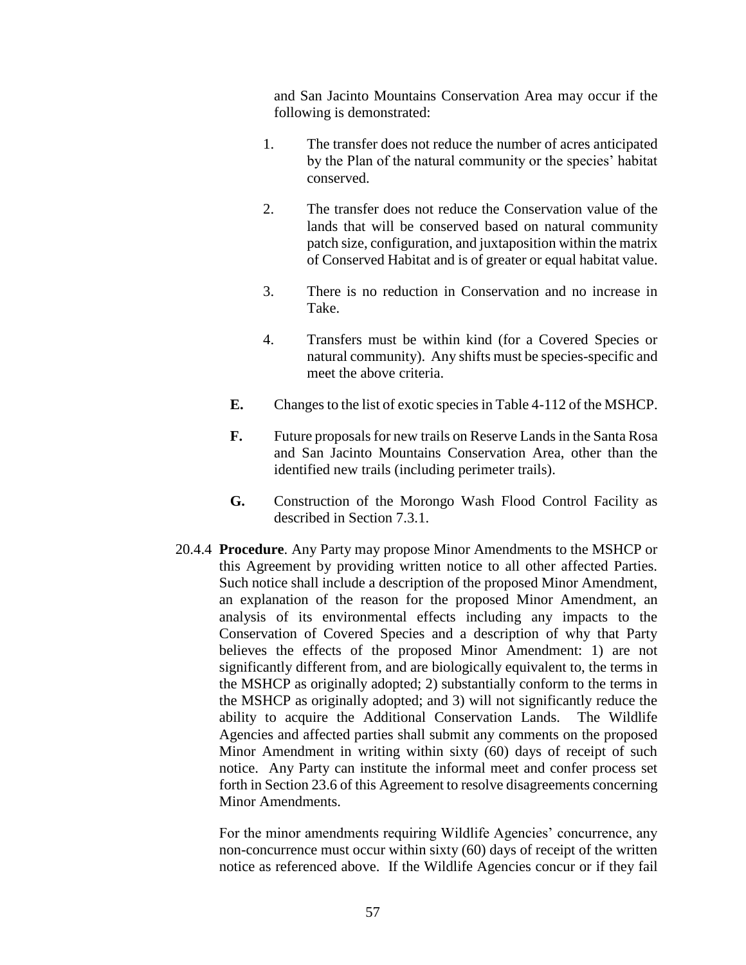and San Jacinto Mountains Conservation Area may occur if the following is demonstrated:

- 1. The transfer does not reduce the number of acres anticipated by the Plan of the natural community or the species' habitat conserved.
- 2. The transfer does not reduce the Conservation value of the lands that will be conserved based on natural community patch size, configuration, and juxtaposition within the matrix of Conserved Habitat and is of greater or equal habitat value.
- 3. There is no reduction in Conservation and no increase in Take.
- 4. Transfers must be within kind (for a Covered Species or natural community). Any shifts must be species-specific and meet the above criteria.
- **E.** Changes to the list of exotic species in Table 4-112 of the MSHCP.
- **F.** Future proposals for new trails on Reserve Lands in the Santa Rosa and San Jacinto Mountains Conservation Area, other than the identified new trails (including perimeter trails).
- **G.** Construction of the Morongo Wash Flood Control Facility as described in Section 7.3.1.
- 20.4.4 **Procedure**. Any Party may propose Minor Amendments to the MSHCP or this Agreement by providing written notice to all other affected Parties. Such notice shall include a description of the proposed Minor Amendment, an explanation of the reason for the proposed Minor Amendment, an analysis of its environmental effects including any impacts to the Conservation of Covered Species and a description of why that Party believes the effects of the proposed Minor Amendment: 1) are not significantly different from, and are biologically equivalent to, the terms in the MSHCP as originally adopted; 2) substantially conform to the terms in the MSHCP as originally adopted; and 3) will not significantly reduce the ability to acquire the Additional Conservation Lands. The Wildlife Agencies and affected parties shall submit any comments on the proposed Minor Amendment in writing within sixty (60) days of receipt of such notice. Any Party can institute the informal meet and confer process set forth in Section 23.6 of this Agreement to resolve disagreements concerning Minor Amendments.

For the minor amendments requiring Wildlife Agencies' concurrence, any non-concurrence must occur within sixty (60) days of receipt of the written notice as referenced above. If the Wildlife Agencies concur or if they fail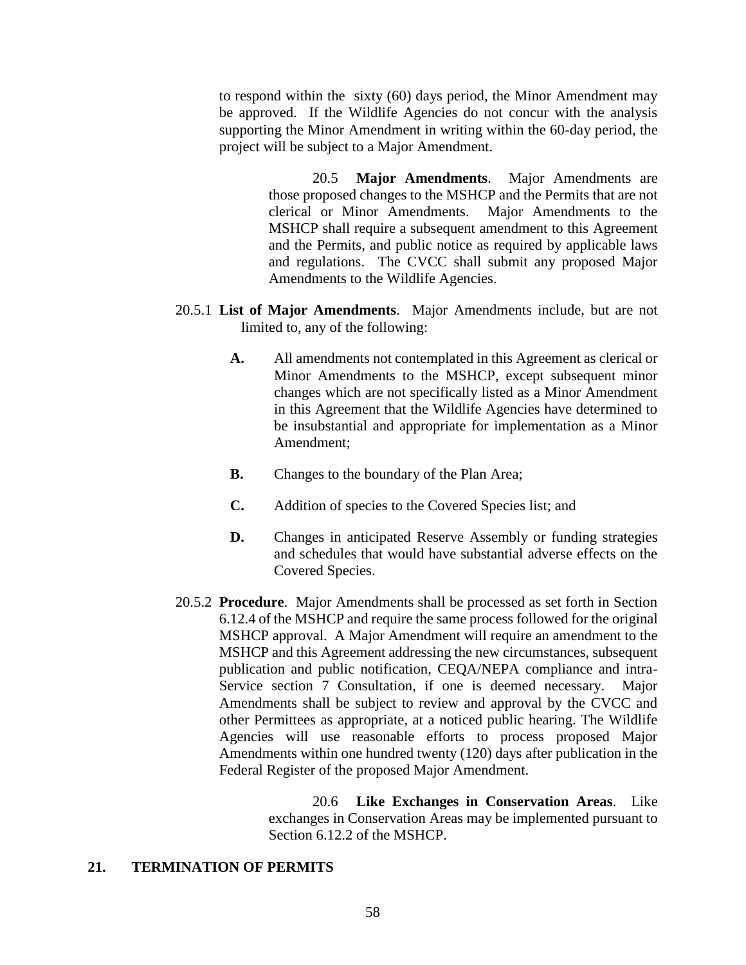to respond within the sixty (60) days period, the Minor Amendment may be approved. If the Wildlife Agencies do not concur with the analysis supporting the Minor Amendment in writing within the 60-day period, the project will be subject to a Major Amendment.

> 20.5 **Major Amendments**. Major Amendments are those proposed changes to the MSHCP and the Permits that are not clerical or Minor Amendments. Major Amendments to the MSHCP shall require a subsequent amendment to this Agreement and the Permits, and public notice as required by applicable laws and regulations. The CVCC shall submit any proposed Major Amendments to the Wildlife Agencies.

- 20.5.1 **List of Major Amendments**. Major Amendments include, but are not limited to, any of the following:
	- **A.** All amendments not contemplated in this Agreement as clerical or Minor Amendments to the MSHCP, except subsequent minor changes which are not specifically listed as a Minor Amendment in this Agreement that the Wildlife Agencies have determined to be insubstantial and appropriate for implementation as a Minor Amendment;
	- **B.** Changes to the boundary of the Plan Area;
	- **C.** Addition of species to the Covered Species list; and
	- **D.** Changes in anticipated Reserve Assembly or funding strategies and schedules that would have substantial adverse effects on the Covered Species.
- 20.5.2 **Procedure**. Major Amendments shall be processed as set forth in Section 6.12.4 of the MSHCP and require the same process followed for the original MSHCP approval. A Major Amendment will require an amendment to the MSHCP and this Agreement addressing the new circumstances, subsequent publication and public notification, CEQA/NEPA compliance and intra-Service section 7 Consultation, if one is deemed necessary. Major Amendments shall be subject to review and approval by the CVCC and other Permittees as appropriate, at a noticed public hearing. The Wildlife Agencies will use reasonable efforts to process proposed Major Amendments within one hundred twenty (120) days after publication in the Federal Register of the proposed Major Amendment.

20.6 **Like Exchanges in Conservation Areas**. Like exchanges in Conservation Areas may be implemented pursuant to Section 6.12.2 of the MSHCP.

### **21. TERMINATION OF PERMITS**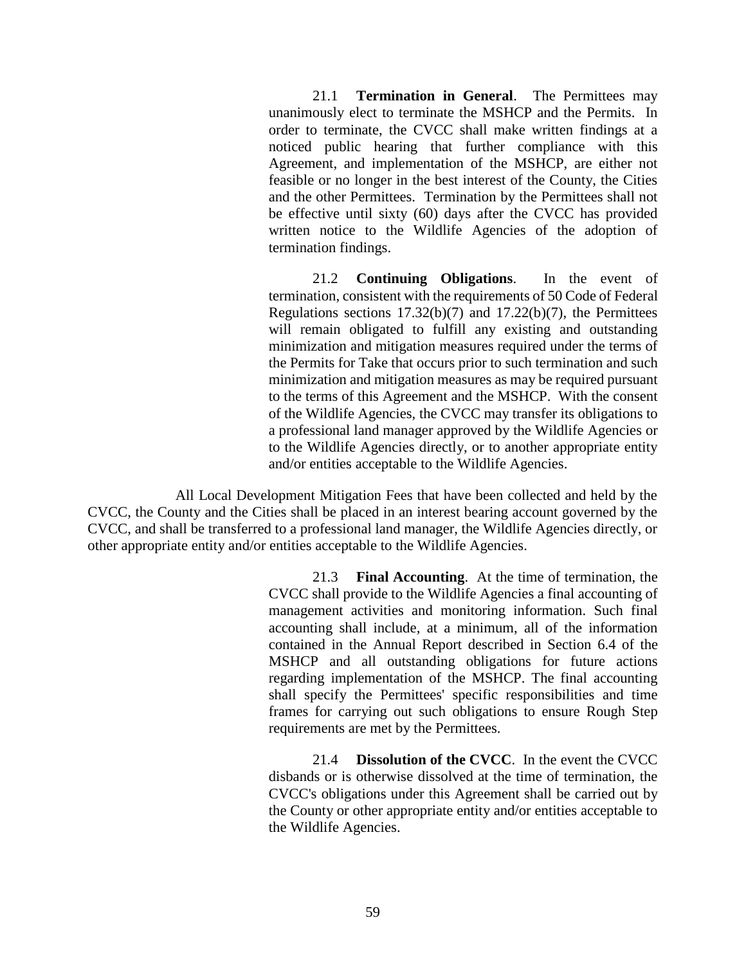21.1 **Termination in General**. The Permittees may unanimously elect to terminate the MSHCP and the Permits. In order to terminate, the CVCC shall make written findings at a noticed public hearing that further compliance with this Agreement, and implementation of the MSHCP, are either not feasible or no longer in the best interest of the County, the Cities and the other Permittees. Termination by the Permittees shall not be effective until sixty (60) days after the CVCC has provided written notice to the Wildlife Agencies of the adoption of termination findings.

21.2 **Continuing Obligations**. In the event of termination, consistent with the requirements of 50 Code of Federal Regulations sections 17.32(b)(7) and 17.22(b)(7), the Permittees will remain obligated to fulfill any existing and outstanding minimization and mitigation measures required under the terms of the Permits for Take that occurs prior to such termination and such minimization and mitigation measures as may be required pursuant to the terms of this Agreement and the MSHCP. With the consent of the Wildlife Agencies, the CVCC may transfer its obligations to a professional land manager approved by the Wildlife Agencies or to the Wildlife Agencies directly, or to another appropriate entity and/or entities acceptable to the Wildlife Agencies.

All Local Development Mitigation Fees that have been collected and held by the CVCC, the County and the Cities shall be placed in an interest bearing account governed by the CVCC, and shall be transferred to a professional land manager, the Wildlife Agencies directly, or other appropriate entity and/or entities acceptable to the Wildlife Agencies.

> 21.3 **Final Accounting**. At the time of termination, the CVCC shall provide to the Wildlife Agencies a final accounting of management activities and monitoring information. Such final accounting shall include, at a minimum, all of the information contained in the Annual Report described in Section 6.4 of the MSHCP and all outstanding obligations for future actions regarding implementation of the MSHCP. The final accounting shall specify the Permittees' specific responsibilities and time frames for carrying out such obligations to ensure Rough Step requirements are met by the Permittees.

> 21.4 **Dissolution of the CVCC**. In the event the CVCC disbands or is otherwise dissolved at the time of termination, the CVCC's obligations under this Agreement shall be carried out by the County or other appropriate entity and/or entities acceptable to the Wildlife Agencies.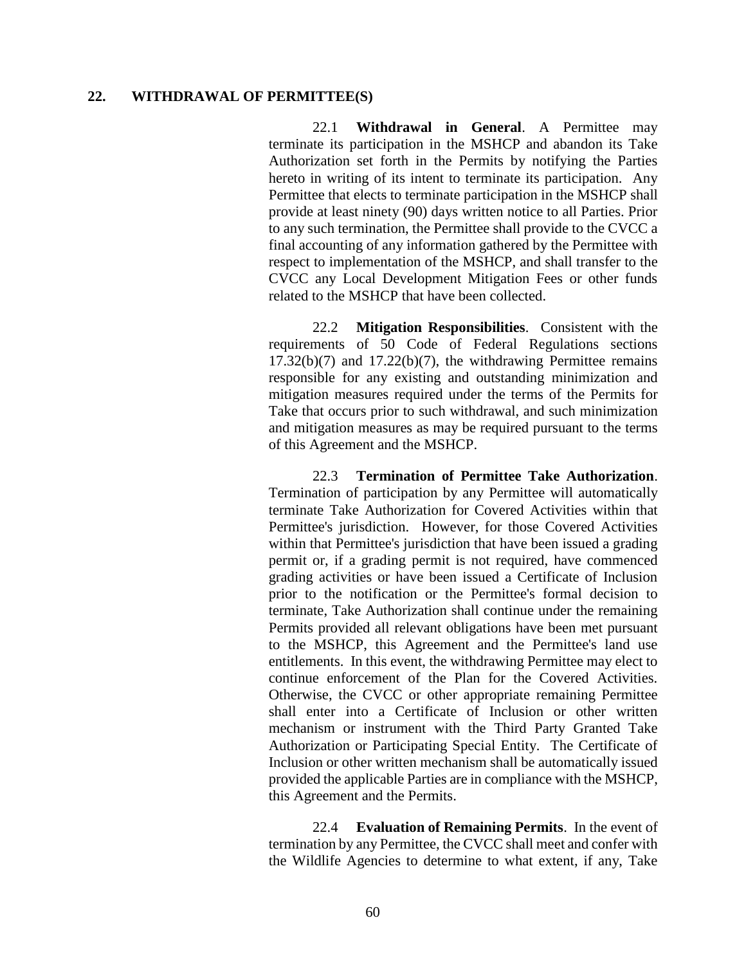## **22. WITHDRAWAL OF PERMITTEE(S)**

22.1 **Withdrawal in General**. A Permittee may terminate its participation in the MSHCP and abandon its Take Authorization set forth in the Permits by notifying the Parties hereto in writing of its intent to terminate its participation. Any Permittee that elects to terminate participation in the MSHCP shall provide at least ninety (90) days written notice to all Parties. Prior to any such termination, the Permittee shall provide to the CVCC a final accounting of any information gathered by the Permittee with respect to implementation of the MSHCP, and shall transfer to the CVCC any Local Development Mitigation Fees or other funds related to the MSHCP that have been collected.

22.2 **Mitigation Responsibilities**. Consistent with the requirements of 50 Code of Federal Regulations sections  $17.32(b)(7)$  and  $17.22(b)(7)$ , the withdrawing Permittee remains responsible for any existing and outstanding minimization and mitigation measures required under the terms of the Permits for Take that occurs prior to such withdrawal, and such minimization and mitigation measures as may be required pursuant to the terms of this Agreement and the MSHCP.

22.3 **Termination of Permittee Take Authorization**. Termination of participation by any Permittee will automatically terminate Take Authorization for Covered Activities within that Permittee's jurisdiction. However, for those Covered Activities within that Permittee's jurisdiction that have been issued a grading permit or, if a grading permit is not required, have commenced grading activities or have been issued a Certificate of Inclusion prior to the notification or the Permittee's formal decision to terminate, Take Authorization shall continue under the remaining Permits provided all relevant obligations have been met pursuant to the MSHCP, this Agreement and the Permittee's land use entitlements. In this event, the withdrawing Permittee may elect to continue enforcement of the Plan for the Covered Activities. Otherwise, the CVCC or other appropriate remaining Permittee shall enter into a Certificate of Inclusion or other written mechanism or instrument with the Third Party Granted Take Authorization or Participating Special Entity. The Certificate of Inclusion or other written mechanism shall be automatically issued provided the applicable Parties are in compliance with the MSHCP, this Agreement and the Permits.

22.4 **Evaluation of Remaining Permits**. In the event of termination by any Permittee, the CVCC shall meet and confer with the Wildlife Agencies to determine to what extent, if any, Take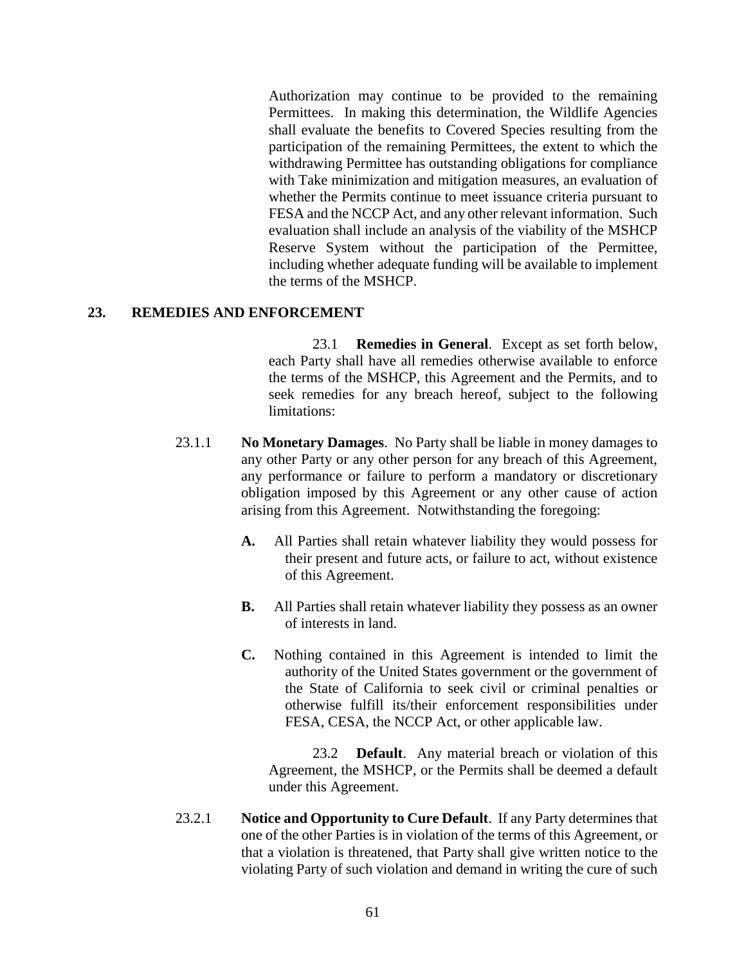Authorization may continue to be provided to the remaining Permittees. In making this determination, the Wildlife Agencies shall evaluate the benefits to Covered Species resulting from the participation of the remaining Permittees, the extent to which the withdrawing Permittee has outstanding obligations for compliance with Take minimization and mitigation measures, an evaluation of whether the Permits continue to meet issuance criteria pursuant to FESA and the NCCP Act, and any other relevant information. Such evaluation shall include an analysis of the viability of the MSHCP Reserve System without the participation of the Permittee, including whether adequate funding will be available to implement the terms of the MSHCP.

## **23. REMEDIES AND ENFORCEMENT**

23.1 **Remedies in General**. Except as set forth below, each Party shall have all remedies otherwise available to enforce the terms of the MSHCP, this Agreement and the Permits, and to seek remedies for any breach hereof, subject to the following limitations:

- 23.1.1 **No Monetary Damages**. No Party shall be liable in money damages to any other Party or any other person for any breach of this Agreement, any performance or failure to perform a mandatory or discretionary obligation imposed by this Agreement or any other cause of action arising from this Agreement. Notwithstanding the foregoing:
	- **A.** All Parties shall retain whatever liability they would possess for their present and future acts, or failure to act, without existence of this Agreement.
	- **B.** All Parties shall retain whatever liability they possess as an owner of interests in land.
	- **C.** Nothing contained in this Agreement is intended to limit the authority of the United States government or the government of the State of California to seek civil or criminal penalties or otherwise fulfill its/their enforcement responsibilities under FESA, CESA, the NCCP Act, or other applicable law.

23.2 **Default**. Any material breach or violation of this Agreement, the MSHCP, or the Permits shall be deemed a default under this Agreement.

23.2.1 **Notice and Opportunity to Cure Default**. If any Party determines that one of the other Parties is in violation of the terms of this Agreement, or that a violation is threatened, that Party shall give written notice to the violating Party of such violation and demand in writing the cure of such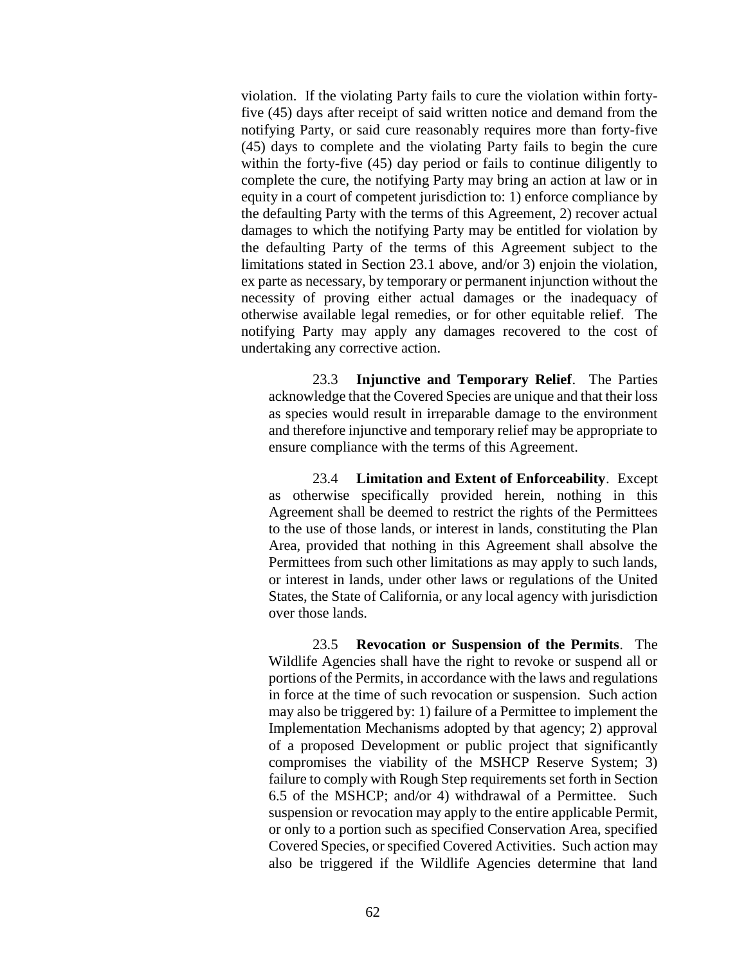violation. If the violating Party fails to cure the violation within fortyfive (45) days after receipt of said written notice and demand from the notifying Party, or said cure reasonably requires more than forty-five (45) days to complete and the violating Party fails to begin the cure within the forty-five (45) day period or fails to continue diligently to complete the cure, the notifying Party may bring an action at law or in equity in a court of competent jurisdiction to: 1) enforce compliance by the defaulting Party with the terms of this Agreement, 2) recover actual damages to which the notifying Party may be entitled for violation by the defaulting Party of the terms of this Agreement subject to the limitations stated in Section 23.1 above, and/or 3) enjoin the violation, ex parte as necessary, by temporary or permanent injunction without the necessity of proving either actual damages or the inadequacy of otherwise available legal remedies, or for other equitable relief. The notifying Party may apply any damages recovered to the cost of undertaking any corrective action.

23.3 **Injunctive and Temporary Relief**. The Parties acknowledge that the Covered Species are unique and that their loss as species would result in irreparable damage to the environment and therefore injunctive and temporary relief may be appropriate to ensure compliance with the terms of this Agreement.

23.4 **Limitation and Extent of Enforceability**. Except as otherwise specifically provided herein, nothing in this Agreement shall be deemed to restrict the rights of the Permittees to the use of those lands, or interest in lands, constituting the Plan Area, provided that nothing in this Agreement shall absolve the Permittees from such other limitations as may apply to such lands, or interest in lands, under other laws or regulations of the United States, the State of California, or any local agency with jurisdiction over those lands.

23.5 **Revocation or Suspension of the Permits**. The Wildlife Agencies shall have the right to revoke or suspend all or portions of the Permits, in accordance with the laws and regulations in force at the time of such revocation or suspension. Such action may also be triggered by: 1) failure of a Permittee to implement the Implementation Mechanisms adopted by that agency; 2) approval of a proposed Development or public project that significantly compromises the viability of the MSHCP Reserve System; 3) failure to comply with Rough Step requirements set forth in Section 6.5 of the MSHCP; and/or 4) withdrawal of a Permittee. Such suspension or revocation may apply to the entire applicable Permit, or only to a portion such as specified Conservation Area, specified Covered Species, or specified Covered Activities. Such action may also be triggered if the Wildlife Agencies determine that land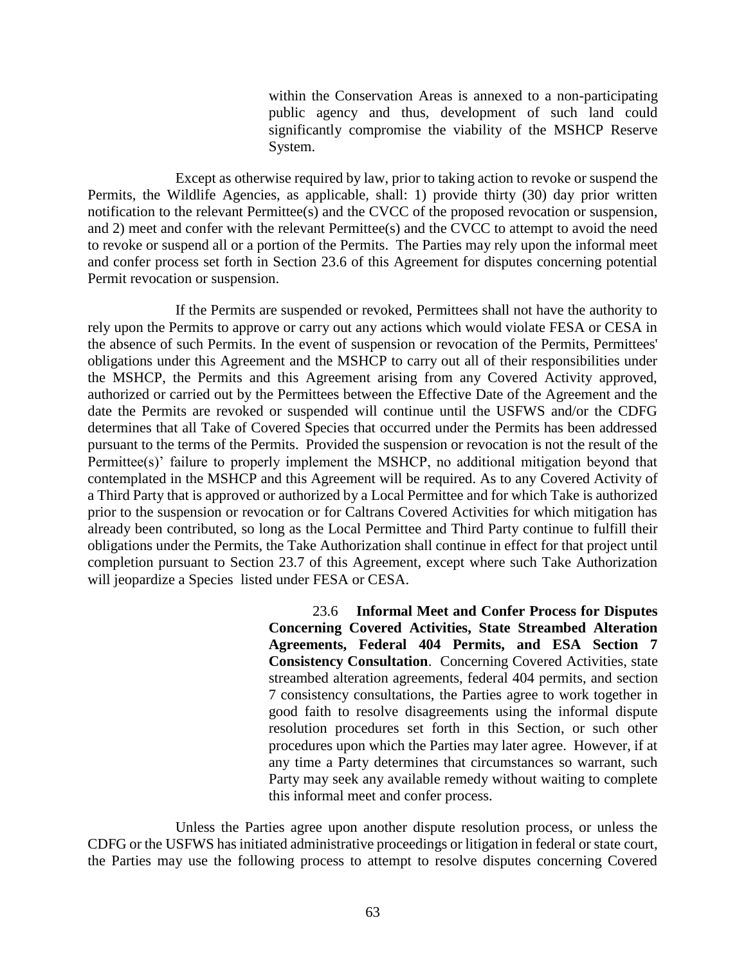within the Conservation Areas is annexed to a non-participating public agency and thus, development of such land could significantly compromise the viability of the MSHCP Reserve System.

Except as otherwise required by law, prior to taking action to revoke or suspend the Permits, the Wildlife Agencies, as applicable, shall: 1) provide thirty (30) day prior written notification to the relevant Permittee(s) and the CVCC of the proposed revocation or suspension, and 2) meet and confer with the relevant Permittee(s) and the CVCC to attempt to avoid the need to revoke or suspend all or a portion of the Permits. The Parties may rely upon the informal meet and confer process set forth in Section 23.6 of this Agreement for disputes concerning potential Permit revocation or suspension.

If the Permits are suspended or revoked, Permittees shall not have the authority to rely upon the Permits to approve or carry out any actions which would violate FESA or CESA in the absence of such Permits. In the event of suspension or revocation of the Permits, Permittees' obligations under this Agreement and the MSHCP to carry out all of their responsibilities under the MSHCP, the Permits and this Agreement arising from any Covered Activity approved, authorized or carried out by the Permittees between the Effective Date of the Agreement and the date the Permits are revoked or suspended will continue until the USFWS and/or the CDFG determines that all Take of Covered Species that occurred under the Permits has been addressed pursuant to the terms of the Permits. Provided the suspension or revocation is not the result of the Permittee(s)' failure to properly implement the MSHCP, no additional mitigation beyond that contemplated in the MSHCP and this Agreement will be required. As to any Covered Activity of a Third Party that is approved or authorized by a Local Permittee and for which Take is authorized prior to the suspension or revocation or for Caltrans Covered Activities for which mitigation has already been contributed, so long as the Local Permittee and Third Party continue to fulfill their obligations under the Permits, the Take Authorization shall continue in effect for that project until completion pursuant to Section 23.7 of this Agreement, except where such Take Authorization will jeopardize a Species listed under FESA or CESA.

> 23.6 **Informal Meet and Confer Process for Disputes Concerning Covered Activities, State Streambed Alteration Agreements, Federal 404 Permits, and ESA Section 7 Consistency Consultation**. Concerning Covered Activities, state streambed alteration agreements, federal 404 permits, and section 7 consistency consultations, the Parties agree to work together in good faith to resolve disagreements using the informal dispute resolution procedures set forth in this Section, or such other procedures upon which the Parties may later agree. However, if at any time a Party determines that circumstances so warrant, such Party may seek any available remedy without waiting to complete this informal meet and confer process.

Unless the Parties agree upon another dispute resolution process, or unless the CDFG or the USFWS has initiated administrative proceedings or litigation in federal or state court, the Parties may use the following process to attempt to resolve disputes concerning Covered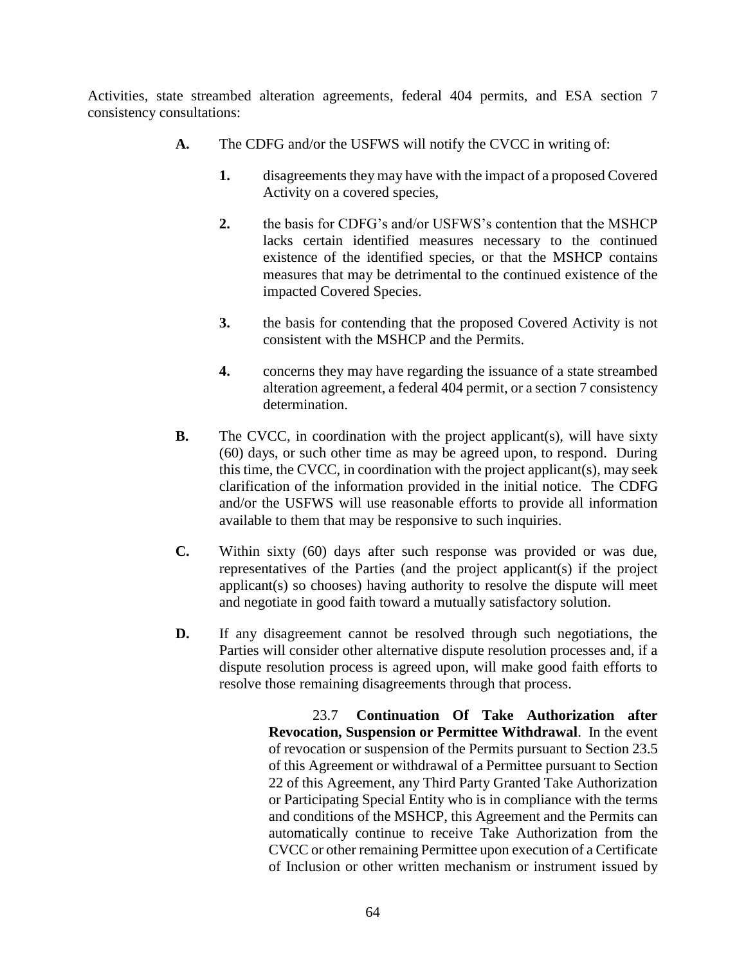Activities, state streambed alteration agreements, federal 404 permits, and ESA section 7 consistency consultations:

- **A.** The CDFG and/or the USFWS will notify the CVCC in writing of:
	- **1.** disagreements they may have with the impact of a proposed Covered Activity on a covered species,
	- **2.** the basis for CDFG's and/or USFWS's contention that the MSHCP lacks certain identified measures necessary to the continued existence of the identified species, or that the MSHCP contains measures that may be detrimental to the continued existence of the impacted Covered Species.
	- **3.** the basis for contending that the proposed Covered Activity is not consistent with the MSHCP and the Permits.
	- **4.** concerns they may have regarding the issuance of a state streambed alteration agreement, a federal 404 permit, or a section 7 consistency determination.
- **B.** The CVCC, in coordination with the project applicant(s), will have sixty (60) days, or such other time as may be agreed upon, to respond. During this time, the CVCC, in coordination with the project applicant(s), may seek clarification of the information provided in the initial notice. The CDFG and/or the USFWS will use reasonable efforts to provide all information available to them that may be responsive to such inquiries.
- **C.** Within sixty (60) days after such response was provided or was due, representatives of the Parties (and the project applicant(s) if the project applicant(s) so chooses) having authority to resolve the dispute will meet and negotiate in good faith toward a mutually satisfactory solution.
- **D.** If any disagreement cannot be resolved through such negotiations, the Parties will consider other alternative dispute resolution processes and, if a dispute resolution process is agreed upon, will make good faith efforts to resolve those remaining disagreements through that process.

23.7 **Continuation Of Take Authorization after Revocation, Suspension or Permittee Withdrawal**. In the event of revocation or suspension of the Permits pursuant to Section 23.5 of this Agreement or withdrawal of a Permittee pursuant to Section 22 of this Agreement, any Third Party Granted Take Authorization or Participating Special Entity who is in compliance with the terms and conditions of the MSHCP, this Agreement and the Permits can automatically continue to receive Take Authorization from the CVCC or other remaining Permittee upon execution of a Certificate of Inclusion or other written mechanism or instrument issued by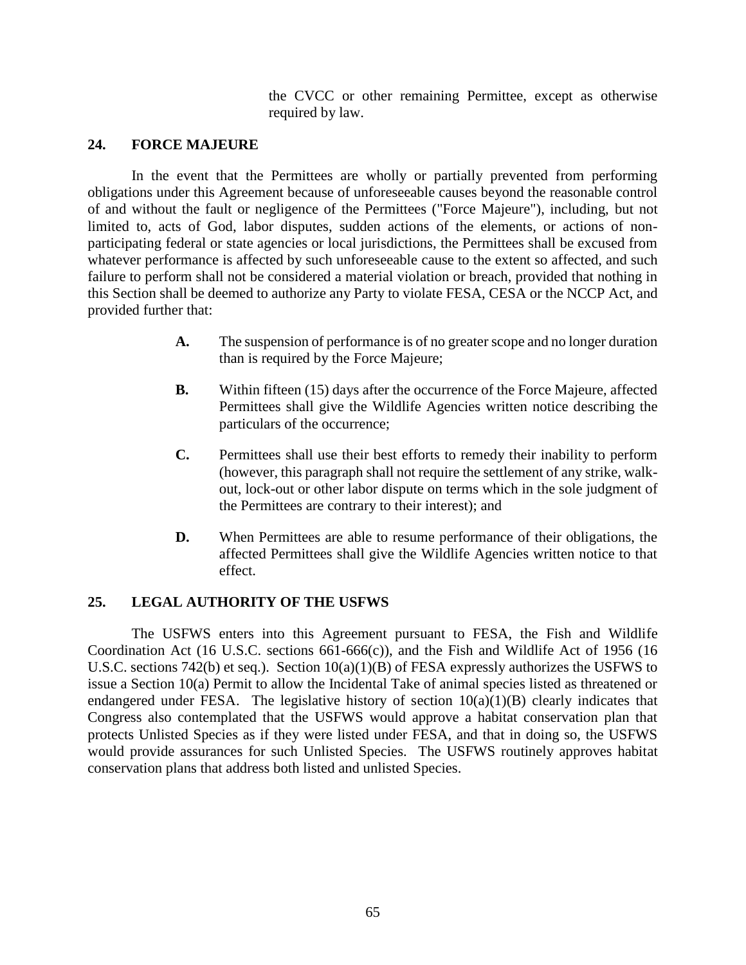the CVCC or other remaining Permittee, except as otherwise required by law.

## **24. FORCE MAJEURE**

In the event that the Permittees are wholly or partially prevented from performing obligations under this Agreement because of unforeseeable causes beyond the reasonable control of and without the fault or negligence of the Permittees ("Force Majeure"), including, but not limited to, acts of God, labor disputes, sudden actions of the elements, or actions of nonparticipating federal or state agencies or local jurisdictions, the Permittees shall be excused from whatever performance is affected by such unforeseeable cause to the extent so affected, and such failure to perform shall not be considered a material violation or breach, provided that nothing in this Section shall be deemed to authorize any Party to violate FESA, CESA or the NCCP Act, and provided further that:

- **A.** The suspension of performance is of no greater scope and no longer duration than is required by the Force Majeure;
- **B.** Within fifteen (15) days after the occurrence of the Force Majeure, affected Permittees shall give the Wildlife Agencies written notice describing the particulars of the occurrence;
- **C.** Permittees shall use their best efforts to remedy their inability to perform (however, this paragraph shall not require the settlement of any strike, walkout, lock-out or other labor dispute on terms which in the sole judgment of the Permittees are contrary to their interest); and
- **D.** When Permittees are able to resume performance of their obligations, the affected Permittees shall give the Wildlife Agencies written notice to that effect.

# **25. LEGAL AUTHORITY OF THE USFWS**

The USFWS enters into this Agreement pursuant to FESA, the Fish and Wildlife Coordination Act (16 U.S.C. sections 661-666(c)), and the Fish and Wildlife Act of 1956 (16 U.S.C. sections 742(b) et seq.). Section 10(a)(1)(B) of FESA expressly authorizes the USFWS to issue a Section 10(a) Permit to allow the Incidental Take of animal species listed as threatened or endangered under FESA. The legislative history of section  $10(a)(1)(B)$  clearly indicates that Congress also contemplated that the USFWS would approve a habitat conservation plan that protects Unlisted Species as if they were listed under FESA, and that in doing so, the USFWS would provide assurances for such Unlisted Species. The USFWS routinely approves habitat conservation plans that address both listed and unlisted Species.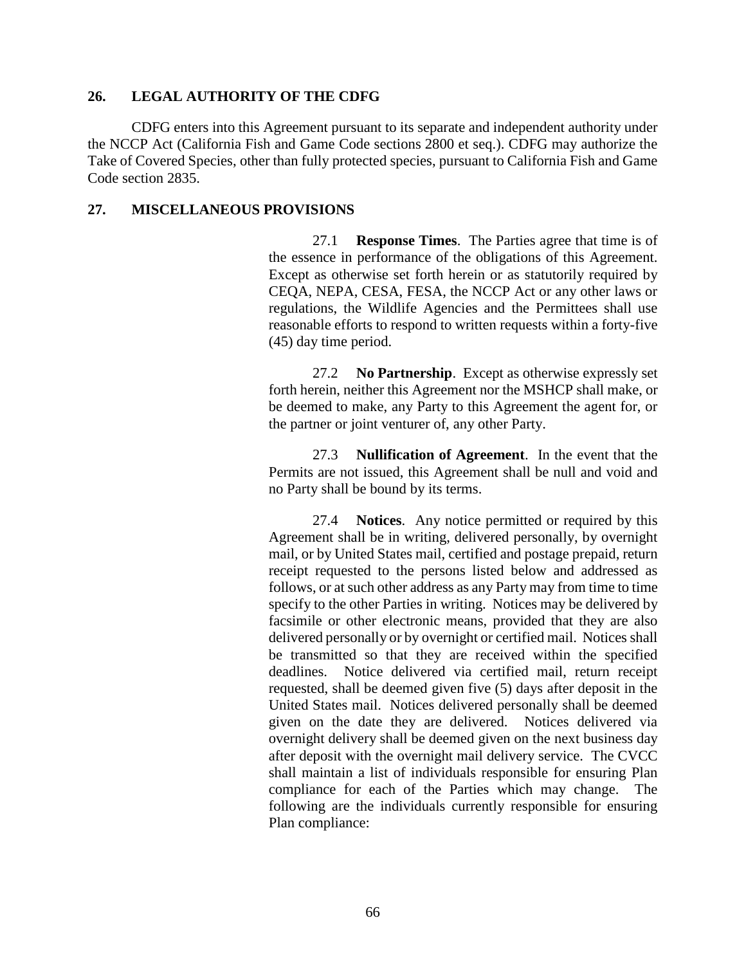## **26. LEGAL AUTHORITY OF THE CDFG**

CDFG enters into this Agreement pursuant to its separate and independent authority under the NCCP Act (California Fish and Game Code sections 2800 et seq.). CDFG may authorize the Take of Covered Species, other than fully protected species, pursuant to California Fish and Game Code section 2835.

## **27. MISCELLANEOUS PROVISIONS**

27.1 **Response Times**. The Parties agree that time is of the essence in performance of the obligations of this Agreement. Except as otherwise set forth herein or as statutorily required by CEQA, NEPA, CESA, FESA, the NCCP Act or any other laws or regulations, the Wildlife Agencies and the Permittees shall use reasonable efforts to respond to written requests within a forty-five (45) day time period.

27.2 **No Partnership**. Except as otherwise expressly set forth herein, neither this Agreement nor the MSHCP shall make, or be deemed to make, any Party to this Agreement the agent for, or the partner or joint venturer of, any other Party.

27.3 **Nullification of Agreement**. In the event that the Permits are not issued, this Agreement shall be null and void and no Party shall be bound by its terms.

27.4 **Notices**. Any notice permitted or required by this Agreement shall be in writing, delivered personally, by overnight mail, or by United States mail, certified and postage prepaid, return receipt requested to the persons listed below and addressed as follows, or at such other address as any Party may from time to time specify to the other Parties in writing. Notices may be delivered by facsimile or other electronic means, provided that they are also delivered personally or by overnight or certified mail. Notices shall be transmitted so that they are received within the specified deadlines. Notice delivered via certified mail, return receipt requested, shall be deemed given five (5) days after deposit in the United States mail. Notices delivered personally shall be deemed given on the date they are delivered. Notices delivered via overnight delivery shall be deemed given on the next business day after deposit with the overnight mail delivery service. The CVCC shall maintain a list of individuals responsible for ensuring Plan compliance for each of the Parties which may change. The following are the individuals currently responsible for ensuring Plan compliance: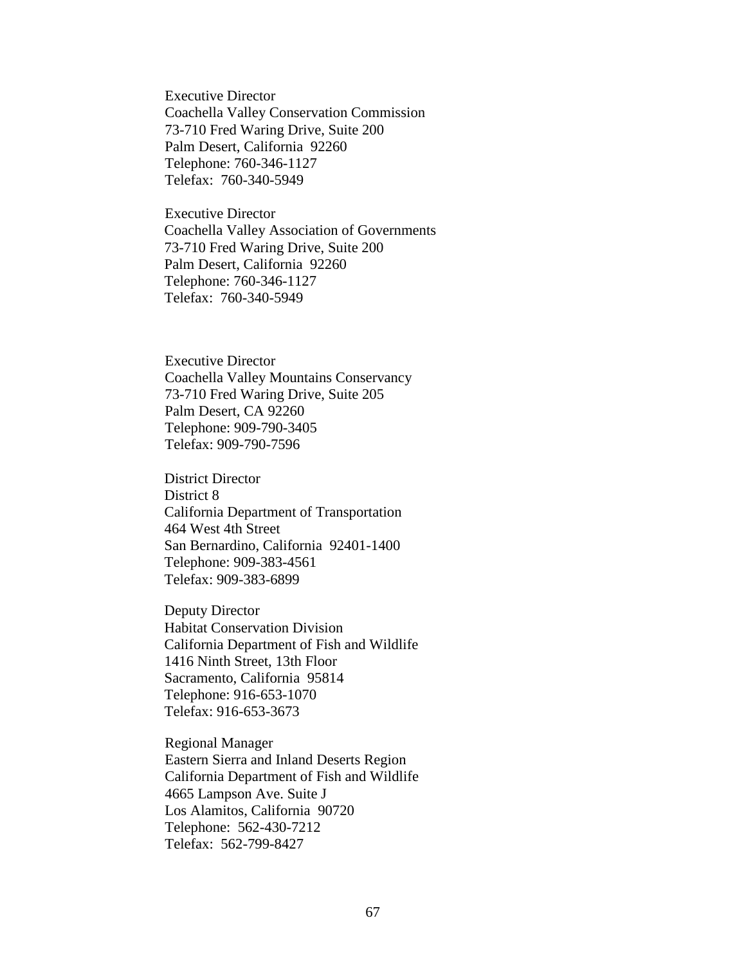Executive Director Coachella Valley Conservation Commission 73-710 Fred Waring Drive, Suite 200 Palm Desert, California 92260 Telephone: 760-346-1127 Telefax: 760-340-5949

Executive Director Coachella Valley Association of Governments 73-710 Fred Waring Drive, Suite 200 Palm Desert, California 92260 Telephone: 760-346-1127 Telefax: 760-340-5949

Executive Director Coachella Valley Mountains Conservancy 73-710 Fred Waring Drive, Suite 205 Palm Desert, CA 92260 Telephone: 909-790-3405 Telefax: 909-790-7596

District Director District 8 California Department of Transportation 464 West 4th Street San Bernardino, California 92401-1400 Telephone: 909-383-4561 Telefax: 909-383-6899

Deputy Director Habitat Conservation Division California Department of Fish and Wildlife 1416 Ninth Street, 13th Floor Sacramento, California 95814 Telephone: 916-653-1070 Telefax: 916-653-3673

Regional Manager Eastern Sierra and Inland Deserts Region California Department of Fish and Wildlife 4665 Lampson Ave. Suite J Los Alamitos, California 90720 Telephone: 562-430-7212 Telefax: 562-799-8427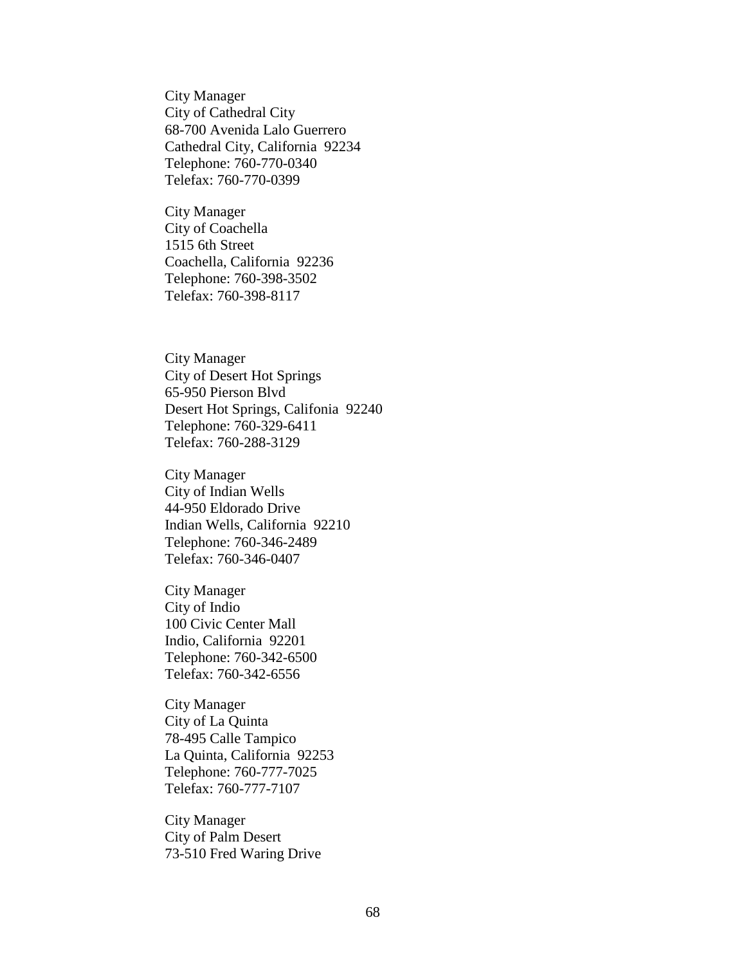City Manager City of Cathedral City 68-700 Avenida Lalo Guerrero Cathedral City, California 92234 Telephone: 760-770-0340 Telefax: 760-770-0399

City Manager City of Coachella 1515 6th Street Coachella, California 92236 Telephone: 760-398-3502 Telefax: 760-398-8117

City Manager City of Desert Hot Springs 65-950 Pierson Blvd Desert Hot Springs, Califonia 92240 Telephone: 760-329-6411 Telefax: 760-288-3129

City Manager City of Indian Wells 44-950 Eldorado Drive Indian Wells, California 92210 Telephone: 760-346-2489 Telefax: 760-346-0407

City Manager City of Indio 100 Civic Center Mall Indio, California 92201 Telephone: 760-342-6500 Telefax: 760-342-6556

City Manager City of La Quinta 78-495 Calle Tampico La Quinta, California 92253 Telephone: 760-777-7025 Telefax: 760-777-7107

City Manager City of Palm Desert 73-510 Fred Waring Drive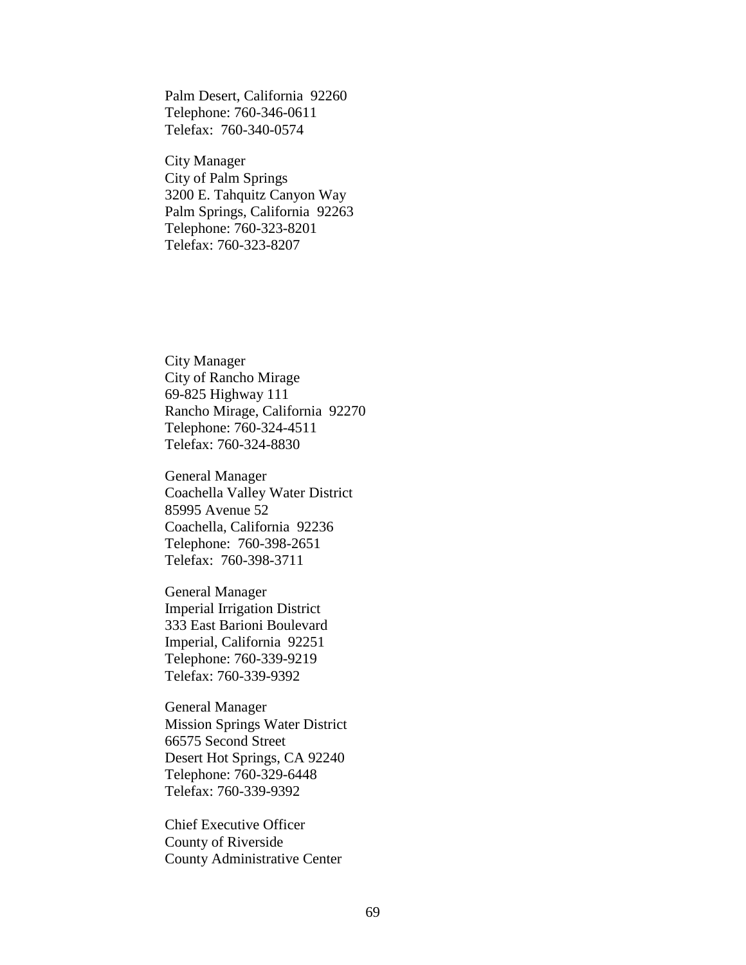Palm Desert, California 92260 Telephone: 760-346-0611 Telefax: 760-340-0574

City Manager City of Palm Springs 3200 E. Tahquitz Canyon Way Palm Springs, California 92263 Telephone: 760-323-8201 Telefax: 760-323-8207

City Manager City of Rancho Mirage 69-825 Highway 111 Rancho Mirage, California 92270 Telephone: 760-324-4511 Telefax: 760-324-8830

General Manager Coachella Valley Water District 85995 Avenue 52 Coachella, California 92236 Telephone: 760-398-2651 Telefax: 760-398-3711

General Manager Imperial Irrigation District 333 East Barioni Boulevard Imperial, California 92251 Telephone: 760-339-9219 Telefax: 760-339-9392

General Manager Mission Springs Water District 66575 Second Street Desert Hot Springs, CA 92240 Telephone: 760-329-6448 Telefax: 760-339-9392

Chief Executive Officer County of Riverside County Administrative Center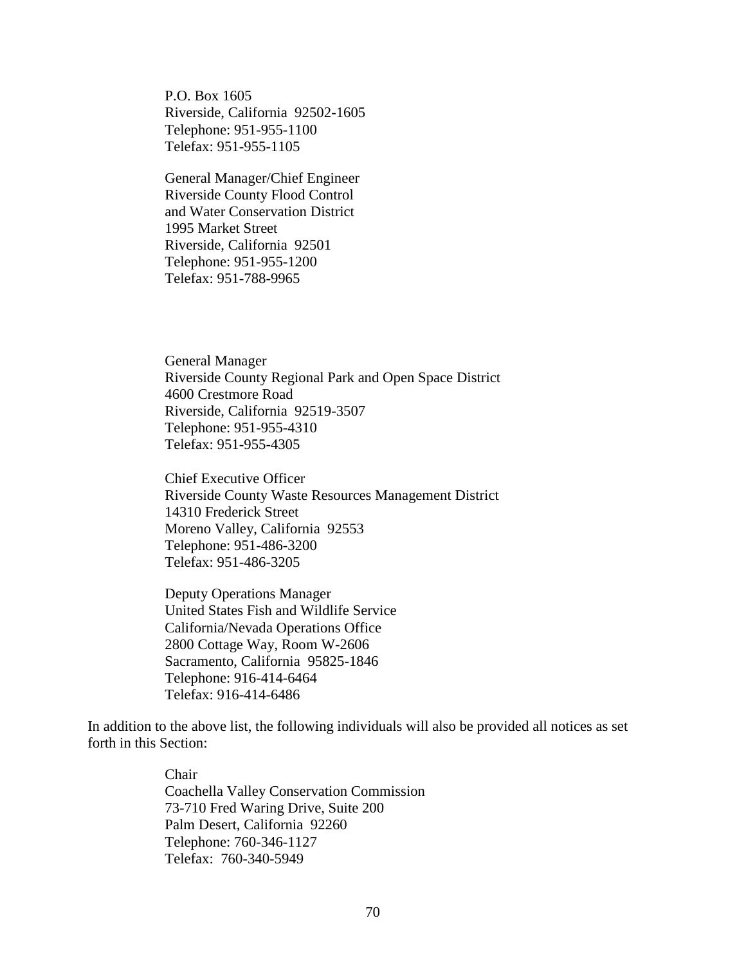P.O. Box 1605 Riverside, California 92502-1605 Telephone: 951-955-1100 Telefax: 951-955-1105

General Manager/Chief Engineer Riverside County Flood Control and Water Conservation District 1995 Market Street Riverside, California 92501 Telephone: 951-955-1200 Telefax: 951-788-9965

General Manager Riverside County Regional Park and Open Space District 4600 Crestmore Road Riverside, California 92519-3507 Telephone: 951-955-4310 Telefax: 951-955-4305

Chief Executive Officer Riverside County Waste Resources Management District 14310 Frederick Street Moreno Valley, California 92553 Telephone: 951-486-3200 Telefax: 951-486-3205

Deputy Operations Manager United States Fish and Wildlife Service California/Nevada Operations Office 2800 Cottage Way, Room W-2606 Sacramento, California 95825-1846 Telephone: 916-414-6464 Telefax: 916-414-6486

In addition to the above list, the following individuals will also be provided all notices as set forth in this Section:

> Chair Coachella Valley Conservation Commission 73-710 Fred Waring Drive, Suite 200 Palm Desert, California 92260 Telephone: 760-346-1127 Telefax: 760-340-5949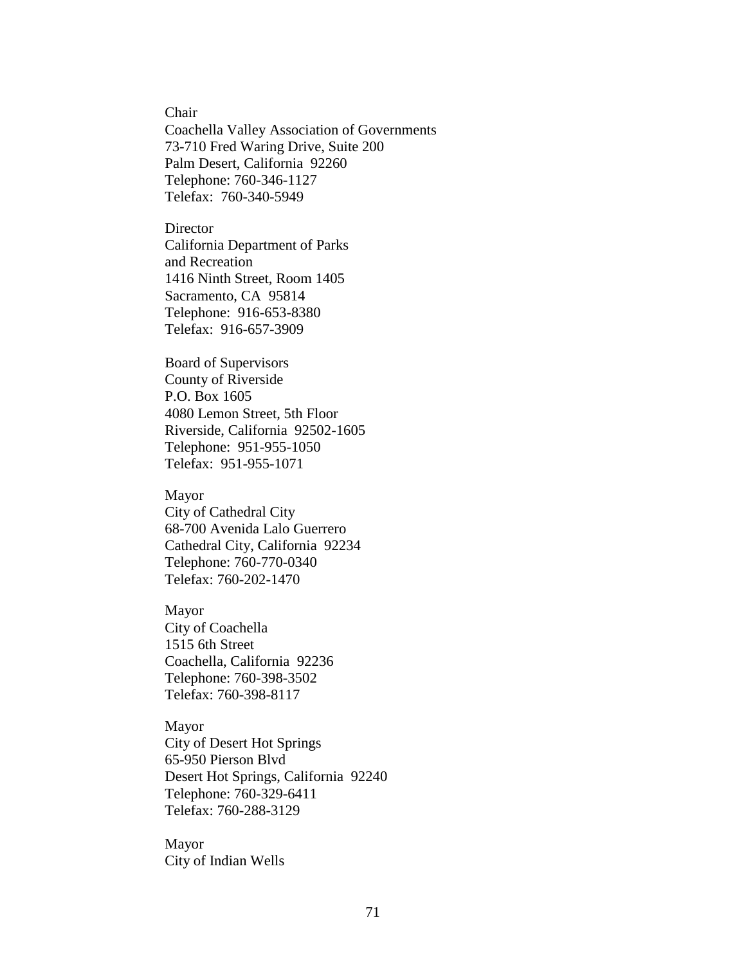Chair

Coachella Valley Association of Governments 73-710 Fred Waring Drive, Suite 200 Palm Desert, California 92260 Telephone: 760-346-1127 Telefax: 760-340-5949

**Director** California Department of Parks and Recreation 1416 Ninth Street, Room 1405 Sacramento, CA 95814 Telephone: 916-653-8380 Telefax: 916-657-3909

Board of Supervisors County of Riverside P.O. Box 1605 4080 Lemon Street, 5th Floor Riverside, California 92502-1605 Telephone: 951-955-1050 Telefax: 951-955-1071

### Mayor

City of Cathedral City 68-700 Avenida Lalo Guerrero Cathedral City, California 92234 Telephone: 760-770-0340 Telefax: 760-202-1470

#### Mayor

City of Coachella 1515 6th Street Coachella, California 92236 Telephone: 760-398-3502 Telefax: 760-398-8117

Mayor City of Desert Hot Springs 65-950 Pierson Blvd Desert Hot Springs, California 92240 Telephone: 760-329-6411 Telefax: 760-288-3129

Mayor City of Indian Wells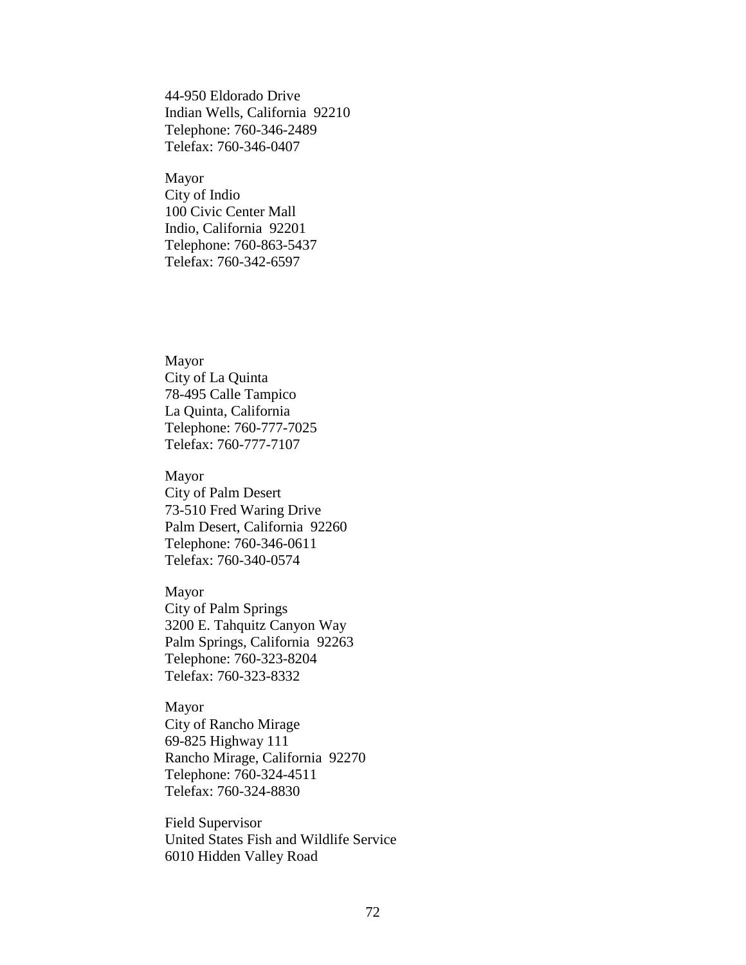44-950 Eldorado Drive Indian Wells, California 92210 Telephone: 760-346-2489 Telefax: 760-346-0407

Mayor City of Indio 100 Civic Center Mall Indio, California 92201 Telephone: 760-863-5437 Telefax: 760-342-6597

Mayor City of La Quinta 78-495 Calle Tampico La Quinta, California Telephone: 760-777-7025 Telefax: 760-777-7107

Mayor City of Palm Desert 73-510 Fred Waring Drive Palm Desert, California 92260 Telephone: 760-346-0611 Telefax: 760-340-0574

Mayor City of Palm Springs 3200 E. Tahquitz Canyon Way Palm Springs, California 92263 Telephone: 760-323-8204 Telefax: 760-323-8332

Mayor City of Rancho Mirage 69-825 Highway 111 Rancho Mirage, California 92270 Telephone: 760-324-4511 Telefax: 760-324-8830

Field Supervisor United States Fish and Wildlife Service 6010 Hidden Valley Road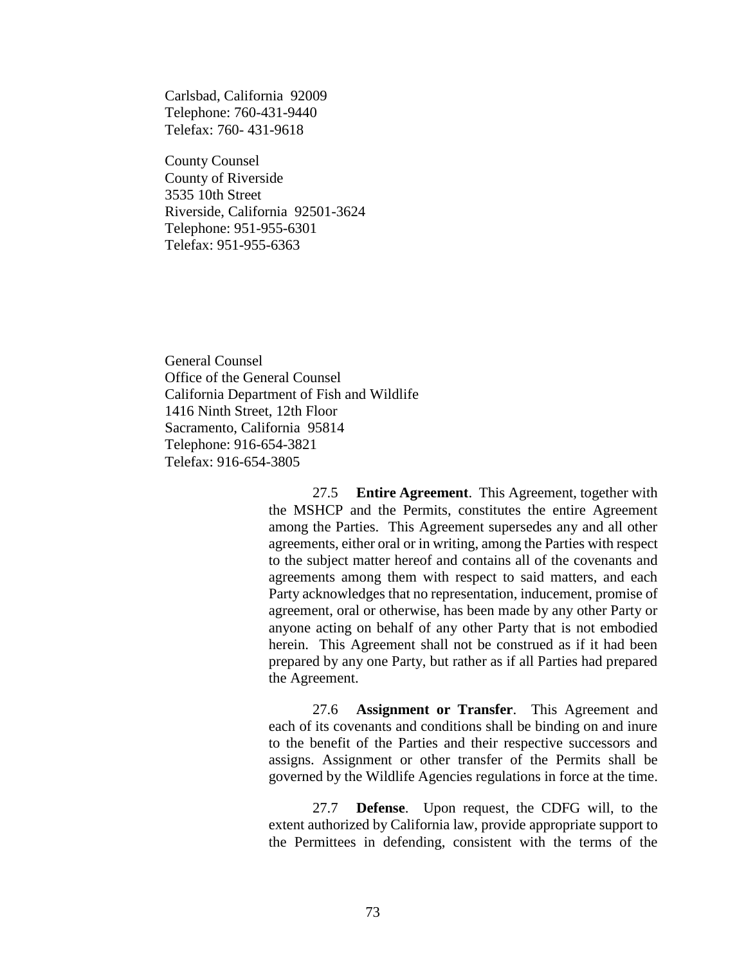Carlsbad, California 92009 Telephone: 760-431-9440 Telefax: 760- 431-9618

County Counsel County of Riverside 3535 10th Street Riverside, California 92501-3624 Telephone: 951-955-6301 Telefax: 951-955-6363

General Counsel Office of the General Counsel California Department of Fish and Wildlife 1416 Ninth Street, 12th Floor Sacramento, California 95814 Telephone: 916-654-3821 Telefax: 916-654-3805

> 27.5 **Entire Agreement**. This Agreement, together with the MSHCP and the Permits, constitutes the entire Agreement among the Parties. This Agreement supersedes any and all other agreements, either oral or in writing, among the Parties with respect to the subject matter hereof and contains all of the covenants and agreements among them with respect to said matters, and each Party acknowledges that no representation, inducement, promise of agreement, oral or otherwise, has been made by any other Party or anyone acting on behalf of any other Party that is not embodied herein. This Agreement shall not be construed as if it had been prepared by any one Party, but rather as if all Parties had prepared the Agreement.

> 27.6 **Assignment or Transfer**. This Agreement and each of its covenants and conditions shall be binding on and inure to the benefit of the Parties and their respective successors and assigns. Assignment or other transfer of the Permits shall be governed by the Wildlife Agencies regulations in force at the time.

> 27.7 **Defense**. Upon request, the CDFG will, to the extent authorized by California law, provide appropriate support to the Permittees in defending, consistent with the terms of the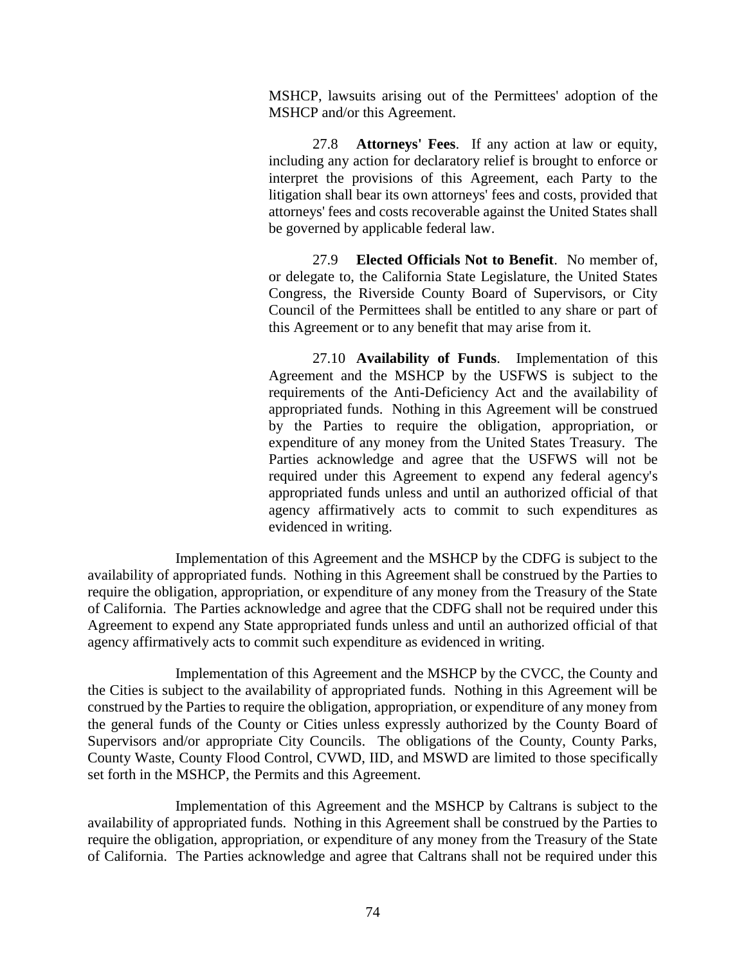MSHCP, lawsuits arising out of the Permittees' adoption of the MSHCP and/or this Agreement.

27.8 **Attorneys' Fees**. If any action at law or equity, including any action for declaratory relief is brought to enforce or interpret the provisions of this Agreement, each Party to the litigation shall bear its own attorneys' fees and costs, provided that attorneys' fees and costs recoverable against the United States shall be governed by applicable federal law.

27.9 **Elected Officials Not to Benefit**. No member of, or delegate to, the California State Legislature, the United States Congress, the Riverside County Board of Supervisors, or City Council of the Permittees shall be entitled to any share or part of this Agreement or to any benefit that may arise from it.

27.10 **Availability of Funds**. Implementation of this Agreement and the MSHCP by the USFWS is subject to the requirements of the Anti-Deficiency Act and the availability of appropriated funds. Nothing in this Agreement will be construed by the Parties to require the obligation, appropriation, or expenditure of any money from the United States Treasury. The Parties acknowledge and agree that the USFWS will not be required under this Agreement to expend any federal agency's appropriated funds unless and until an authorized official of that agency affirmatively acts to commit to such expenditures as evidenced in writing.

Implementation of this Agreement and the MSHCP by the CDFG is subject to the availability of appropriated funds. Nothing in this Agreement shall be construed by the Parties to require the obligation, appropriation, or expenditure of any money from the Treasury of the State of California. The Parties acknowledge and agree that the CDFG shall not be required under this Agreement to expend any State appropriated funds unless and until an authorized official of that agency affirmatively acts to commit such expenditure as evidenced in writing.

Implementation of this Agreement and the MSHCP by the CVCC, the County and the Cities is subject to the availability of appropriated funds. Nothing in this Agreement will be construed by the Parties to require the obligation, appropriation, or expenditure of any money from the general funds of the County or Cities unless expressly authorized by the County Board of Supervisors and/or appropriate City Councils. The obligations of the County, County Parks, County Waste, County Flood Control, CVWD, IID, and MSWD are limited to those specifically set forth in the MSHCP, the Permits and this Agreement.

Implementation of this Agreement and the MSHCP by Caltrans is subject to the availability of appropriated funds. Nothing in this Agreement shall be construed by the Parties to require the obligation, appropriation, or expenditure of any money from the Treasury of the State of California. The Parties acknowledge and agree that Caltrans shall not be required under this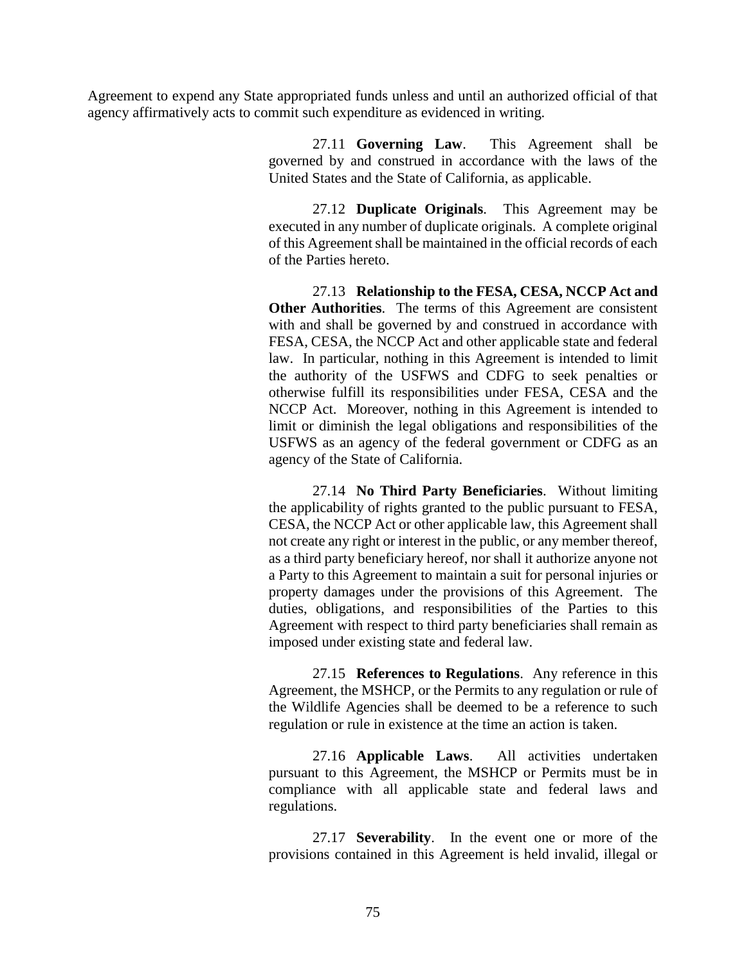Agreement to expend any State appropriated funds unless and until an authorized official of that agency affirmatively acts to commit such expenditure as evidenced in writing.

> 27.11 **Governing Law**. This Agreement shall be governed by and construed in accordance with the laws of the United States and the State of California, as applicable.

> 27.12 **Duplicate Originals**. This Agreement may be executed in any number of duplicate originals. A complete original of this Agreement shall be maintained in the official records of each of the Parties hereto.

> 27.13 **Relationship to the FESA, CESA, NCCP Act and Other Authorities**. The terms of this Agreement are consistent with and shall be governed by and construed in accordance with FESA, CESA, the NCCP Act and other applicable state and federal law. In particular, nothing in this Agreement is intended to limit the authority of the USFWS and CDFG to seek penalties or otherwise fulfill its responsibilities under FESA, CESA and the NCCP Act. Moreover, nothing in this Agreement is intended to limit or diminish the legal obligations and responsibilities of the USFWS as an agency of the federal government or CDFG as an agency of the State of California.

> 27.14 **No Third Party Beneficiaries**. Without limiting the applicability of rights granted to the public pursuant to FESA, CESA, the NCCP Act or other applicable law, this Agreement shall not create any right or interest in the public, or any member thereof, as a third party beneficiary hereof, nor shall it authorize anyone not a Party to this Agreement to maintain a suit for personal injuries or property damages under the provisions of this Agreement. The duties, obligations, and responsibilities of the Parties to this Agreement with respect to third party beneficiaries shall remain as imposed under existing state and federal law.

> 27.15 **References to Regulations**. Any reference in this Agreement, the MSHCP, or the Permits to any regulation or rule of the Wildlife Agencies shall be deemed to be a reference to such regulation or rule in existence at the time an action is taken.

> 27.16 **Applicable Laws**. All activities undertaken pursuant to this Agreement, the MSHCP or Permits must be in compliance with all applicable state and federal laws and regulations.

> 27.17 **Severability**. In the event one or more of the provisions contained in this Agreement is held invalid, illegal or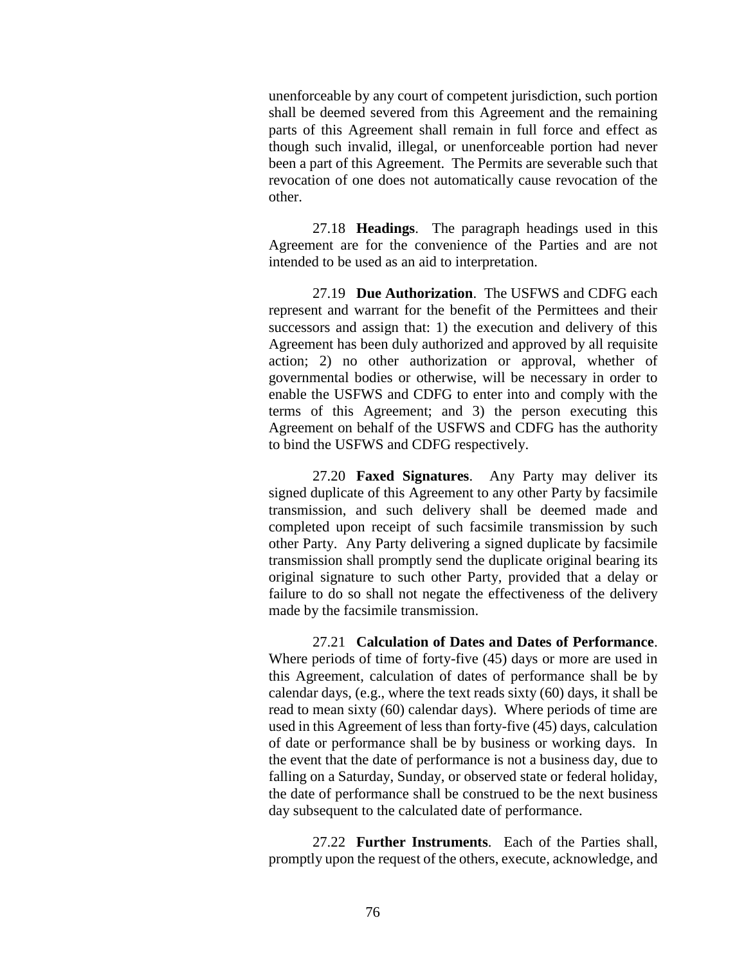unenforceable by any court of competent jurisdiction, such portion shall be deemed severed from this Agreement and the remaining parts of this Agreement shall remain in full force and effect as though such invalid, illegal, or unenforceable portion had never been a part of this Agreement. The Permits are severable such that revocation of one does not automatically cause revocation of the other.

27.18 **Headings**. The paragraph headings used in this Agreement are for the convenience of the Parties and are not intended to be used as an aid to interpretation.

27.19 **Due Authorization**. The USFWS and CDFG each represent and warrant for the benefit of the Permittees and their successors and assign that: 1) the execution and delivery of this Agreement has been duly authorized and approved by all requisite action; 2) no other authorization or approval, whether of governmental bodies or otherwise, will be necessary in order to enable the USFWS and CDFG to enter into and comply with the terms of this Agreement; and 3) the person executing this Agreement on behalf of the USFWS and CDFG has the authority to bind the USFWS and CDFG respectively.

27.20 **Faxed Signatures**. Any Party may deliver its signed duplicate of this Agreement to any other Party by facsimile transmission, and such delivery shall be deemed made and completed upon receipt of such facsimile transmission by such other Party. Any Party delivering a signed duplicate by facsimile transmission shall promptly send the duplicate original bearing its original signature to such other Party, provided that a delay or failure to do so shall not negate the effectiveness of the delivery made by the facsimile transmission.

27.21 **Calculation of Dates and Dates of Performance**. Where periods of time of forty-five (45) days or more are used in this Agreement, calculation of dates of performance shall be by calendar days, (e.g., where the text reads sixty (60) days, it shall be read to mean sixty (60) calendar days). Where periods of time are used in this Agreement of less than forty-five (45) days, calculation of date or performance shall be by business or working days. In the event that the date of performance is not a business day, due to falling on a Saturday, Sunday, or observed state or federal holiday, the date of performance shall be construed to be the next business day subsequent to the calculated date of performance.

27.22 **Further Instruments**. Each of the Parties shall, promptly upon the request of the others, execute, acknowledge, and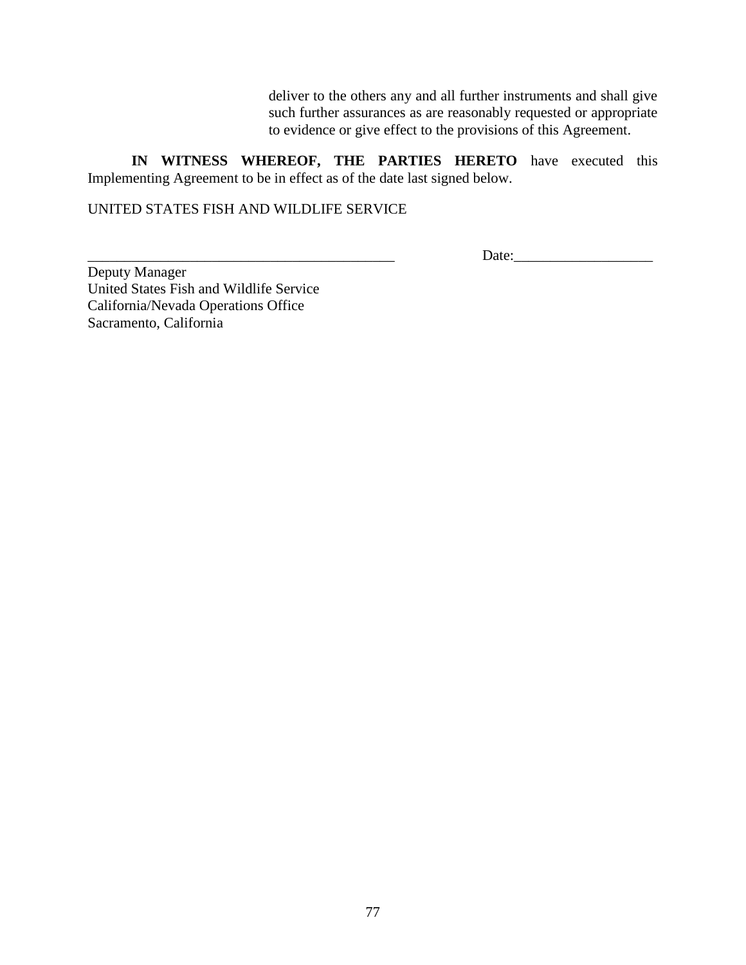deliver to the others any and all further instruments and shall give such further assurances as are reasonably requested or appropriate to evidence or give effect to the provisions of this Agreement.

**IN WITNESS WHEREOF, THE PARTIES HERETO** have executed this Implementing Agreement to be in effect as of the date last signed below.

UNITED STATES FISH AND WILDLIFE SERVICE

Date:

Deputy Manager United States Fish and Wildlife Service California/Nevada Operations Office Sacramento, California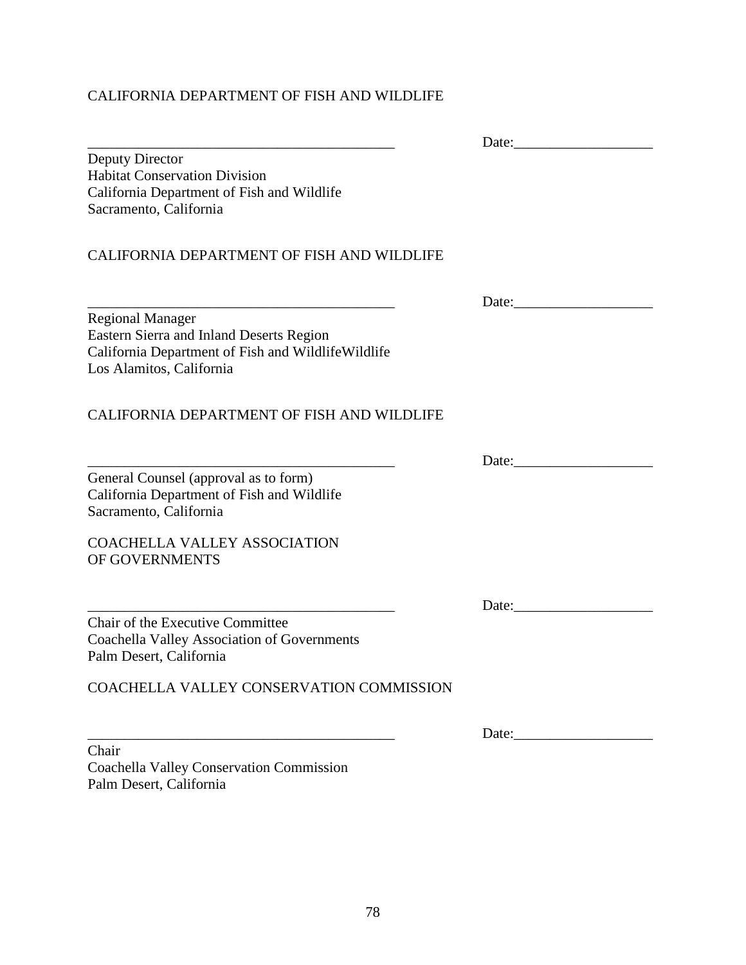# CALIFORNIA DEPARTMENT OF FISH AND WILDLIFE

|                                                                                                                                                       | Date:                     |
|-------------------------------------------------------------------------------------------------------------------------------------------------------|---------------------------|
| Deputy Director<br><b>Habitat Conservation Division</b><br>California Department of Fish and Wildlife                                                 |                           |
| Sacramento, California                                                                                                                                |                           |
| CALIFORNIA DEPARTMENT OF FISH AND WILDLIFE                                                                                                            |                           |
|                                                                                                                                                       |                           |
| <b>Regional Manager</b><br>Eastern Sierra and Inland Deserts Region<br>California Department of Fish and WildlifeWildlife<br>Los Alamitos, California |                           |
| <b>CALIFORNIA DEPARTMENT OF FISH AND WILDLIFE</b>                                                                                                     |                           |
|                                                                                                                                                       |                           |
| General Counsel (approval as to form)<br>California Department of Fish and Wildlife<br>Sacramento, California                                         |                           |
| <b>COACHELLA VALLEY ASSOCIATION</b><br>OF GOVERNMENTS                                                                                                 |                           |
|                                                                                                                                                       | Date:                     |
| Chair of the Executive Committee<br><b>Coachella Valley Association of Governments</b><br>Palm Desert, California                                     |                           |
| COACHELLA VALLEY CONSERVATION COMMISSION                                                                                                              |                           |
|                                                                                                                                                       | Date: $\frac{1}{2}$ Date: |
| Chair<br>Coachella Valley Conservation Commission                                                                                                     |                           |

Palm Desert, California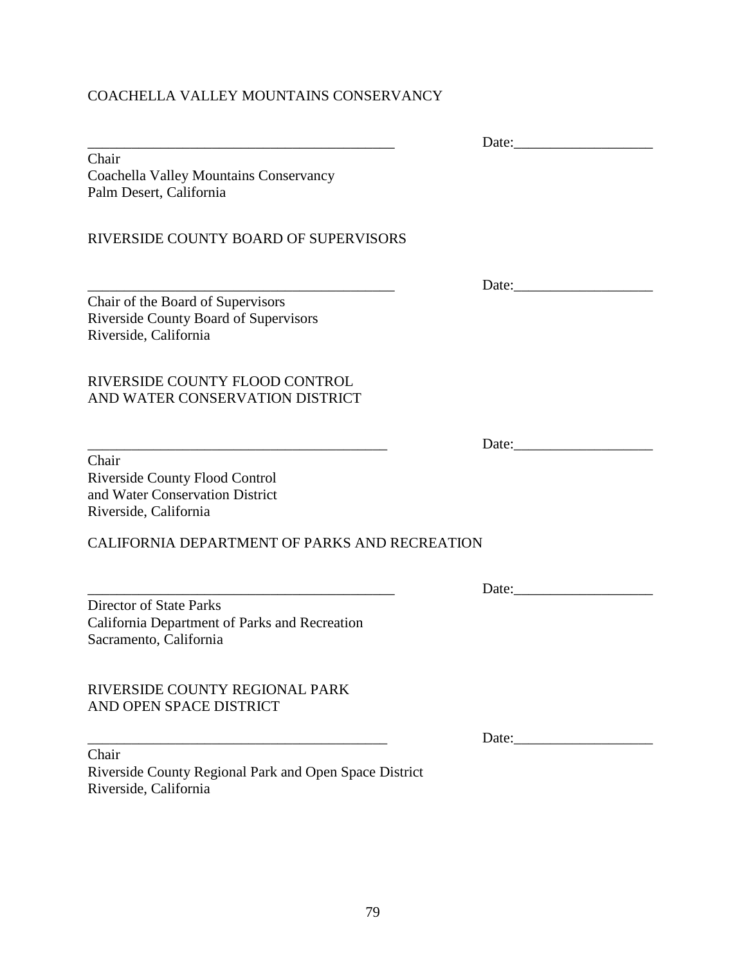# COACHELLA VALLEY MOUNTAINS CONSERVANCY

|                                                                                                            | Date:                                                  |
|------------------------------------------------------------------------------------------------------------|--------------------------------------------------------|
| Chair<br>Coachella Valley Mountains Conservancy<br>Palm Desert, California                                 |                                                        |
| RIVERSIDE COUNTY BOARD OF SUPERVISORS                                                                      |                                                        |
| Chair of the Board of Supervisors                                                                          |                                                        |
| Riverside County Board of Supervisors<br>Riverside, California                                             |                                                        |
| RIVERSIDE COUNTY FLOOD CONTROL<br>AND WATER CONSERVATION DISTRICT                                          |                                                        |
|                                                                                                            |                                                        |
| Chair<br><b>Riverside County Flood Control</b><br>and Water Conservation District<br>Riverside, California |                                                        |
| CALIFORNIA DEPARTMENT OF PARKS AND RECREATION                                                              |                                                        |
|                                                                                                            | Date:                                                  |
| <b>Director of State Parks</b><br>California Department of Parks and Recreation<br>Sacramento, California  |                                                        |
| RIVERSIDE COUNTY REGIONAL PARK<br>AND OPEN SPACE DISTRICT                                                  |                                                        |
|                                                                                                            | Date: $\frac{1}{\sqrt{1-\frac{1}{2}}\cdot\frac{1}{2}}$ |
| Chair<br>Riverside County Regional Park and Open Space District<br>Riverside, California                   |                                                        |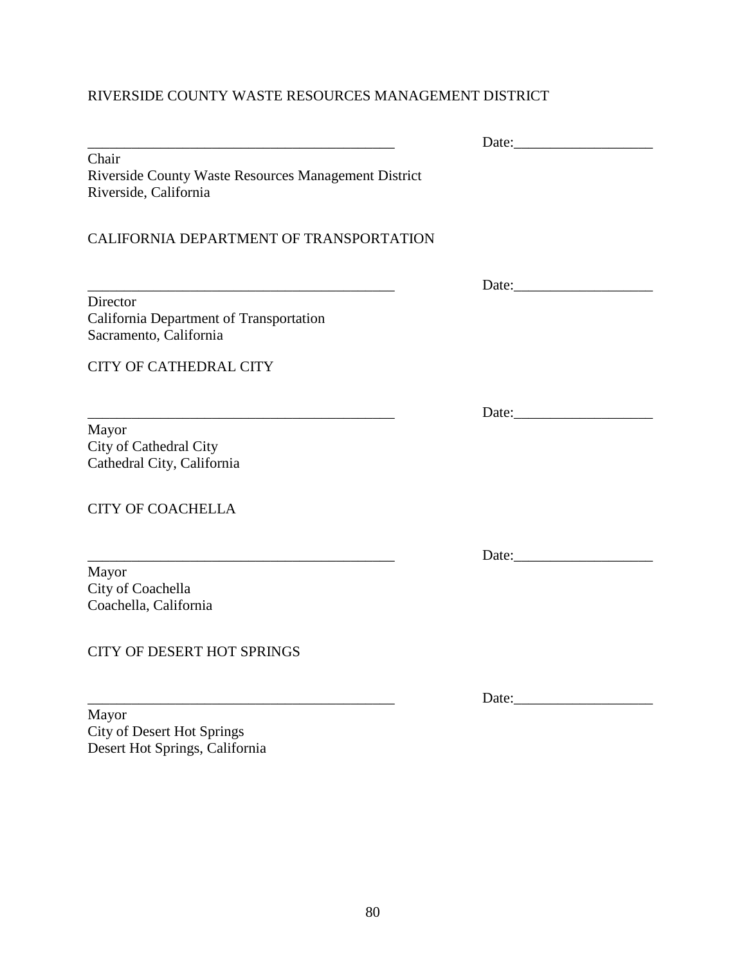# RIVERSIDE COUNTY WASTE RESOURCES MANAGEMENT DISTRICT

|                                                                                                                     | Date: the contract of the contract of the contract of the contract of the contract of the contract of the contract of the contract of the contract of the contract of the contract of the contract of the contract of the cont |
|---------------------------------------------------------------------------------------------------------------------|--------------------------------------------------------------------------------------------------------------------------------------------------------------------------------------------------------------------------------|
| Chair<br>Riverside County Waste Resources Management District<br>Riverside, California                              |                                                                                                                                                                                                                                |
| CALIFORNIA DEPARTMENT OF TRANSPORTATION                                                                             |                                                                                                                                                                                                                                |
| <u> 1989 - Johann Barn, mars ann an t-Amhain an t-Amhain an t-Amhain an t-Amhain an t-Amhain an t-Amhain an t-A</u> | Date:                                                                                                                                                                                                                          |
| Director<br>California Department of Transportation<br>Sacramento, California                                       |                                                                                                                                                                                                                                |
| <b>CITY OF CATHEDRAL CITY</b>                                                                                       |                                                                                                                                                                                                                                |
|                                                                                                                     | Date:                                                                                                                                                                                                                          |
| Mayor<br>City of Cathedral City<br>Cathedral City, California                                                       |                                                                                                                                                                                                                                |
| <b>CITY OF COACHELLA</b>                                                                                            |                                                                                                                                                                                                                                |
|                                                                                                                     | Date: the contract of the contract of the contract of the contract of the contract of the contract of the contract of the contract of the contract of the contract of the contract of the contract of the contract of the cont |
| Mayor<br>City of Coachella<br>Coachella, California                                                                 |                                                                                                                                                                                                                                |
| <b>CITY OF DESERT HOT SPRINGS</b>                                                                                   |                                                                                                                                                                                                                                |
|                                                                                                                     | Date:                                                                                                                                                                                                                          |

Mayor City of Desert Hot Springs Desert Hot Springs, California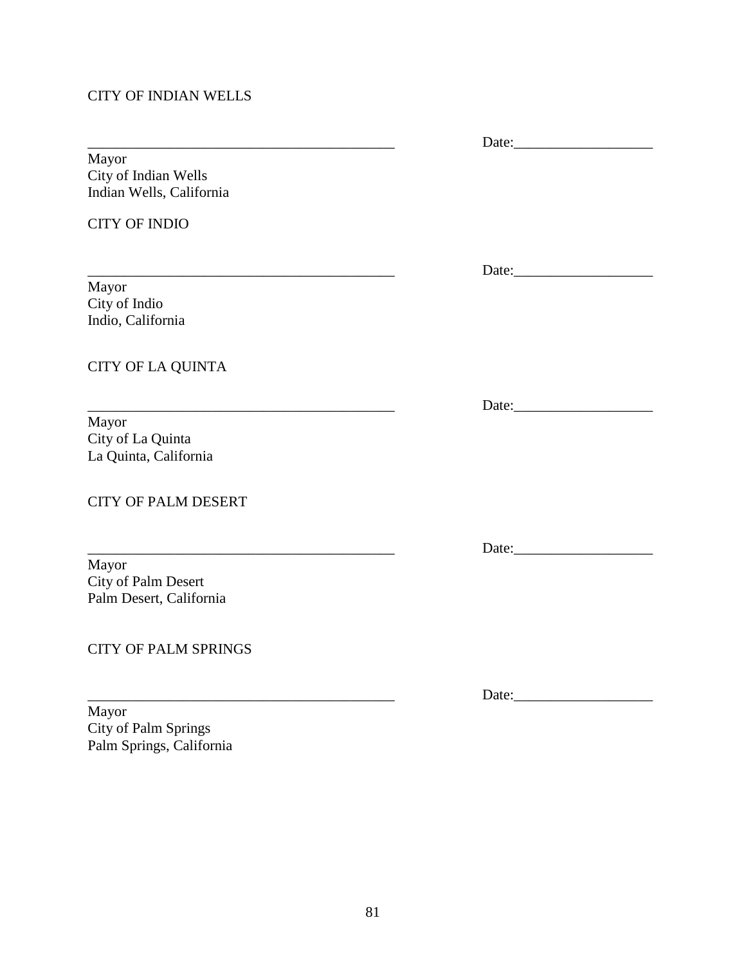## CITY OF INDIAN WELLS

\_\_\_\_\_\_\_\_\_\_\_\_\_\_\_\_\_\_\_\_\_\_\_\_\_\_\_\_\_\_\_\_\_\_\_\_\_\_\_\_\_\_ Date:\_\_\_\_\_\_\_\_\_\_\_\_\_\_\_\_\_\_\_ Mayor City of Indian Wells Indian Wells, California

CITY OF INDIO

Mayor City of Indio Indio, California

CITY OF LA QUINTA

Mayor City of La Quinta La Quinta, California

CITY OF PALM DESERT

Mayor City of Palm Desert Palm Desert, California

CITY OF PALM SPRINGS

Mayor City of Palm Springs Palm Springs, California

\_\_\_\_\_\_\_\_\_\_\_\_\_\_\_\_\_\_\_\_\_\_\_\_\_\_\_\_\_\_\_\_\_\_\_\_\_\_\_\_\_\_ Date:\_\_\_\_\_\_\_\_\_\_\_\_\_\_\_\_\_\_\_

\_\_\_\_\_\_\_\_\_\_\_\_\_\_\_\_\_\_\_\_\_\_\_\_\_\_\_\_\_\_\_\_\_\_\_\_\_\_\_\_\_\_ Date:\_\_\_\_\_\_\_\_\_\_\_\_\_\_\_\_\_\_\_

\_\_\_\_\_\_\_\_\_\_\_\_\_\_\_\_\_\_\_\_\_\_\_\_\_\_\_\_\_\_\_\_\_\_\_\_\_\_\_\_\_\_ Date:\_\_\_\_\_\_\_\_\_\_\_\_\_\_\_\_\_\_\_

 $Date:$